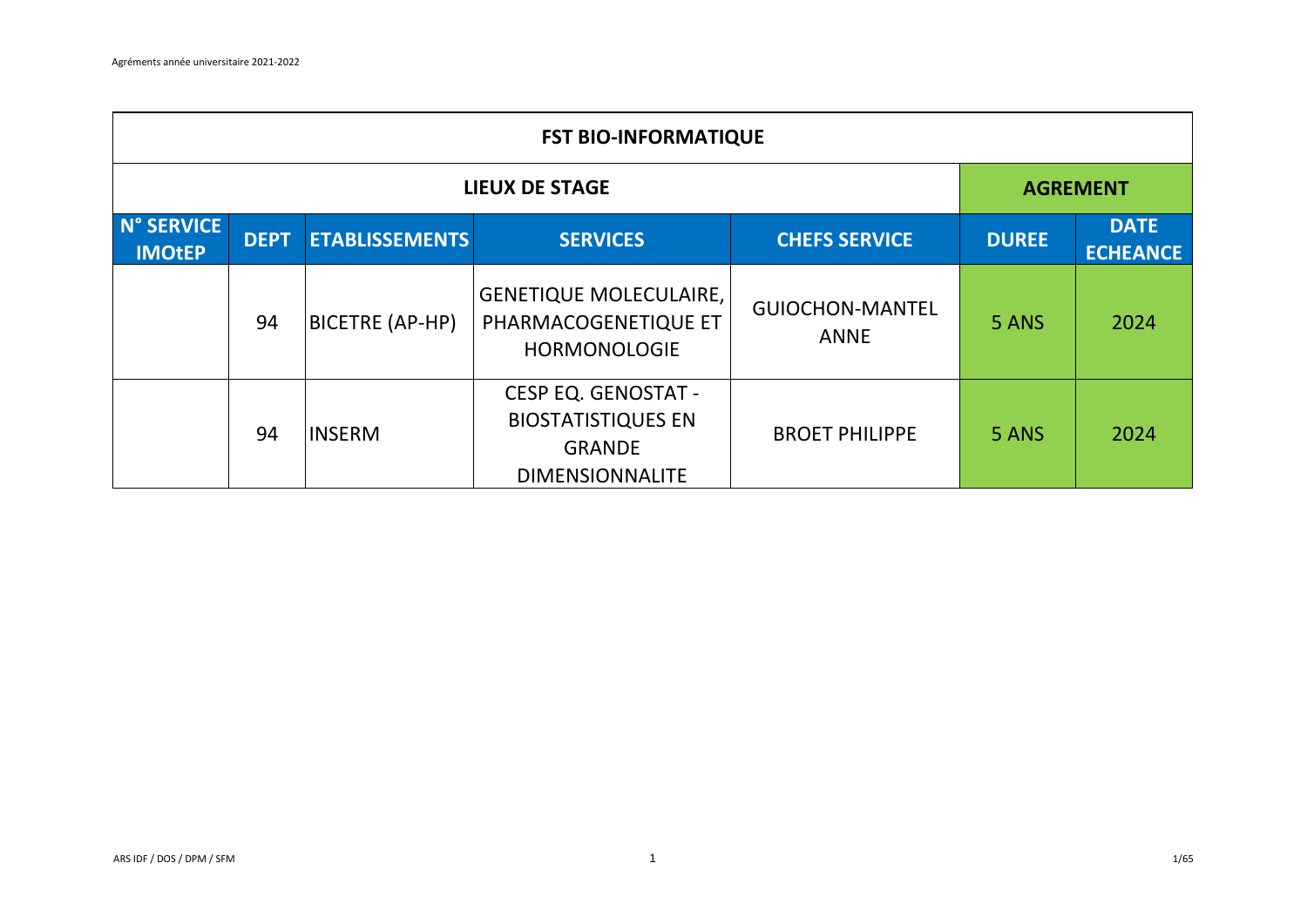|                             | <b>FST BIO-INFORMATIQUE</b> |                       |                                                                                                    |                                       |              |                                |  |  |  |
|-----------------------------|-----------------------------|-----------------------|----------------------------------------------------------------------------------------------------|---------------------------------------|--------------|--------------------------------|--|--|--|
|                             | <b>LIEUX DE STAGE</b>       |                       |                                                                                                    |                                       |              |                                |  |  |  |
| N° SERVICE<br><b>IMOtEP</b> | <b>DEPT</b>                 | <b>ETABLISSEMENTS</b> | <b>SERVICES</b>                                                                                    | <b>CHEFS SERVICE</b>                  | <b>DUREE</b> | <b>DATE</b><br><b>ECHEANCE</b> |  |  |  |
|                             | 94                          | BICETRE (AP-HP)       | <b>GENETIQUE MOLECULAIRE,</b><br>PHARMACOGENETIQUE ET<br><b>HORMONOLOGIE</b>                       | <b>GUIOCHON-MANTEL</b><br><b>ANNE</b> | 5 ANS        | 2024                           |  |  |  |
|                             | 94                          | <b>INSERM</b>         | <b>CESP EQ. GENOSTAT -</b><br><b>BIOSTATISTIQUES EN</b><br><b>GRANDE</b><br><b>DIMENSIONNALITE</b> | <b>BROET PHILIPPE</b>                 | 5 ANS        | 2024                           |  |  |  |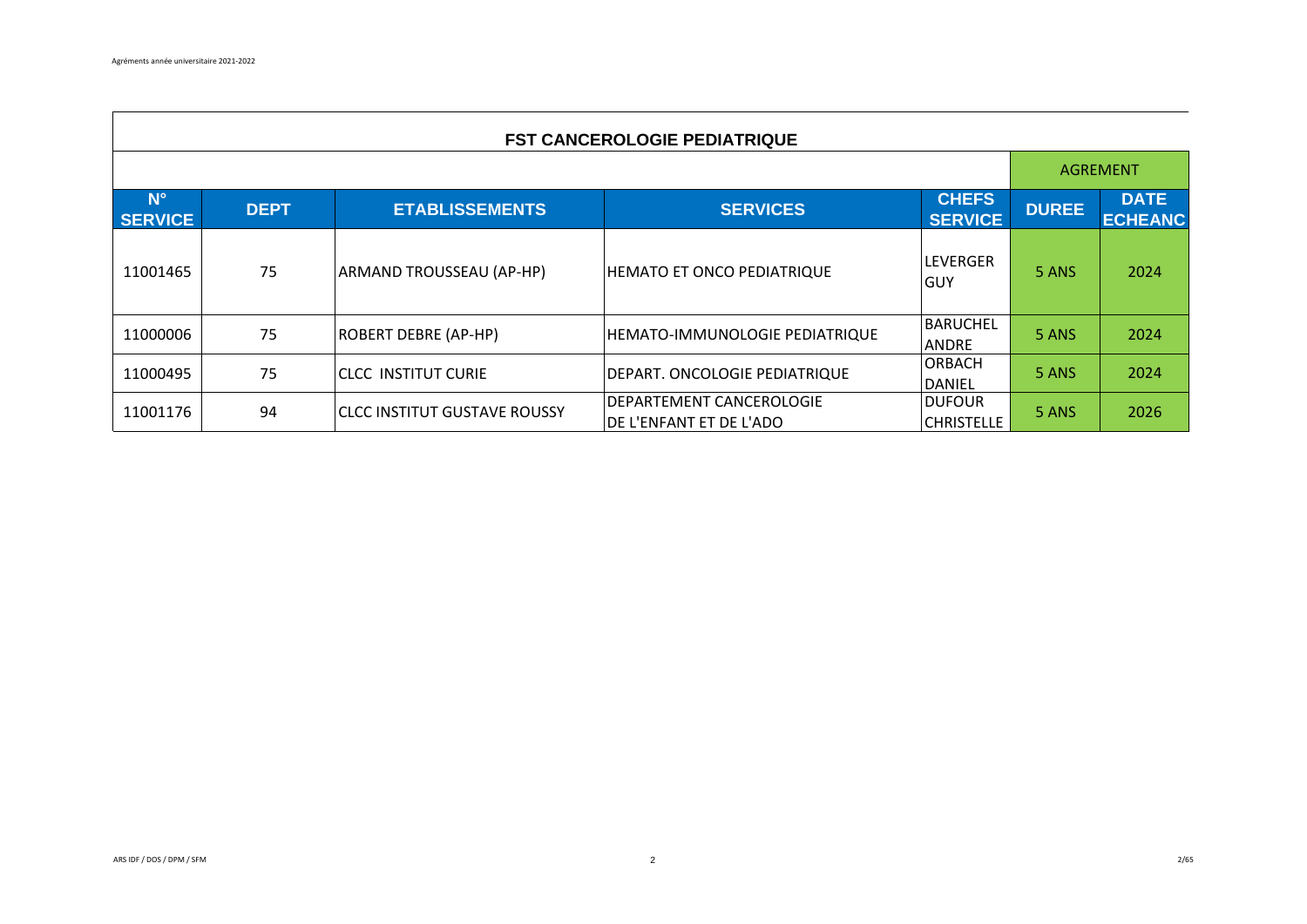$\mathbf{r}$ 

|                               | <b>FST CANCEROLOGIE PEDIATRIQUE</b> |                                 |                                                      |                                    |              |                               |  |  |  |  |
|-------------------------------|-------------------------------------|---------------------------------|------------------------------------------------------|------------------------------------|--------------|-------------------------------|--|--|--|--|
|                               |                                     |                                 |                                                      |                                    |              |                               |  |  |  |  |
| $N^{\circ}$<br><b>SERVICE</b> | <b>DEPT</b>                         | <b>ETABLISSEMENTS</b>           | <b>SERVICES</b>                                      | <b>CHEFS</b><br><b>SERVICE</b>     | <b>DUREE</b> | <b>DATE</b><br><b>ECHEANC</b> |  |  |  |  |
| 11001465                      | 75                                  | <b>ARMAND TROUSSEAU (AP-HP)</b> | <b>HEMATO ET ONCO PEDIATRIQUE</b>                    | <b>LEVERGER</b><br>IGUY            | 5 ANS        | 2024                          |  |  |  |  |
| 11000006                      | 75                                  | <b>ROBERT DEBRE (AP-HP)</b>     | HEMATO-IMMUNOLOGIE PEDIATRIQUE                       | <b>BARUCHEL</b><br><b>ANDRE</b>    | 5 ANS        | 2024                          |  |  |  |  |
| 11000495                      | 75                                  | iclcc institut curie            | DEPART. ONCOLOGIE PEDIATRIQUE                        | <b>ORBACH</b><br>DANIEL            | 5 ANS        | 2024                          |  |  |  |  |
| 11001176                      | 94                                  | lCLCC INSTITUT GUSTAVE ROUSSY   | IDEPARTEMENT CANCEROLOGIE<br>DE L'ENFANT ET DE L'ADO | <b>DUFOUR</b><br><b>CHRISTELLE</b> | 5 ANS        | 2026                          |  |  |  |  |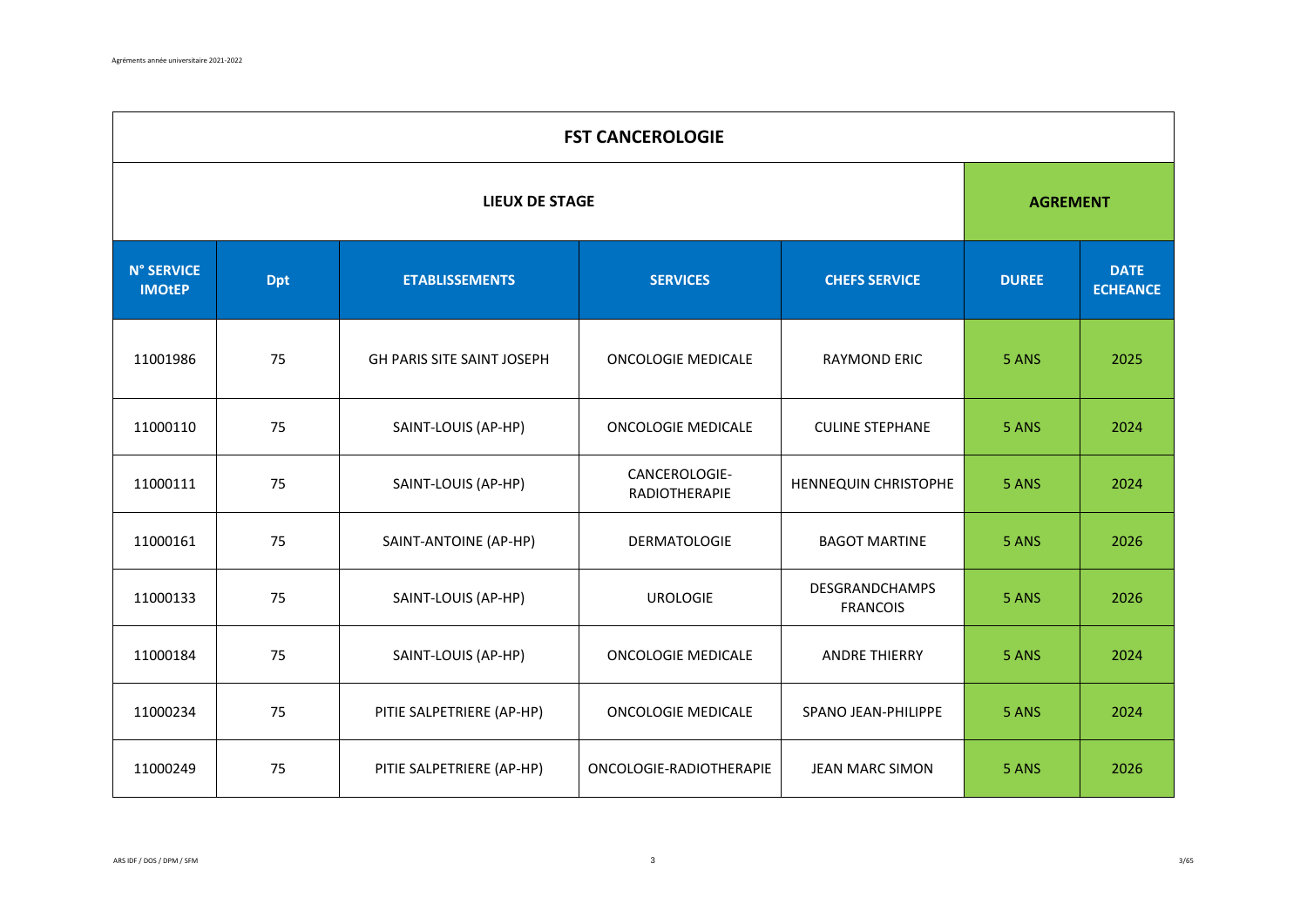| <b>FST CANCEROLOGIE</b>            |                                                                                |                            |                                |                                          |       |      |  |  |  |
|------------------------------------|--------------------------------------------------------------------------------|----------------------------|--------------------------------|------------------------------------------|-------|------|--|--|--|
|                                    | <b>LIEUX DE STAGE</b>                                                          |                            |                                |                                          |       |      |  |  |  |
| <b>N° SERVICE</b><br><b>IMOtEP</b> | <b>ETABLISSEMENTS</b><br><b>SERVICES</b><br><b>CHEFS SERVICE</b><br><b>Dpt</b> |                            | <b>DUREE</b>                   | <b>DATE</b><br><b>ECHEANCE</b>           |       |      |  |  |  |
| 11001986                           | 75                                                                             | GH PARIS SITE SAINT JOSEPH | <b>ONCOLOGIE MEDICALE</b>      | <b>RAYMOND ERIC</b>                      | 5 ANS | 2025 |  |  |  |
| 11000110                           | 75                                                                             | SAINT-LOUIS (AP-HP)        | <b>ONCOLOGIE MEDICALE</b>      | <b>CULINE STEPHANE</b>                   | 5 ANS | 2024 |  |  |  |
| 11000111                           | 75                                                                             | SAINT-LOUIS (AP-HP)        | CANCEROLOGIE-<br>RADIOTHERAPIE | HENNEQUIN CHRISTOPHE                     | 5 ANS | 2024 |  |  |  |
| 11000161                           | 75                                                                             | SAINT-ANTOINE (AP-HP)      | <b>DERMATOLOGIE</b>            | <b>BAGOT MARTINE</b>                     | 5 ANS | 2026 |  |  |  |
| 11000133                           | 75                                                                             | SAINT-LOUIS (AP-HP)        | <b>UROLOGIE</b>                | <b>DESGRANDCHAMPS</b><br><b>FRANCOIS</b> | 5 ANS | 2026 |  |  |  |
| 11000184                           | 75                                                                             | SAINT-LOUIS (AP-HP)        | <b>ONCOLOGIE MEDICALE</b>      | <b>ANDRE THIERRY</b>                     | 5 ANS | 2024 |  |  |  |
| 11000234                           | 75                                                                             | PITIE SALPETRIERE (AP-HP)  | <b>ONCOLOGIE MEDICALE</b>      | SPANO JEAN-PHILIPPE                      | 5 ANS | 2024 |  |  |  |
| 11000249                           | 75                                                                             | PITIE SALPETRIERE (AP-HP)  | ONCOLOGIE-RADIOTHERAPIE        | JEAN MARC SIMON                          | 5 ANS | 2026 |  |  |  |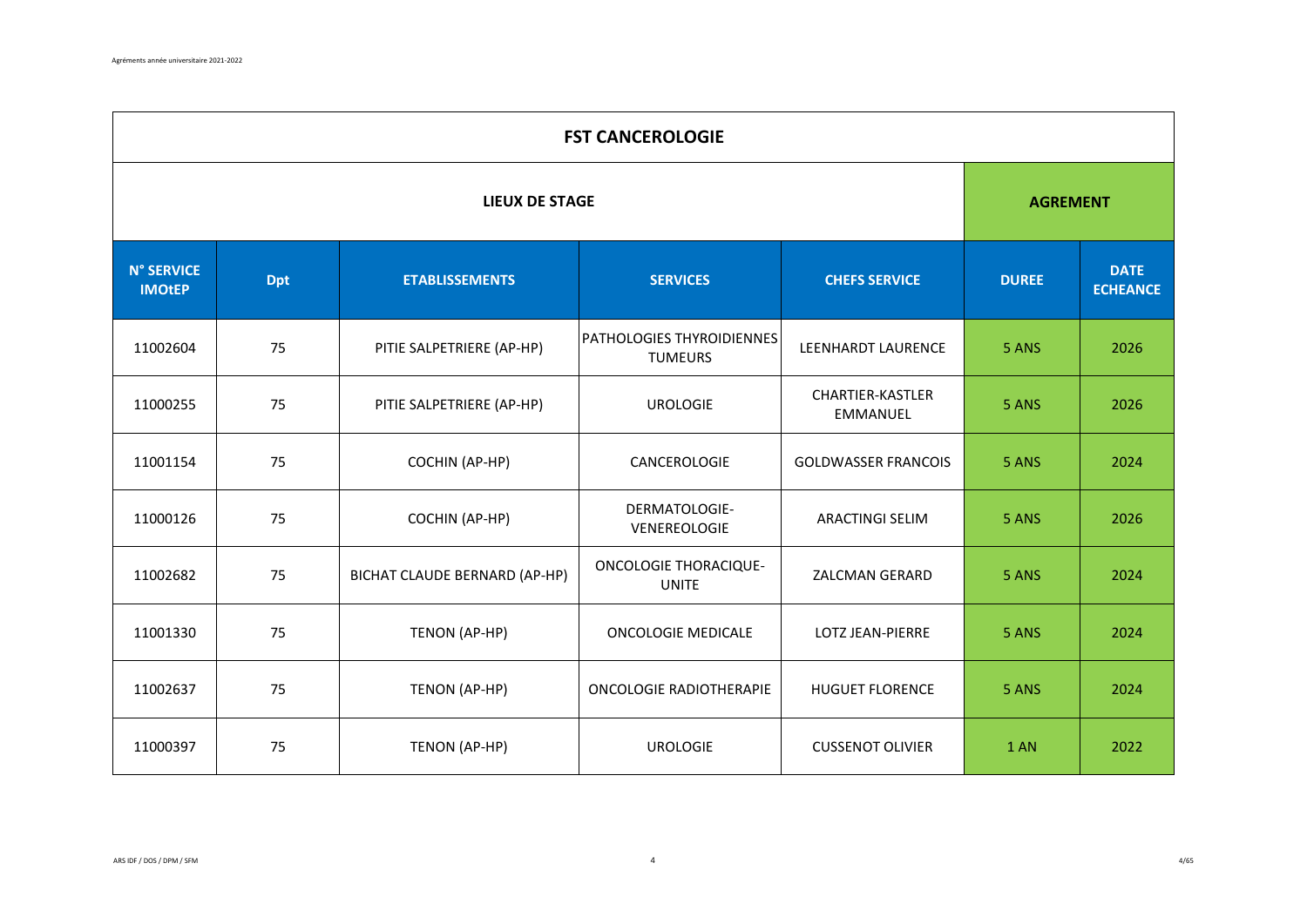|                                    | <b>FST CANCEROLOGIE</b> |                               |                                              |                                            |              |                                |  |  |  |  |
|------------------------------------|-------------------------|-------------------------------|----------------------------------------------|--------------------------------------------|--------------|--------------------------------|--|--|--|--|
|                                    | <b>LIEUX DE STAGE</b>   |                               |                                              |                                            |              |                                |  |  |  |  |
| <b>N° SERVICE</b><br><b>IMOtEP</b> | <b>Dpt</b>              | <b>ETABLISSEMENTS</b>         | <b>SERVICES</b>                              | <b>CHEFS SERVICE</b>                       | <b>DUREE</b> | <b>DATE</b><br><b>ECHEANCE</b> |  |  |  |  |
| 11002604                           | 75                      | PITIE SALPETRIERE (AP-HP)     | PATHOLOGIES THYROIDIENNES<br><b>TUMEURS</b>  | <b>LEENHARDT LAURENCE</b>                  | 5 ANS        | 2026                           |  |  |  |  |
| 11000255                           | 75                      | PITIE SALPETRIERE (AP-HP)     | <b>UROLOGIE</b>                              | <b>CHARTIER-KASTLER</b><br><b>EMMANUEL</b> | 5 ANS        | 2026                           |  |  |  |  |
| 11001154                           | 75                      | COCHIN (AP-HP)                | CANCEROLOGIE                                 | <b>GOLDWASSER FRANCOIS</b>                 | 5 ANS        | 2024                           |  |  |  |  |
| 11000126                           | 75                      | COCHIN (AP-HP)                | DERMATOLOGIE-<br>VENEREOLOGIE                | <b>ARACTINGI SELIM</b>                     | 5 ANS        | 2026                           |  |  |  |  |
| 11002682                           | 75                      | BICHAT CLAUDE BERNARD (AP-HP) | <b>ONCOLOGIE THORACIQUE-</b><br><b>UNITE</b> | ZALCMAN GERARD                             | 5 ANS        | 2024                           |  |  |  |  |
| 11001330                           | 75                      | TENON (AP-HP)                 | <b>ONCOLOGIE MEDICALE</b>                    | <b>LOTZ JEAN-PIERRE</b>                    | 5 ANS        | 2024                           |  |  |  |  |
| 11002637                           | 75                      | TENON (AP-HP)                 | ONCOLOGIE RADIOTHERAPIE                      | <b>HUGUET FLORENCE</b>                     | 5 ANS        | 2024                           |  |  |  |  |
| 11000397                           | 75                      | TENON (AP-HP)                 | <b>UROLOGIE</b>                              | <b>CUSSENOT OLIVIER</b>                    | 1 AN         | 2022                           |  |  |  |  |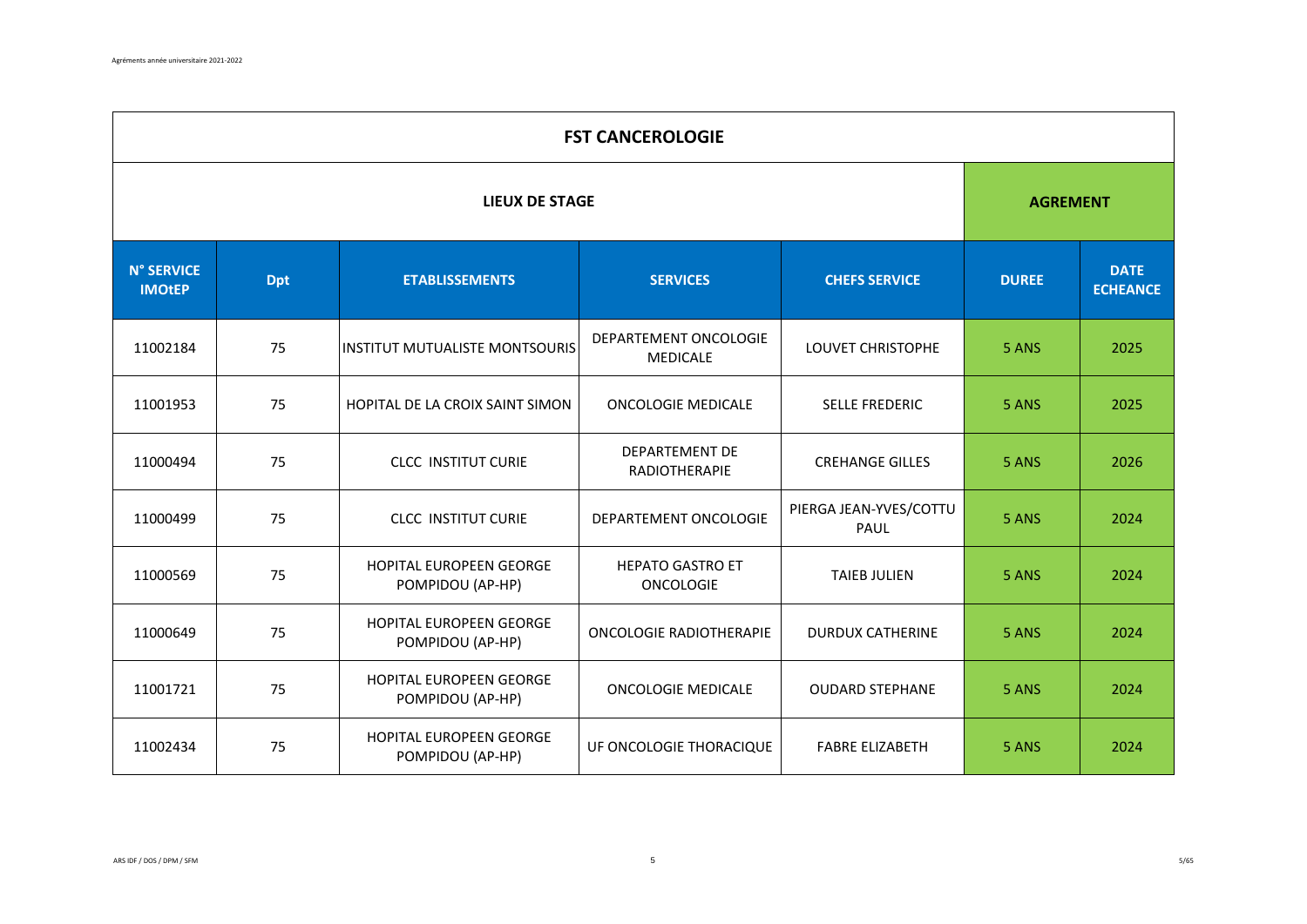|                                    | <b>FST CANCEROLOGIE</b> |                                             |                                               |                                |              |                                |  |  |  |  |
|------------------------------------|-------------------------|---------------------------------------------|-----------------------------------------------|--------------------------------|--------------|--------------------------------|--|--|--|--|
|                                    | <b>LIEUX DE STAGE</b>   |                                             |                                               |                                |              |                                |  |  |  |  |
| <b>N° SERVICE</b><br><b>IMOtEP</b> | <b>Dpt</b>              | <b>ETABLISSEMENTS</b>                       | <b>SERVICES</b>                               | <b>CHEFS SERVICE</b>           | <b>DUREE</b> | <b>DATE</b><br><b>ECHEANCE</b> |  |  |  |  |
| 11002184                           | 75                      | INSTITUT MUTUALISTE MONTSOURIS              | DEPARTEMENT ONCOLOGIE<br>MEDICALE             | LOUVET CHRISTOPHE              | 5 ANS        | 2025                           |  |  |  |  |
| 11001953                           | 75                      | HOPITAL DE LA CROIX SAINT SIMON             | <b>ONCOLOGIE MEDICALE</b>                     | <b>SELLE FREDERIC</b>          | 5 ANS        | 2025                           |  |  |  |  |
| 11000494                           | 75                      | <b>CLCC INSTITUT CURIE</b>                  | <b>DEPARTEMENT DE</b><br><b>RADIOTHERAPIE</b> | <b>CREHANGE GILLES</b>         | 5 ANS        | 2026                           |  |  |  |  |
| 11000499                           | 75                      | <b>CLCC INSTITUT CURIE</b>                  | DEPARTEMENT ONCOLOGIE                         | PIERGA JEAN-YVES/COTTU<br>PAUL | 5 ANS        | 2024                           |  |  |  |  |
| 11000569                           | 75                      | HOPITAL EUROPEEN GEORGE<br>POMPIDOU (AP-HP) | <b>HEPATO GASTRO ET</b><br><b>ONCOLOGIE</b>   | <b>TAIEB JULIEN</b>            | 5 ANS        | 2024                           |  |  |  |  |
| 11000649                           | 75                      | HOPITAL EUROPEEN GEORGE<br>POMPIDOU (AP-HP) | <b>ONCOLOGIE RADIOTHERAPIE</b>                | <b>DURDUX CATHERINE</b>        | 5 ANS        | 2024                           |  |  |  |  |
| 11001721                           | 75                      | HOPITAL EUROPEEN GEORGE<br>POMPIDOU (AP-HP) | <b>ONCOLOGIE MEDICALE</b>                     | <b>OUDARD STEPHANE</b>         | 5 ANS        | 2024                           |  |  |  |  |
| 11002434                           | 75                      | HOPITAL EUROPEEN GEORGE<br>POMPIDOU (AP-HP) | UF ONCOLOGIE THORACIQUE                       | <b>FABRE ELIZABETH</b>         | 5 ANS        | 2024                           |  |  |  |  |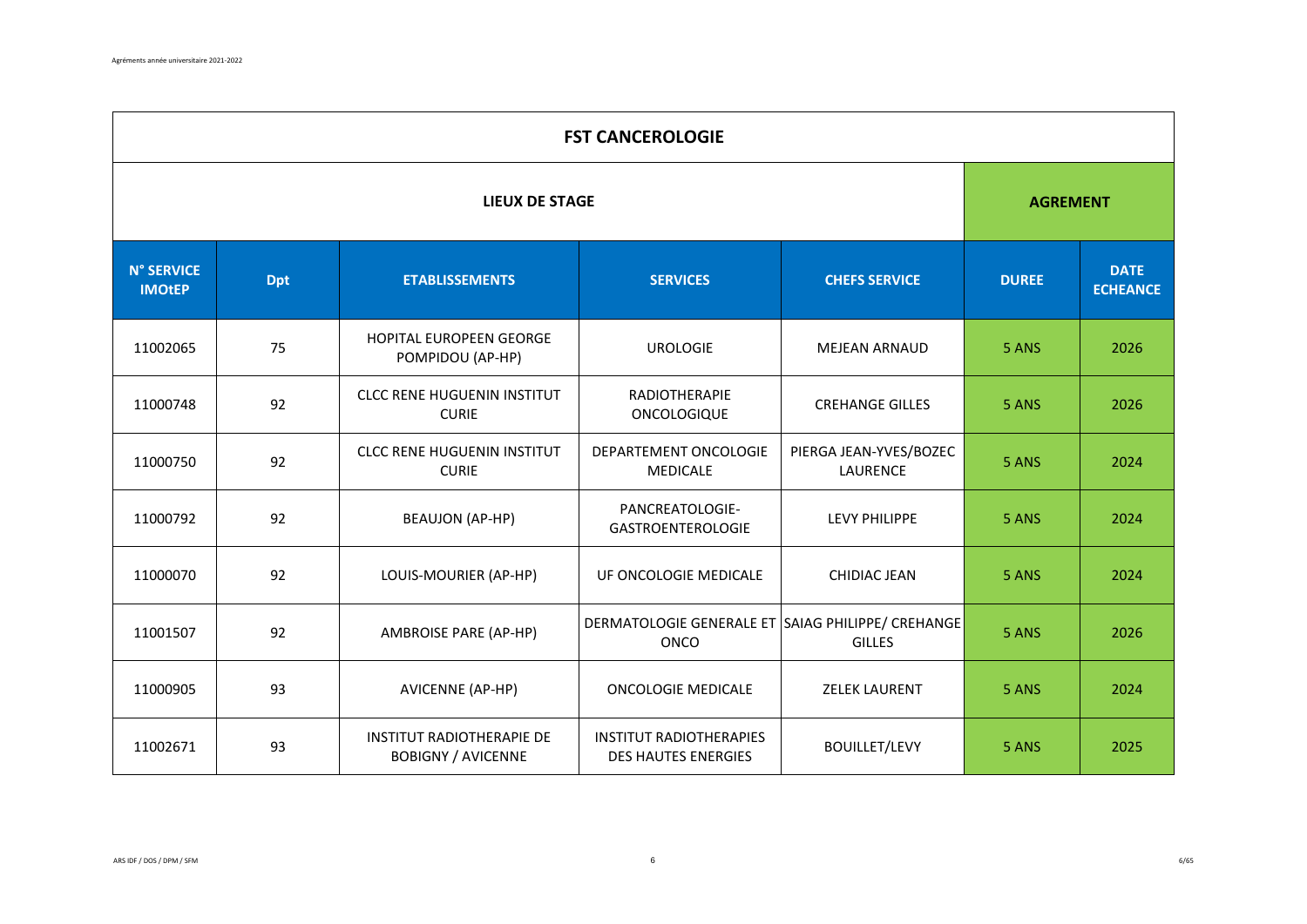|                                    | <b>FST CANCEROLOGIE</b> |                                                               |                                                              |                                    |              |                                |  |  |  |  |
|------------------------------------|-------------------------|---------------------------------------------------------------|--------------------------------------------------------------|------------------------------------|--------------|--------------------------------|--|--|--|--|
|                                    | <b>LIEUX DE STAGE</b>   |                                                               |                                                              |                                    |              |                                |  |  |  |  |
| <b>N° SERVICE</b><br><b>IMOtEP</b> | <b>Dpt</b>              | <b>ETABLISSEMENTS</b>                                         | <b>SERVICES</b>                                              | <b>CHEFS SERVICE</b>               | <b>DUREE</b> | <b>DATE</b><br><b>ECHEANCE</b> |  |  |  |  |
| 11002065                           | 75                      | HOPITAL EUROPEEN GEORGE<br>POMPIDOU (AP-HP)                   | <b>UROLOGIE</b>                                              | <b>MEJEAN ARNAUD</b>               | 5 ANS        | 2026                           |  |  |  |  |
| 11000748                           | 92                      | <b>CLCC RENE HUGUENIN INSTITUT</b><br><b>CURIE</b>            | RADIOTHERAPIE<br>ONCOLOGIQUE                                 | <b>CREHANGE GILLES</b>             | 5 ANS        | 2026                           |  |  |  |  |
| 11000750                           | 92                      | <b>CLCC RENE HUGUENIN INSTITUT</b><br><b>CURIE</b>            | DEPARTEMENT ONCOLOGIE<br><b>MEDICALE</b>                     | PIERGA JEAN-YVES/BOZEC<br>LAURENCE | 5 ANS        | 2024                           |  |  |  |  |
| 11000792                           | 92                      | <b>BEAUJON (AP-HP)</b>                                        | PANCREATOLOGIE-<br><b>GASTROENTEROLOGIE</b>                  | LEVY PHILIPPE                      | 5 ANS        | 2024                           |  |  |  |  |
| 11000070                           | 92                      | LOUIS-MOURIER (AP-HP)                                         | UF ONCOLOGIE MEDICALE                                        | CHIDIAC JEAN                       | 5 ANS        | 2024                           |  |  |  |  |
| 11001507                           | 92                      | <b>AMBROISE PARE (AP-HP)</b>                                  | DERMATOLOGIE GENERALE ET SAIAG PHILIPPE/ CREHANGE<br>ONCO    | <b>GILLES</b>                      | 5 ANS        | 2026                           |  |  |  |  |
| 11000905                           | 93                      | AVICENNE (AP-HP)                                              | <b>ONCOLOGIE MEDICALE</b>                                    | <b>ZELEK LAURENT</b>               | 5 ANS        | 2024                           |  |  |  |  |
| 11002671                           | 93                      | <b>INSTITUT RADIOTHERAPIE DE</b><br><b>BOBIGNY / AVICENNE</b> | <b>INSTITUT RADIOTHERAPIES</b><br><b>DES HAUTES ENERGIES</b> | <b>BOUILLET/LEVY</b>               | 5 ANS        | 2025                           |  |  |  |  |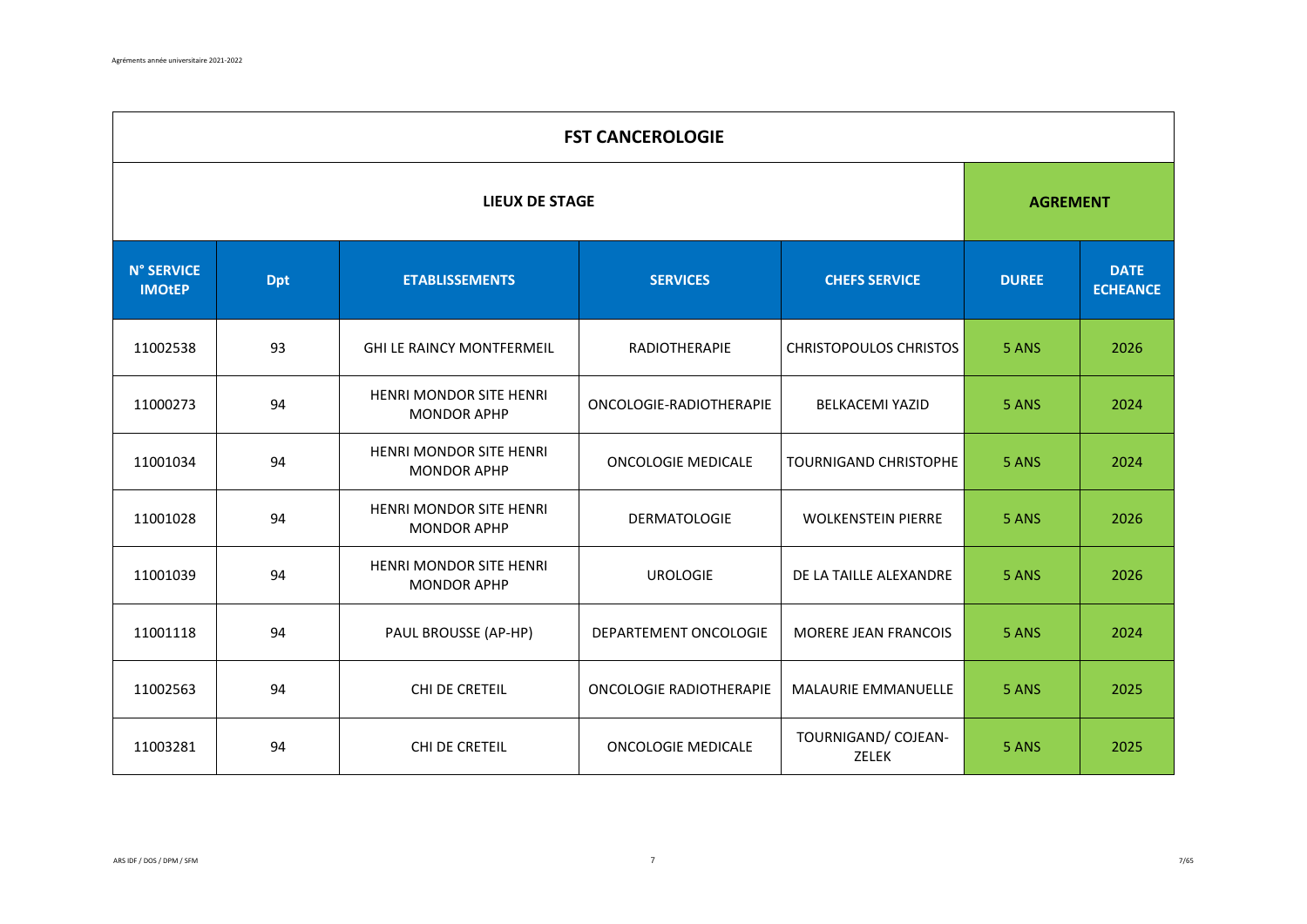|                                    | <b>FST CANCEROLOGIE</b> |                                                      |                           |                               |              |                                |  |  |  |  |
|------------------------------------|-------------------------|------------------------------------------------------|---------------------------|-------------------------------|--------------|--------------------------------|--|--|--|--|
|                                    | <b>LIEUX DE STAGE</b>   |                                                      |                           |                               |              |                                |  |  |  |  |
| <b>N° SERVICE</b><br><b>IMOtEP</b> | <b>Dpt</b>              | <b>ETABLISSEMENTS</b>                                | <b>SERVICES</b>           | <b>CHEFS SERVICE</b>          | <b>DUREE</b> | <b>DATE</b><br><b>ECHEANCE</b> |  |  |  |  |
| 11002538                           | 93                      | <b>GHI LE RAINCY MONTFERMEIL</b>                     | RADIOTHERAPIE             | <b>CHRISTOPOULOS CHRISTOS</b> | 5 ANS        | 2026                           |  |  |  |  |
| 11000273                           | 94                      | HENRI MONDOR SITE HENRI<br><b>MONDOR APHP</b>        | ONCOLOGIE-RADIOTHERAPIE   | <b>BELKACEMI YAZID</b>        | 5 ANS        | 2024                           |  |  |  |  |
| 11001034                           | 94                      | <b>HENRI MONDOR SITE HENRI</b><br><b>MONDOR APHP</b> | <b>ONCOLOGIE MEDICALE</b> | <b>TOURNIGAND CHRISTOPHE</b>  | 5 ANS        | 2024                           |  |  |  |  |
| 11001028                           | 94                      | HENRI MONDOR SITE HENRI<br><b>MONDOR APHP</b>        | <b>DERMATOLOGIE</b>       | <b>WOLKENSTEIN PIERRE</b>     | 5 ANS        | 2026                           |  |  |  |  |
| 11001039                           | 94                      | HENRI MONDOR SITE HENRI<br><b>MONDOR APHP</b>        | <b>UROLOGIE</b>           | DE LA TAILLE ALEXANDRE        | 5 ANS        | 2026                           |  |  |  |  |
| 11001118                           | 94                      | PAUL BROUSSE (AP-HP)                                 | DEPARTEMENT ONCOLOGIE     | MORERE JEAN FRANCOIS          | 5 ANS        | 2024                           |  |  |  |  |
| 11002563                           | 94                      | CHI DE CRETEIL                                       | ONCOLOGIE RADIOTHERAPIE   | MALAURIE EMMANUELLE           | 5 ANS        | 2025                           |  |  |  |  |
| 11003281                           | 94                      | CHI DE CRETEIL                                       | <b>ONCOLOGIE MEDICALE</b> | TOURNIGAND/ COJEAN-<br>ZELEK  | 5 ANS        | 2025                           |  |  |  |  |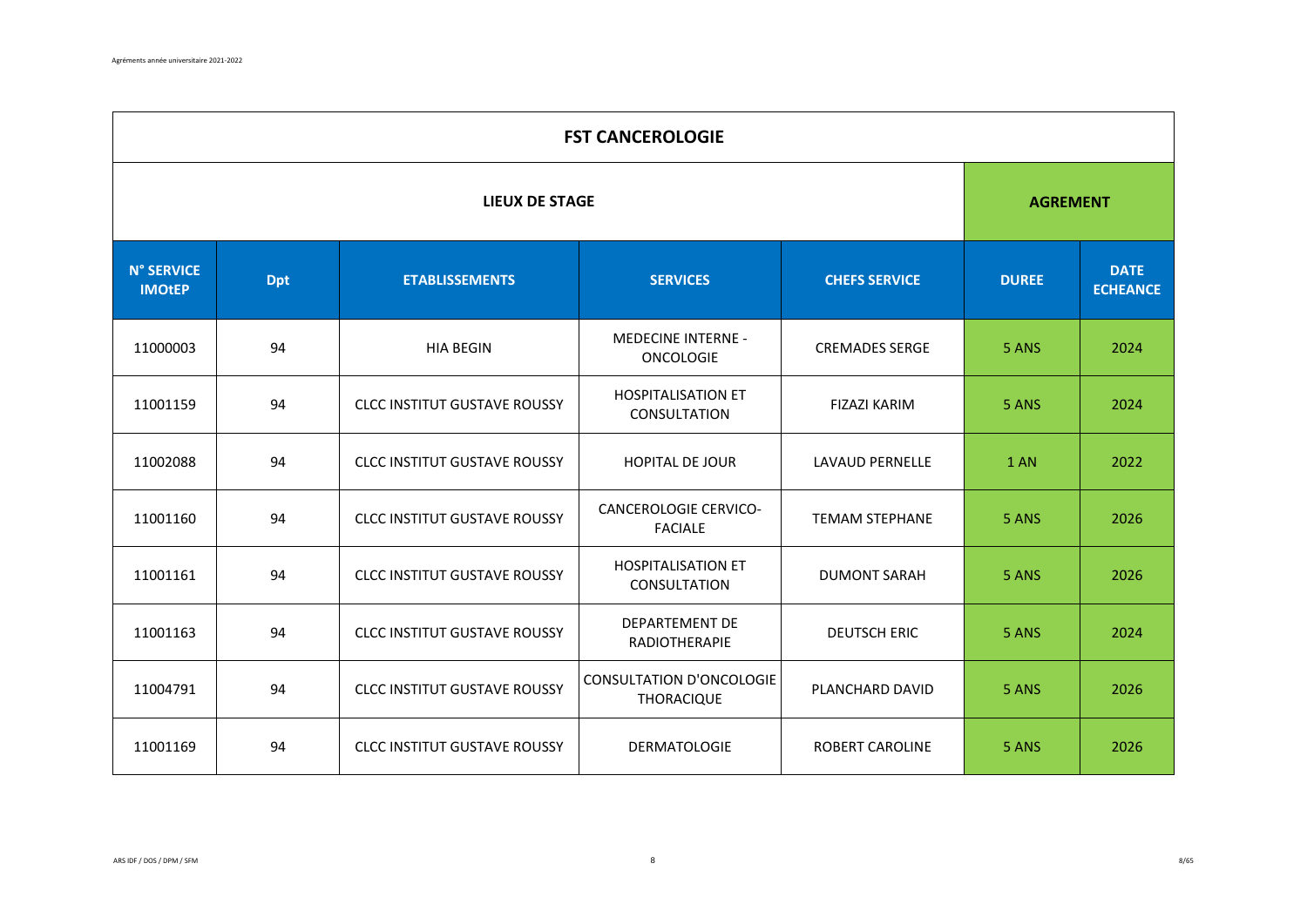|                                    | <b>FST CANCEROLOGIE</b> |                                     |                                                      |                        |              |                                |  |  |  |  |
|------------------------------------|-------------------------|-------------------------------------|------------------------------------------------------|------------------------|--------------|--------------------------------|--|--|--|--|
|                                    | <b>LIEUX DE STAGE</b>   |                                     |                                                      |                        |              |                                |  |  |  |  |
| <b>N° SERVICE</b><br><b>IMOtEP</b> | <b>Dpt</b>              | <b>ETABLISSEMENTS</b>               | <b>SERVICES</b>                                      | <b>CHEFS SERVICE</b>   | <b>DUREE</b> | <b>DATE</b><br><b>ECHEANCE</b> |  |  |  |  |
| 11000003                           | 94                      | <b>HIA BEGIN</b>                    | <b>MEDECINE INTERNE -</b><br><b>ONCOLOGIE</b>        | <b>CREMADES SERGE</b>  | 5 ANS        | 2024                           |  |  |  |  |
| 11001159                           | 94                      | <b>CLCC INSTITUT GUSTAVE ROUSSY</b> | <b>HOSPITALISATION ET</b><br>CONSULTATION            | <b>FIZAZI KARIM</b>    | 5 ANS        | 2024                           |  |  |  |  |
| 11002088                           | 94                      | <b>CLCC INSTITUT GUSTAVE ROUSSY</b> | <b>HOPITAL DE JOUR</b>                               | <b>LAVAUD PERNELLE</b> | 1 AN         | 2022                           |  |  |  |  |
| 11001160                           | 94                      | <b>CLCC INSTITUT GUSTAVE ROUSSY</b> | <b>CANCEROLOGIE CERVICO-</b><br><b>FACIALE</b>       | <b>TEMAM STEPHANE</b>  | 5 ANS        | 2026                           |  |  |  |  |
| 11001161                           | 94                      | <b>CLCC INSTITUT GUSTAVE ROUSSY</b> | <b>HOSPITALISATION ET</b><br><b>CONSULTATION</b>     | <b>DUMONT SARAH</b>    | 5 ANS        | 2026                           |  |  |  |  |
| 11001163                           | 94                      | <b>CLCC INSTITUT GUSTAVE ROUSSY</b> | <b>DEPARTEMENT DE</b><br>RADIOTHERAPIE               | <b>DEUTSCH ERIC</b>    | 5 ANS        | 2024                           |  |  |  |  |
| 11004791                           | 94                      | <b>CLCC INSTITUT GUSTAVE ROUSSY</b> | <b>CONSULTATION D'ONCOLOGIE</b><br><b>THORACIQUE</b> | PLANCHARD DAVID        | 5 ANS        | 2026                           |  |  |  |  |
| 11001169                           | 94                      | <b>CLCC INSTITUT GUSTAVE ROUSSY</b> | <b>DERMATOLOGIE</b>                                  | <b>ROBERT CAROLINE</b> | 5 ANS        | 2026                           |  |  |  |  |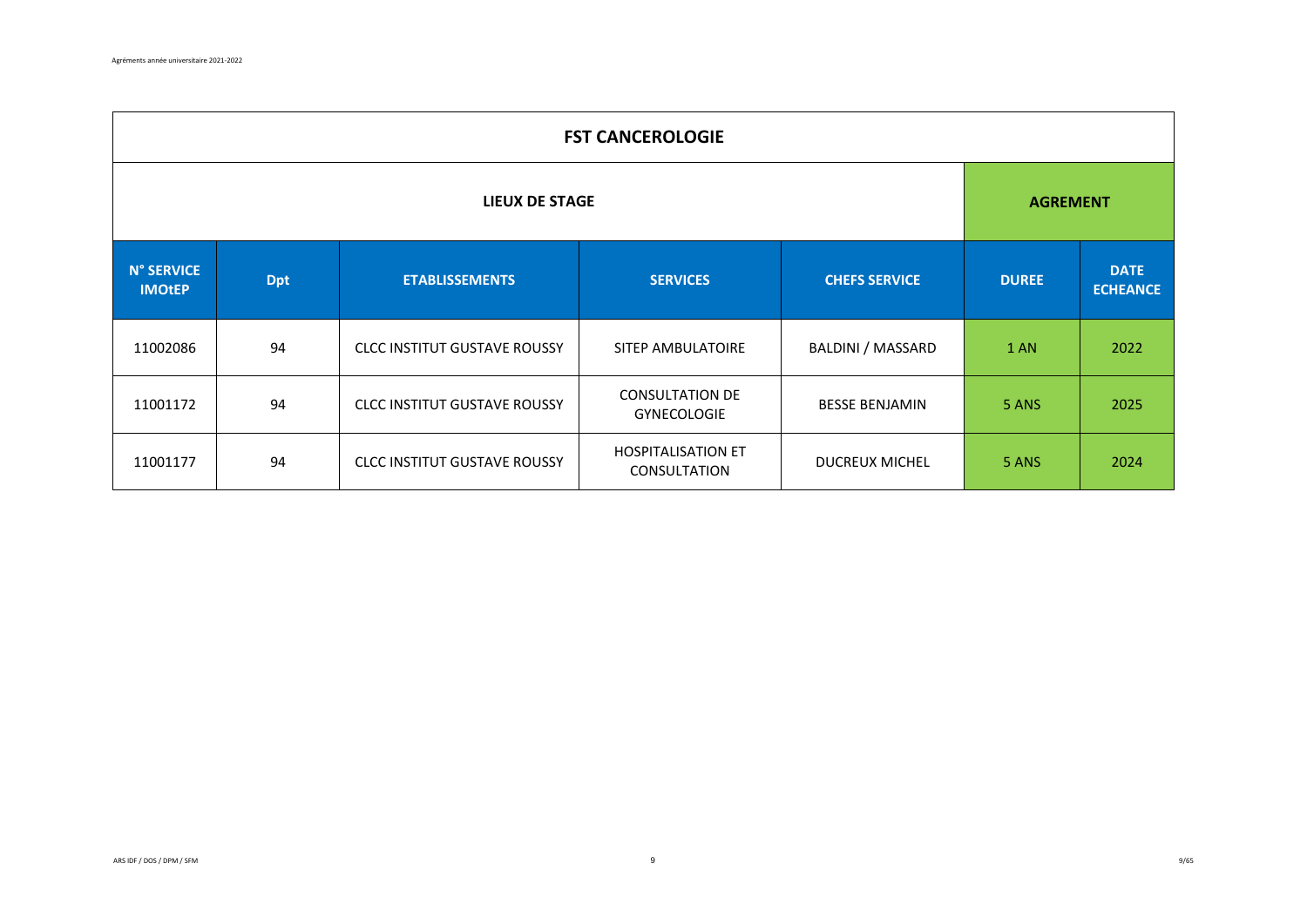|                                                                                              | <b>FST CANCEROLOGIE</b> |                                     |                                                  |                                |       |                 |  |  |  |
|----------------------------------------------------------------------------------------------|-------------------------|-------------------------------------|--------------------------------------------------|--------------------------------|-------|-----------------|--|--|--|
| LIEUX DE STAGE                                                                               |                         |                                     |                                                  |                                |       | <b>AGREMENT</b> |  |  |  |
| <b>N° SERVICE</b><br><b>SERVICES</b><br><b>Dpt</b><br><b>ETABLISSEMENTS</b><br><b>IMOtEP</b> |                         | <b>CHEFS SERVICE</b>                | <b>DUREE</b>                                     | <b>DATE</b><br><b>ECHEANCE</b> |       |                 |  |  |  |
| 11002086                                                                                     | 94                      | <b>CLCC INSTITUT GUSTAVE ROUSSY</b> | SITEP AMBULATOIRE                                | BALDINI / MASSARD              | 1 AN  | 2022            |  |  |  |
| 11001172                                                                                     | 94                      | <b>CLCC INSTITUT GUSTAVE ROUSSY</b> | <b>CONSULTATION DE</b><br><b>GYNECOLOGIE</b>     | <b>BESSE BENJAMIN</b>          | 5 ANS | 2025            |  |  |  |
| 11001177                                                                                     | 94                      | <b>CLCC INSTITUT GUSTAVE ROUSSY</b> | <b>HOSPITALISATION ET</b><br><b>CONSULTATION</b> | <b>DUCREUX MICHEL</b>          | 5 ANS | 2024            |  |  |  |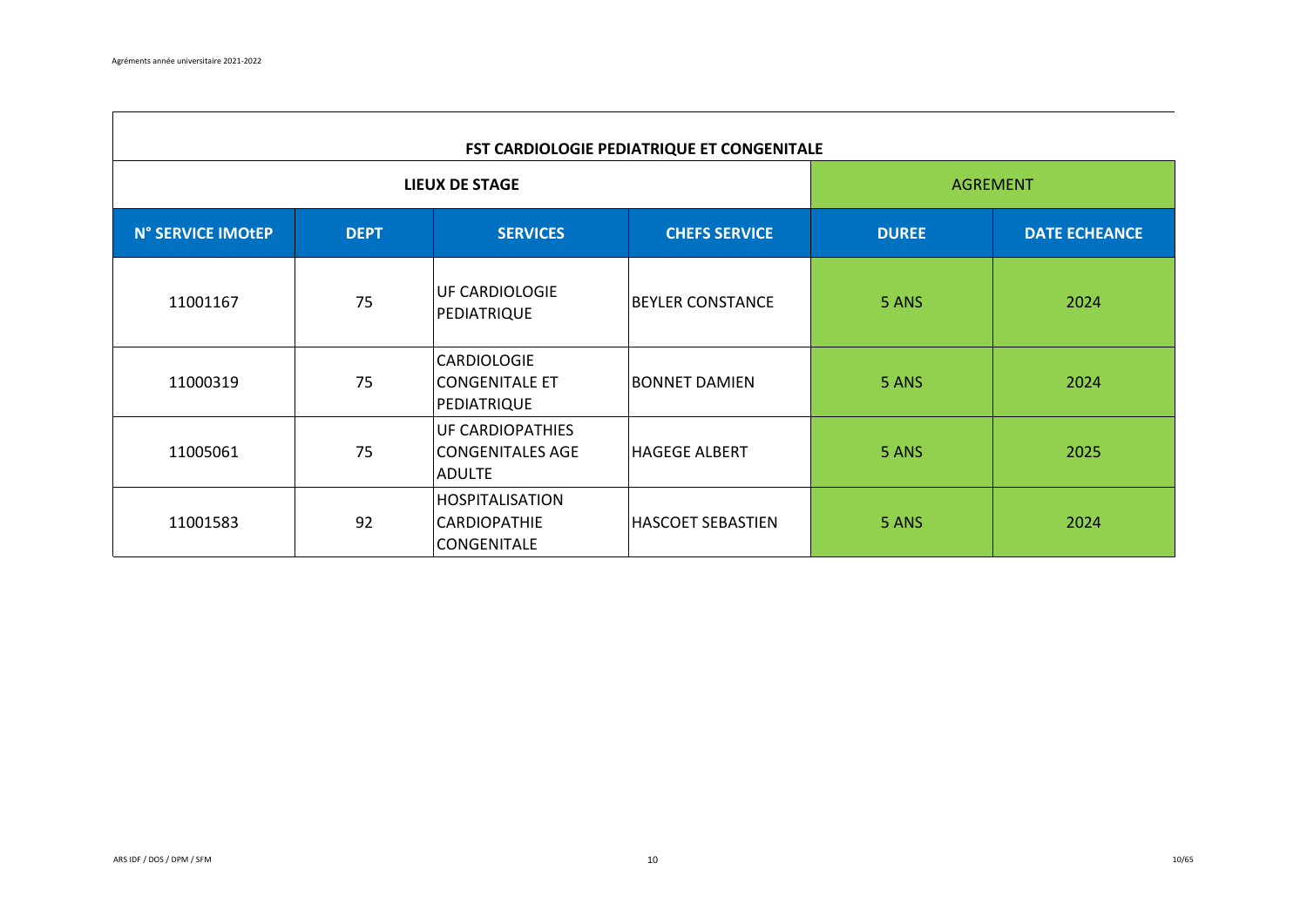$\Gamma$ 

| FST CARDIOLOGIE PEDIATRIQUE ET CONGENITALE |             |                                                              |                         |              |                      |  |  |
|--------------------------------------------|-------------|--------------------------------------------------------------|-------------------------|--------------|----------------------|--|--|
|                                            |             | <b>LIEUX DE STAGE</b>                                        |                         |              | <b>AGREMENT</b>      |  |  |
| N° SERVICE IMOtEP                          | <b>DEPT</b> | <b>SERVICES</b>                                              | <b>CHEFS SERVICE</b>    | <b>DUREE</b> | <b>DATE ECHEANCE</b> |  |  |
| 11001167                                   | 75          | UF CARDIOLOGIE<br>PEDIATRIQUE                                | <b>BEYLER CONSTANCE</b> | 5 ANS        | 2024                 |  |  |
| 11000319                                   | 75          | CARDIOLOGIE<br><b>CONGENITALE ET</b><br>PEDIATRIQUE          | BONNET DAMIEN           | 5 ANS        | 2024                 |  |  |
| 11005061                                   | 75          | UF CARDIOPATHIES<br><b>CONGENITALES AGE</b><br><b>ADULTE</b> | <b>HAGEGE ALBERT</b>    | 5 ANS        | 2025                 |  |  |
| 11001583                                   | 92          | <b>HOSPITALISATION</b><br>CARDIOPATHIE<br>CONGENITALE        | HASCOET SEBASTIEN       | 5 ANS        | 2024                 |  |  |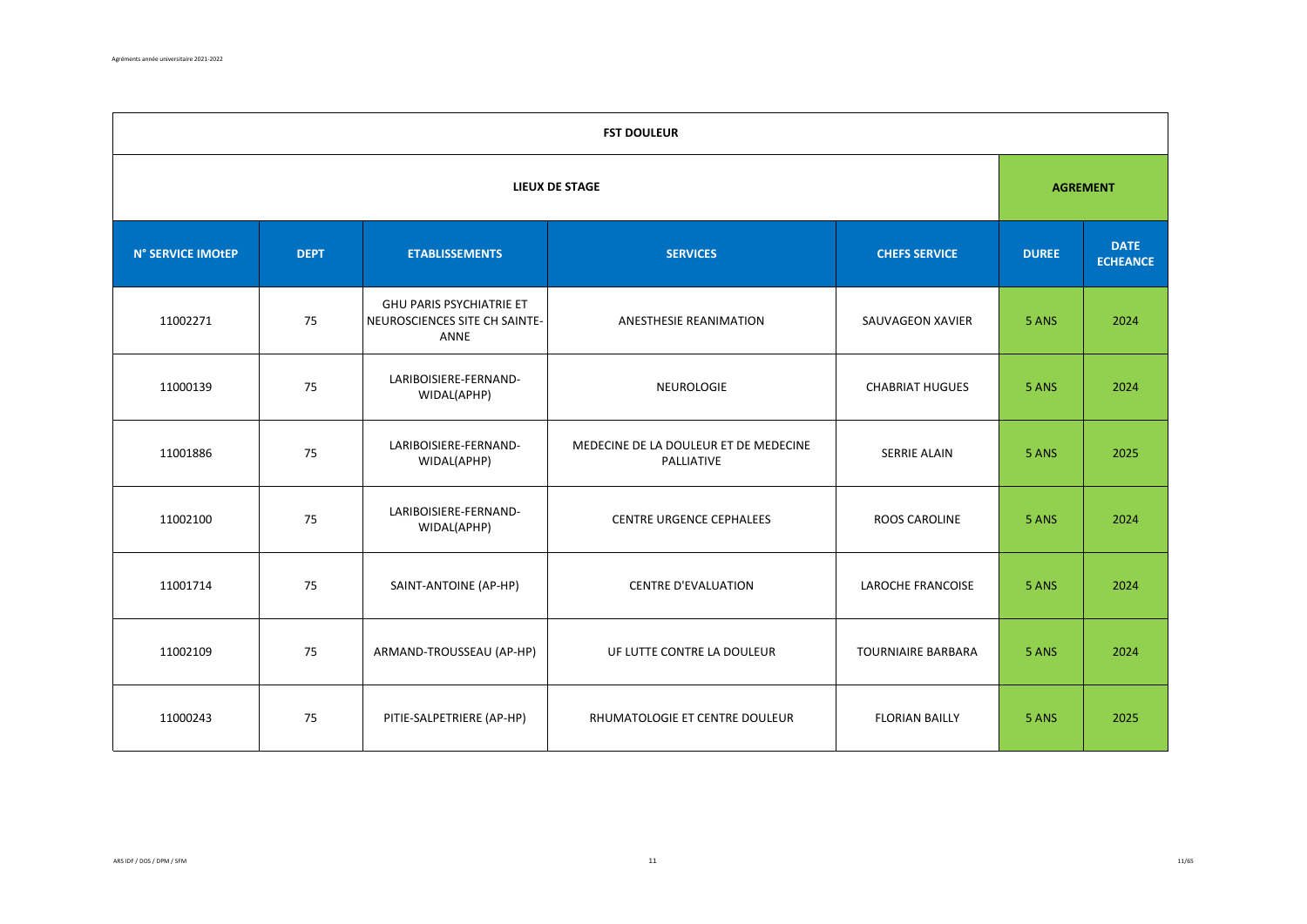|                   | <b>FST DOULEUR</b>                                                              |                                                                   |                                                     |                                |       |                 |  |  |  |
|-------------------|---------------------------------------------------------------------------------|-------------------------------------------------------------------|-----------------------------------------------------|--------------------------------|-------|-----------------|--|--|--|
|                   |                                                                                 |                                                                   | <b>LIEUX DE STAGE</b>                               |                                |       | <b>AGREMENT</b> |  |  |  |
| N° SERVICE IMOtEP | <b>DEPT</b><br><b>ETABLISSEMENTS</b><br><b>SERVICES</b><br><b>CHEFS SERVICE</b> |                                                                   | <b>DUREE</b>                                        | <b>DATE</b><br><b>ECHEANCE</b> |       |                 |  |  |  |
| 11002271          | 75                                                                              | GHU PARIS PSYCHIATRIE ET<br>NEUROSCIENCES SITE CH SAINTE-<br>ANNE | ANESTHESIE REANIMATION                              | SAUVAGEON XAVIER               | 5 ANS | 2024            |  |  |  |
| 11000139          | 75                                                                              | LARIBOISIERE-FERNAND-<br>WIDAL(APHP)                              | <b>NEUROLOGIE</b>                                   | <b>CHABRIAT HUGUES</b>         | 5 ANS | 2024            |  |  |  |
| 11001886          | 75                                                                              | LARIBOISIERE-FERNAND-<br>WIDAL(APHP)                              | MEDECINE DE LA DOULEUR ET DE MEDECINE<br>PALLIATIVE | <b>SERRIE ALAIN</b>            | 5 ANS | 2025            |  |  |  |
| 11002100          | 75                                                                              | LARIBOISIERE-FERNAND-<br>WIDAL(APHP)                              | <b>CENTRE URGENCE CEPHALEES</b>                     | ROOS CAROLINE                  | 5 ANS | 2024            |  |  |  |
| 11001714          | 75                                                                              | SAINT-ANTOINE (AP-HP)                                             | <b>CENTRE D'EVALUATION</b>                          | <b>LAROCHE FRANCOISE</b>       | 5 ANS | 2024            |  |  |  |
| 11002109          | 75                                                                              | ARMAND-TROUSSEAU (AP-HP)                                          | UF LUTTE CONTRE LA DOULEUR                          | <b>TOURNIAIRE BARBARA</b>      | 5 ANS | 2024            |  |  |  |
| 11000243          | 75                                                                              | PITIE-SALPETRIERE (AP-HP)                                         | RHUMATOLOGIE ET CENTRE DOULEUR                      | <b>FLORIAN BAILLY</b>          | 5 ANS | 2025            |  |  |  |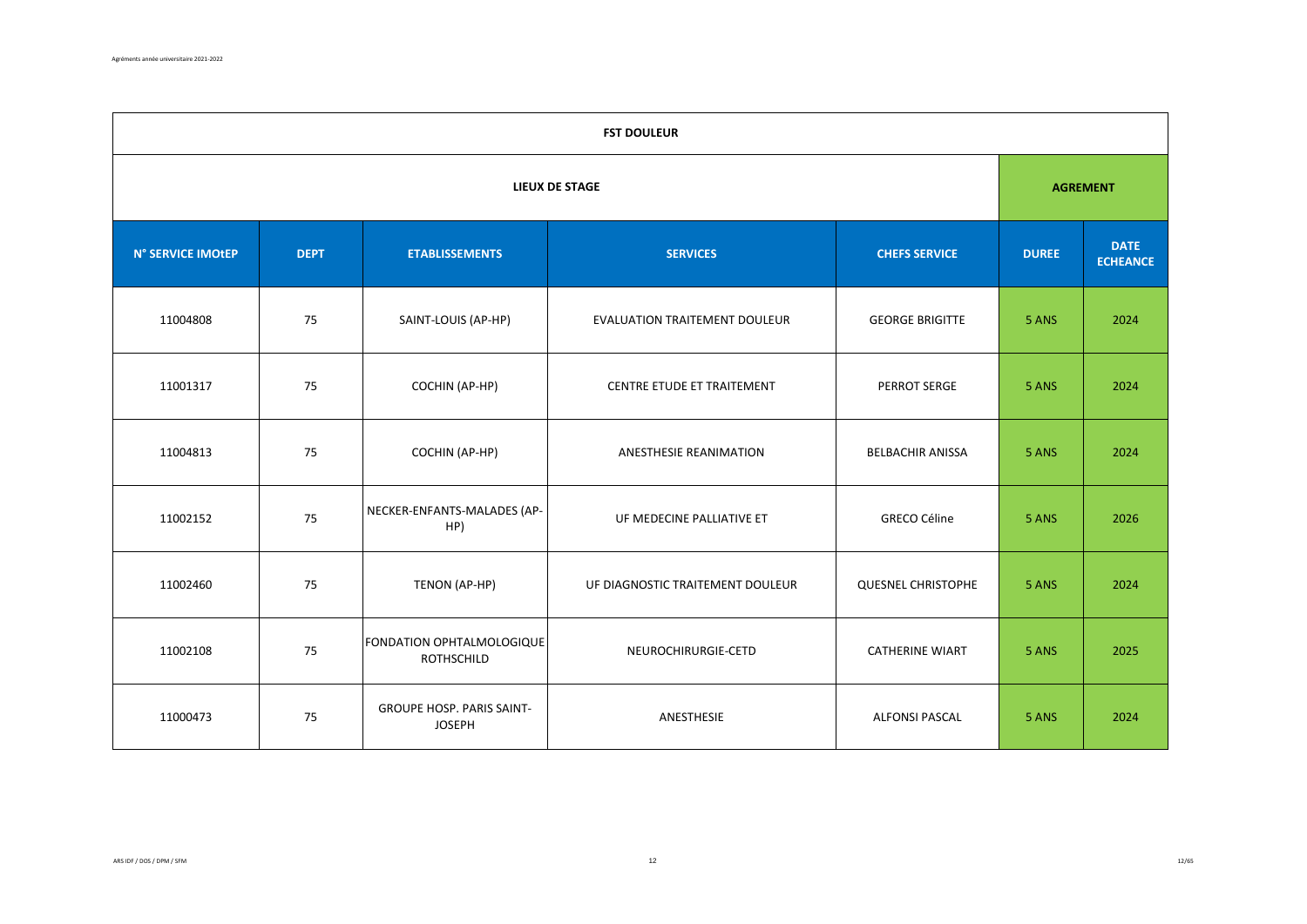|                   | <b>FST DOULEUR</b>                                                              |                                                |                                  |                                |       |                 |  |  |  |
|-------------------|---------------------------------------------------------------------------------|------------------------------------------------|----------------------------------|--------------------------------|-------|-----------------|--|--|--|
|                   |                                                                                 |                                                | <b>LIEUX DE STAGE</b>            |                                |       | <b>AGREMENT</b> |  |  |  |
| N° SERVICE IMOtEP | <b>DEPT</b><br><b>ETABLISSEMENTS</b><br><b>SERVICES</b><br><b>CHEFS SERVICE</b> |                                                | <b>DUREE</b>                     | <b>DATE</b><br><b>ECHEANCE</b> |       |                 |  |  |  |
| 11004808          | 75                                                                              | SAINT-LOUIS (AP-HP)                            | EVALUATION TRAITEMENT DOULEUR    | <b>GEORGE BRIGITTE</b>         | 5 ANS | 2024            |  |  |  |
| 11001317          | 75                                                                              | COCHIN (AP-HP)                                 | CENTRE ETUDE ET TRAITEMENT       | PERROT SERGE                   | 5 ANS | 2024            |  |  |  |
| 11004813          | 75                                                                              | COCHIN (AP-HP)                                 | <b>ANESTHESIE REANIMATION</b>    | <b>BELBACHIR ANISSA</b>        | 5 ANS | 2024            |  |  |  |
| 11002152          | 75                                                                              | NECKER-ENFANTS-MALADES (AP-<br>HP)             | UF MEDECINE PALLIATIVE ET        | <b>GRECO Céline</b>            | 5 ANS | 2026            |  |  |  |
| 11002460          | 75                                                                              | TENON (AP-HP)                                  | UF DIAGNOSTIC TRAITEMENT DOULEUR | <b>QUESNEL CHRISTOPHE</b>      | 5 ANS | 2024            |  |  |  |
| 11002108          | 75                                                                              | FONDATION OPHTALMOLOGIQUE<br><b>ROTHSCHILD</b> | NEUROCHIRURGIE-CETD              | <b>CATHERINE WIART</b>         | 5 ANS | 2025            |  |  |  |
| 11000473          | 75                                                                              | GROUPE HOSP. PARIS SAINT-<br><b>JOSEPH</b>     | ANESTHESIE                       | <b>ALFONSI PASCAL</b>          | 5 ANS | 2024            |  |  |  |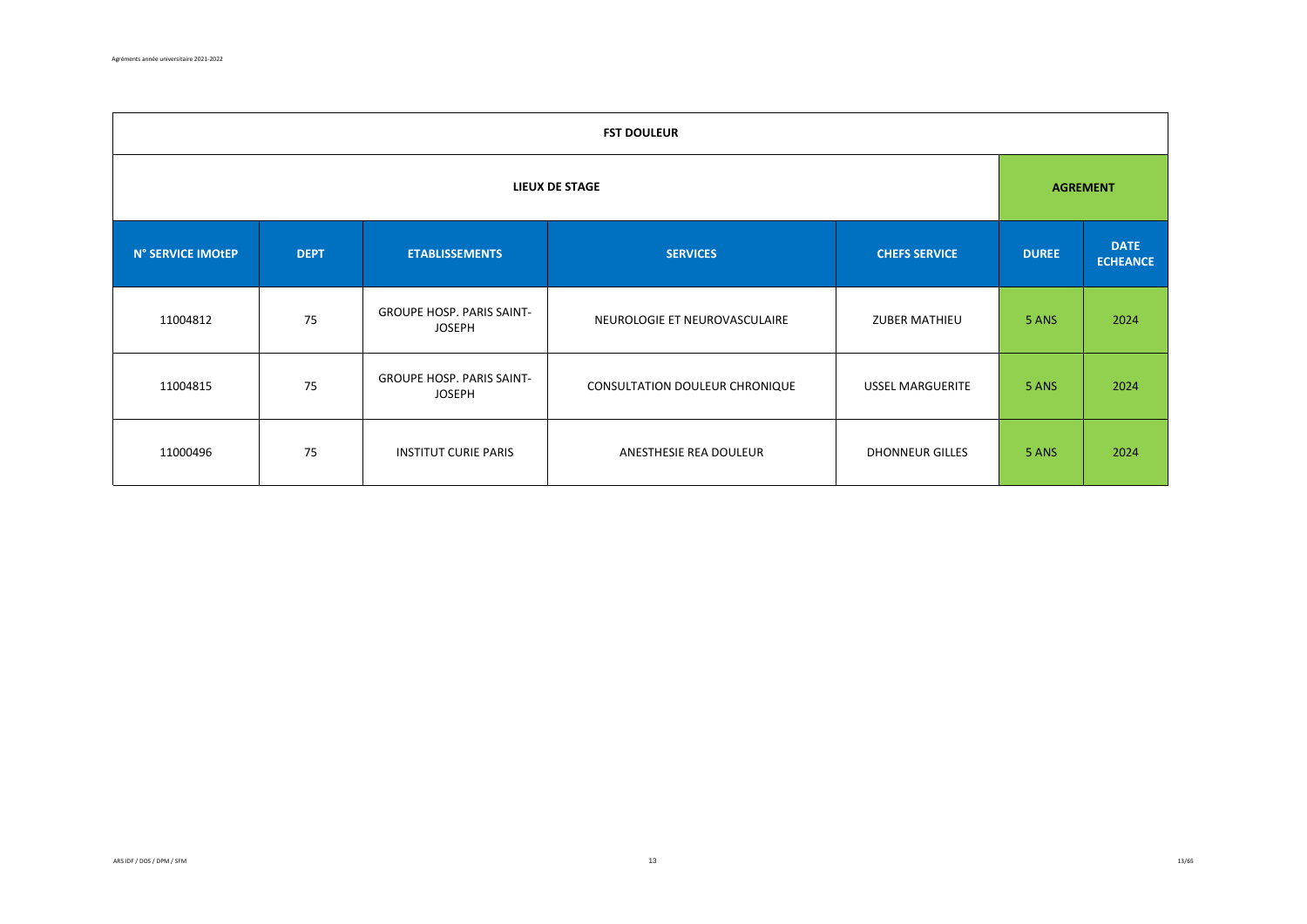| <b>FST DOULEUR</b> |             |                                                   |                                |                         |              |                                |  |  |  |
|--------------------|-------------|---------------------------------------------------|--------------------------------|-------------------------|--------------|--------------------------------|--|--|--|
| LIEUX DE STAGE     |             |                                                   |                                |                         |              | <b>AGREMENT</b>                |  |  |  |
| N° SERVICE IMOtEP  | <b>DEPT</b> | <b>ETABLISSEMENTS</b>                             | <b>SERVICES</b>                | <b>CHEFS SERVICE</b>    | <b>DUREE</b> | <b>DATE</b><br><b>ECHEANCE</b> |  |  |  |
| 11004812           | 75          | <b>GROUPE HOSP. PARIS SAINT-</b><br><b>JOSEPH</b> | NEUROLOGIE ET NEUROVASCULAIRE  | <b>ZUBER MATHIEU</b>    | 5 ANS        | 2024                           |  |  |  |
| 11004815           | 75          | <b>GROUPE HOSP. PARIS SAINT-</b><br><b>JOSEPH</b> | CONSULTATION DOULEUR CHRONIQUE | <b>USSEL MARGUERITE</b> | 5 ANS        | 2024                           |  |  |  |
| 11000496           | 75          | <b>INSTITUT CURIE PARIS</b>                       | ANESTHESIE REA DOULEUR         | <b>DHONNEUR GILLES</b>  | 5 ANS        | 2024                           |  |  |  |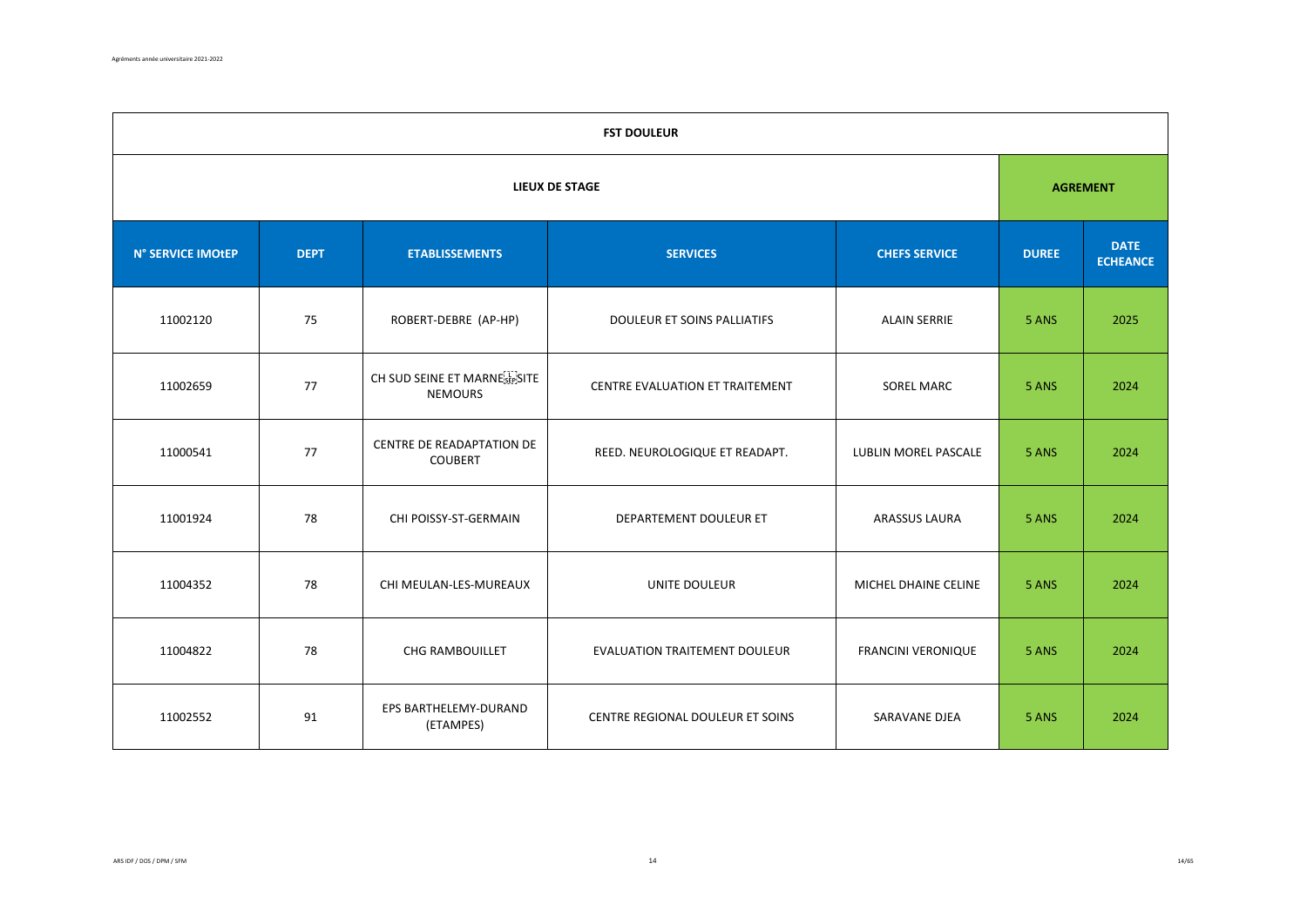|                   | <b>FST DOULEUR</b>    |                                                             |                                  |                      |              |                                |  |  |  |
|-------------------|-----------------------|-------------------------------------------------------------|----------------------------------|----------------------|--------------|--------------------------------|--|--|--|
|                   | <b>LIEUX DE STAGE</b> |                                                             |                                  |                      |              |                                |  |  |  |
| N° SERVICE IMOtEP | <b>DEPT</b>           | <b>ETABLISSEMENTS</b>                                       | <b>SERVICES</b>                  | <b>CHEFS SERVICE</b> | <b>DUREE</b> | <b>DATE</b><br><b>ECHEANCE</b> |  |  |  |
| 11002120          | 75                    | ROBERT-DEBRE (AP-HP)                                        | DOULEUR ET SOINS PALLIATIFS      | <b>ALAIN SERRIE</b>  | 5 ANS        | 2025                           |  |  |  |
| 11002659          | 77                    | CH SUD SEINE ET MARNE <sup>[1]</sup> SITE<br><b>NEMOURS</b> | CENTRE EVALUATION ET TRAITEMENT  | <b>SOREL MARC</b>    | 5 ANS        | 2024                           |  |  |  |
| 11000541          | 77                    | CENTRE DE READAPTATION DE<br><b>COUBERT</b>                 | REED. NEUROLOGIQUE ET READAPT.   | LUBLIN MOREL PASCALE | 5 ANS        | 2024                           |  |  |  |
| 11001924          | 78                    | CHI POISSY-ST-GERMAIN                                       | DEPARTEMENT DOULEUR ET           | <b>ARASSUS LAURA</b> | 5 ANS        | 2024                           |  |  |  |
| 11004352          | 78                    | CHI MEULAN-LES-MUREAUX                                      | UNITE DOULEUR                    | MICHEL DHAINE CELINE | 5 ANS        | 2024                           |  |  |  |
| 11004822          | 78                    | CHG RAMBOUILLET                                             | EVALUATION TRAITEMENT DOULEUR    | FRANCINI VERONIQUE   | 5 ANS        | 2024                           |  |  |  |
| 11002552          | 91                    | EPS BARTHELEMY-DURAND<br>(ETAMPES)                          | CENTRE REGIONAL DOULEUR ET SOINS | SARAVANE DJEA        | 5 ANS        | 2024                           |  |  |  |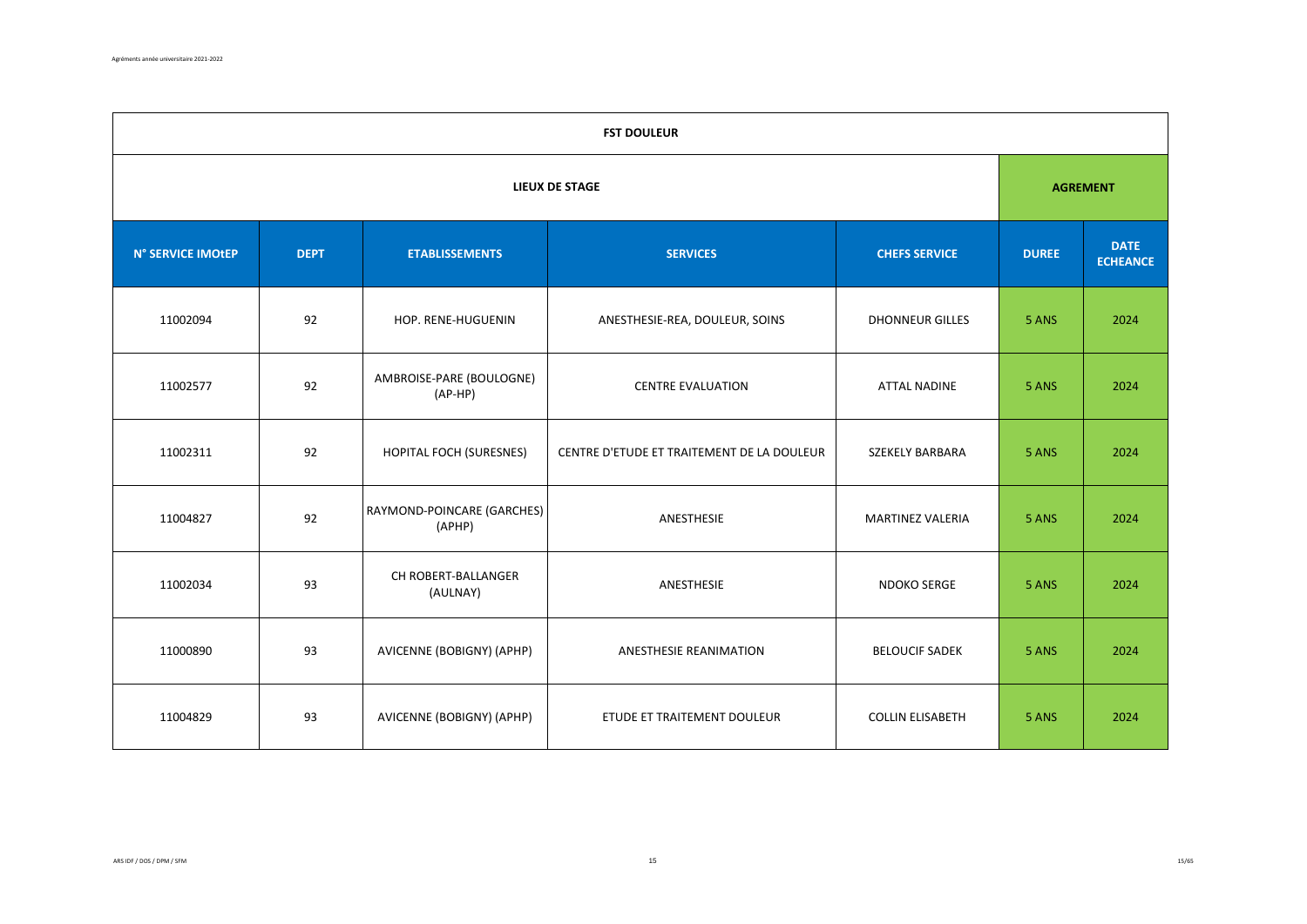|                   | <b>FST DOULEUR</b>    |                                       |                                            |                         |              |                                |  |  |  |
|-------------------|-----------------------|---------------------------------------|--------------------------------------------|-------------------------|--------------|--------------------------------|--|--|--|
|                   | <b>LIEUX DE STAGE</b> |                                       |                                            |                         |              |                                |  |  |  |
| N° SERVICE IMOtEP | <b>DEPT</b>           | <b>ETABLISSEMENTS</b>                 | <b>SERVICES</b>                            | <b>CHEFS SERVICE</b>    | <b>DUREE</b> | <b>DATE</b><br><b>ECHEANCE</b> |  |  |  |
| 11002094          | 92                    | HOP. RENE-HUGUENIN                    | ANESTHESIE-REA, DOULEUR, SOINS             | <b>DHONNEUR GILLES</b>  | 5 ANS        | 2024                           |  |  |  |
| 11002577          | 92                    | AMBROISE-PARE (BOULOGNE)<br>$(AP-HP)$ | <b>CENTRE EVALUATION</b>                   | <b>ATTAL NADINE</b>     | 5 ANS        | 2024                           |  |  |  |
| 11002311          | 92                    | <b>HOPITAL FOCH (SURESNES)</b>        | CENTRE D'ETUDE ET TRAITEMENT DE LA DOULEUR | SZEKELY BARBARA         | 5 ANS        | 2024                           |  |  |  |
| 11004827          | 92                    | RAYMOND-POINCARE (GARCHES)<br>(APHP)  | ANESTHESIE                                 | <b>MARTINEZ VALERIA</b> | 5 ANS        | 2024                           |  |  |  |
| 11002034          | 93                    | CH ROBERT-BALLANGER<br>(AULNAY)       | ANESTHESIE                                 | <b>NDOKO SERGE</b>      | 5 ANS        | 2024                           |  |  |  |
| 11000890          | 93                    | AVICENNE (BOBIGNY) (APHP)             | ANESTHESIE REANIMATION                     | <b>BELOUCIF SADEK</b>   | 5 ANS        | 2024                           |  |  |  |
| 11004829          | 93                    | AVICENNE (BOBIGNY) (APHP)             | ETUDE ET TRAITEMENT DOULEUR                | <b>COLLIN ELISABETH</b> | 5 ANS        | 2024                           |  |  |  |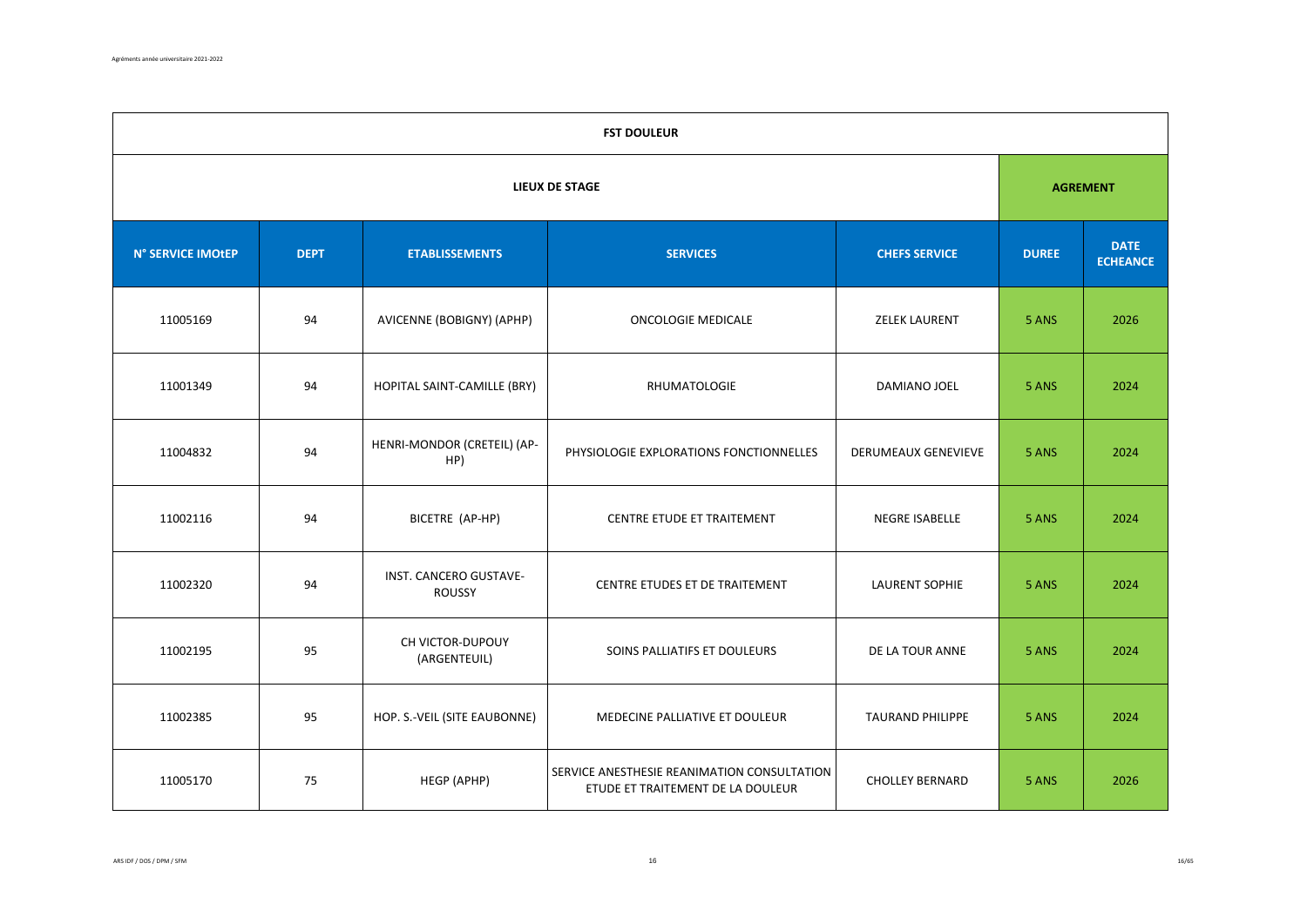|                   | <b>FST DOULEUR</b>    |                                         |                                                                                  |                            |              |                                |  |  |  |
|-------------------|-----------------------|-----------------------------------------|----------------------------------------------------------------------------------|----------------------------|--------------|--------------------------------|--|--|--|
|                   | <b>LIEUX DE STAGE</b> |                                         |                                                                                  |                            |              |                                |  |  |  |
| N° SERVICE IMOtEP | <b>DEPT</b>           | <b>ETABLISSEMENTS</b>                   | <b>SERVICES</b>                                                                  | <b>CHEFS SERVICE</b>       | <b>DUREE</b> | <b>DATE</b><br><b>ECHEANCE</b> |  |  |  |
| 11005169          | 94                    | AVICENNE (BOBIGNY) (APHP)               | <b>ONCOLOGIE MEDICALE</b>                                                        | <b>ZELEK LAURENT</b>       | 5 ANS        | 2026                           |  |  |  |
| 11001349          | 94                    | HOPITAL SAINT-CAMILLE (BRY)             | <b>RHUMATOLOGIE</b>                                                              | DAMIANO JOEL               | 5 ANS        | 2024                           |  |  |  |
| 11004832          | 94                    | HENRI-MONDOR (CRETEIL) (AP-<br>HP)      | PHYSIOLOGIE EXPLORATIONS FONCTIONNELLES                                          | <b>DERUMEAUX GENEVIEVE</b> | 5 ANS        | 2024                           |  |  |  |
| 11002116          | 94                    | BICETRE (AP-HP)                         | CENTRE ETUDE ET TRAITEMENT                                                       | NEGRE ISABELLE             | 5 ANS        | 2024                           |  |  |  |
| 11002320          | 94                    | INST. CANCERO GUSTAVE-<br><b>ROUSSY</b> | CENTRE ETUDES ET DE TRAITEMENT                                                   | <b>LAURENT SOPHIE</b>      | 5 ANS        | 2024                           |  |  |  |
| 11002195          | 95                    | CH VICTOR-DUPOUY<br>(ARGENTEUIL)        | SOINS PALLIATIFS ET DOULEURS                                                     | DE LA TOUR ANNE            | 5 ANS        | 2024                           |  |  |  |
| 11002385          | 95                    | HOP. S.-VEIL (SITE EAUBONNE)            | MEDECINE PALLIATIVE ET DOULEUR                                                   | <b>TAURAND PHILIPPE</b>    | 5 ANS        | 2024                           |  |  |  |
| 11005170          | 75                    | HEGP (APHP)                             | SERVICE ANESTHESIE REANIMATION CONSULTATION<br>ETUDE ET TRAITEMENT DE LA DOULEUR | <b>CHOLLEY BERNARD</b>     | 5 ANS        | 2026                           |  |  |  |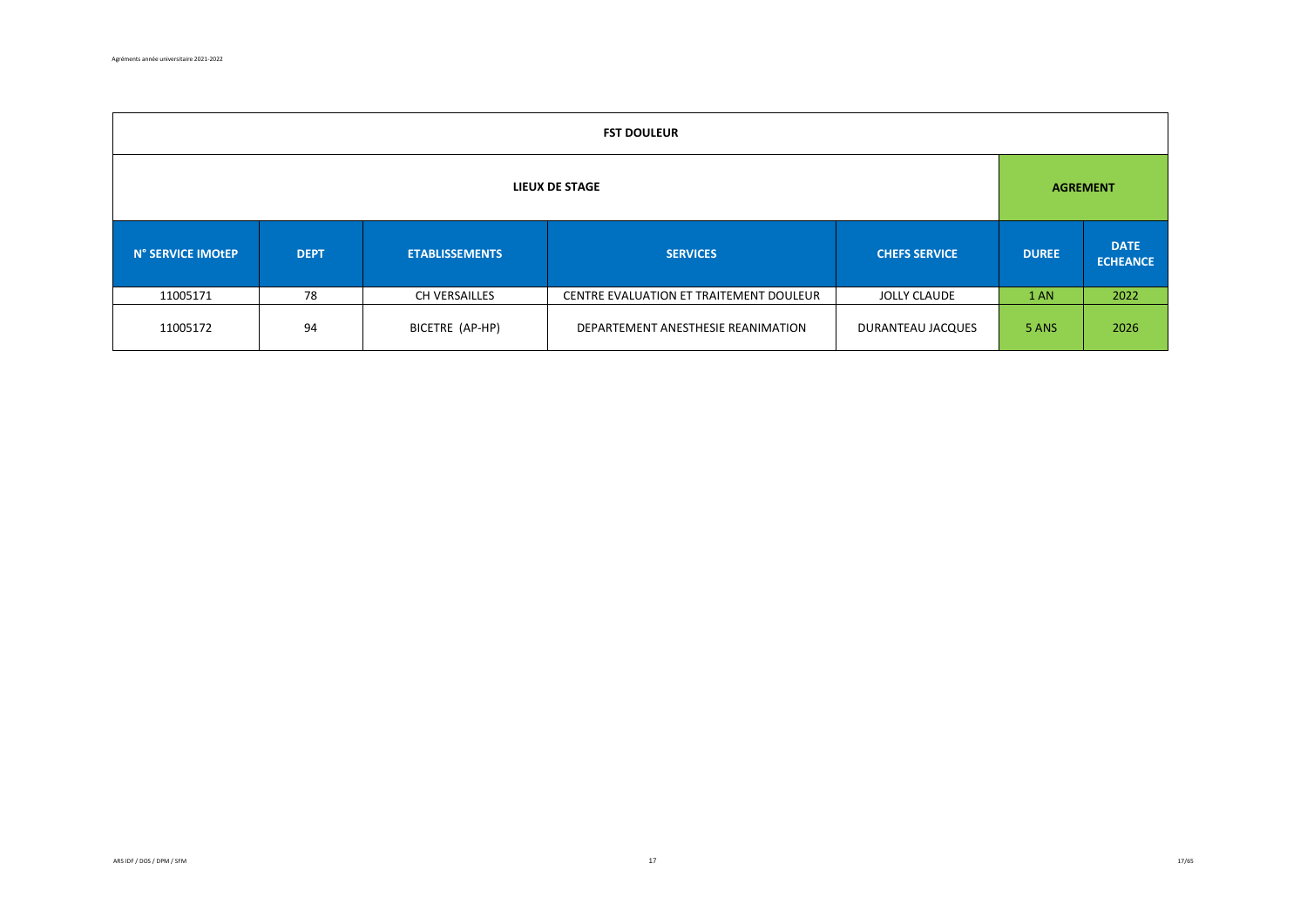| <b>FST DOULEUR</b>    |             |                       |                                         |                      |              |                                |  |  |
|-----------------------|-------------|-----------------------|-----------------------------------------|----------------------|--------------|--------------------------------|--|--|
| <b>LIEUX DE STAGE</b> |             |                       |                                         |                      |              | <b>AGREMENT</b>                |  |  |
| N° SERVICE IMOtEP     | <b>DEPT</b> | <b>ETABLISSEMENTS</b> | <b>SERVICES</b>                         | <b>CHEFS SERVICE</b> | <b>DUREE</b> | <b>DATE</b><br><b>ECHEANCE</b> |  |  |
| 11005171              | 78          | CH VERSAILLES         | CENTRE EVALUATION ET TRAITEMENT DOULEUR | <b>JOLLY CLAUDE</b>  | 1 AN         | 2022                           |  |  |
| 11005172              | 94          | BICETRE (AP-HP)       | DEPARTEMENT ANESTHESIE REANIMATION      | DURANTEAU JACQUES    | 5 ANS        | 2026                           |  |  |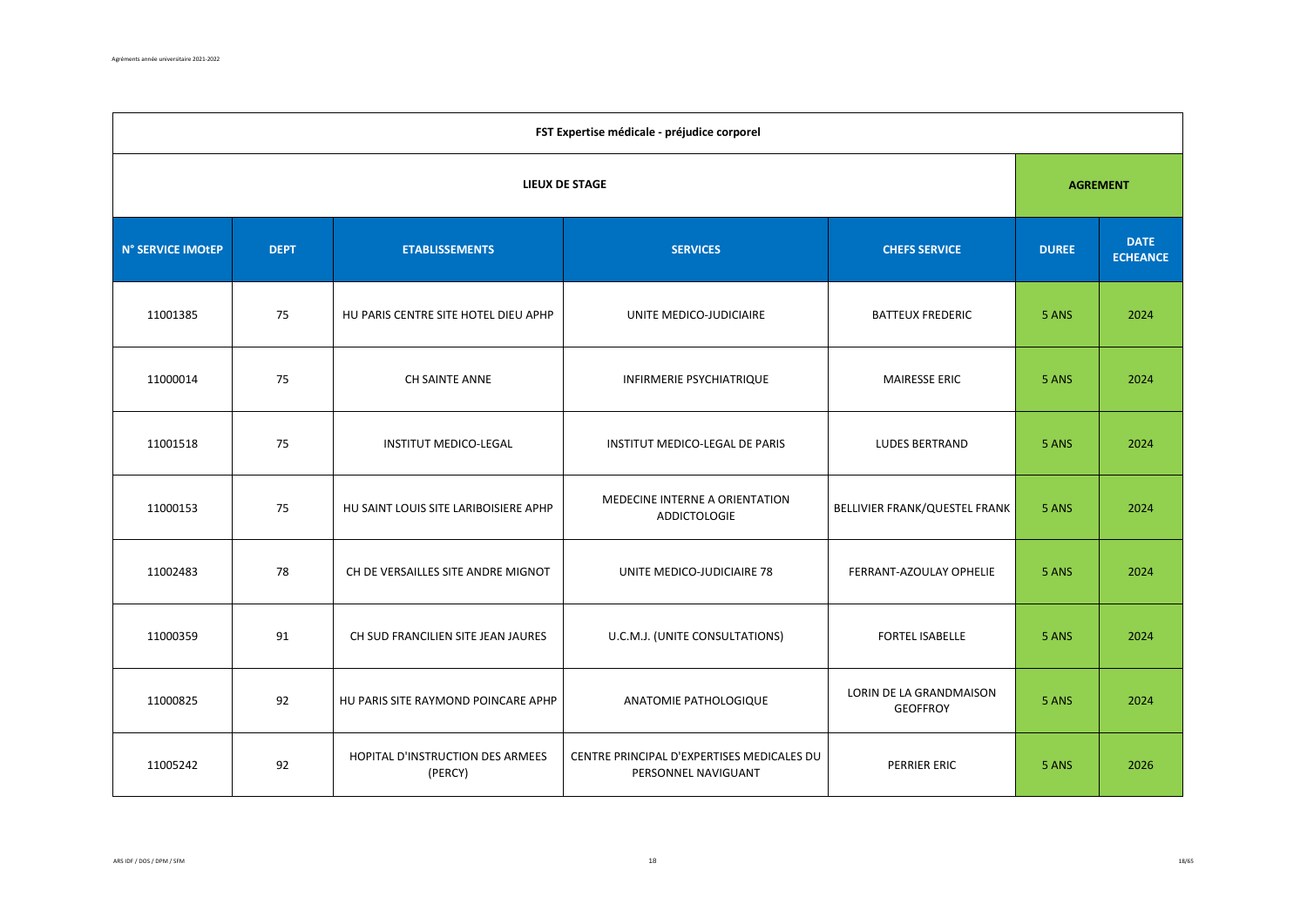| FST Expertise médicale - préjudice corporel |                       |                                             |                                                                   |                                            |              |                                |  |  |  |
|---------------------------------------------|-----------------------|---------------------------------------------|-------------------------------------------------------------------|--------------------------------------------|--------------|--------------------------------|--|--|--|
|                                             | <b>LIEUX DE STAGE</b> |                                             |                                                                   |                                            |              |                                |  |  |  |
| N° SERVICE IMOtEP                           | <b>DEPT</b>           | <b>ETABLISSEMENTS</b>                       | <b>SERVICES</b>                                                   | <b>CHEFS SERVICE</b>                       | <b>DUREE</b> | <b>DATE</b><br><b>ECHEANCE</b> |  |  |  |
| 11001385                                    | 75                    | HU PARIS CENTRE SITE HOTEL DIEU APHP        | UNITE MEDICO-JUDICIAIRE                                           | <b>BATTEUX FREDERIC</b>                    | 5 ANS        | 2024                           |  |  |  |
| 11000014                                    | 75                    | CH SAINTE ANNE                              | <b>INFIRMERIE PSYCHIATRIQUE</b>                                   | <b>MAIRESSE ERIC</b>                       | 5 ANS        | 2024                           |  |  |  |
| 11001518                                    | 75                    | <b>INSTITUT MEDICO-LEGAL</b>                | INSTITUT MEDICO-LEGAL DE PARIS                                    | <b>LUDES BERTRAND</b>                      | 5 ANS        | 2024                           |  |  |  |
| 11000153                                    | 75                    | HU SAINT LOUIS SITE LARIBOISIERE APHP       | MEDECINE INTERNE A ORIENTATION<br><b>ADDICTOLOGIE</b>             | BELLIVIER FRANK/QUESTEL FRANK              | 5 ANS        | 2024                           |  |  |  |
| 11002483                                    | 78                    | CH DE VERSAILLES SITE ANDRE MIGNOT          | UNITE MEDICO-JUDICIAIRE 78                                        | FERRANT-AZOULAY OPHELIE                    | 5 ANS        | 2024                           |  |  |  |
| 11000359                                    | 91                    | CH SUD FRANCILIEN SITE JEAN JAURES          | U.C.M.J. (UNITE CONSULTATIONS)                                    | <b>FORTEL ISABELLE</b>                     | 5 ANS        | 2024                           |  |  |  |
| 11000825                                    | 92                    | HU PARIS SITE RAYMOND POINCARE APHP         | ANATOMIE PATHOLOGIQUE                                             | LORIN DE LA GRANDMAISON<br><b>GEOFFROY</b> | 5 ANS        | 2024                           |  |  |  |
| 11005242                                    | 92                    | HOPITAL D'INSTRUCTION DES ARMEES<br>(PERCY) | CENTRE PRINCIPAL D'EXPERTISES MEDICALES DU<br>PERSONNEL NAVIGUANT | PERRIER ERIC                               | 5 ANS        | 2026                           |  |  |  |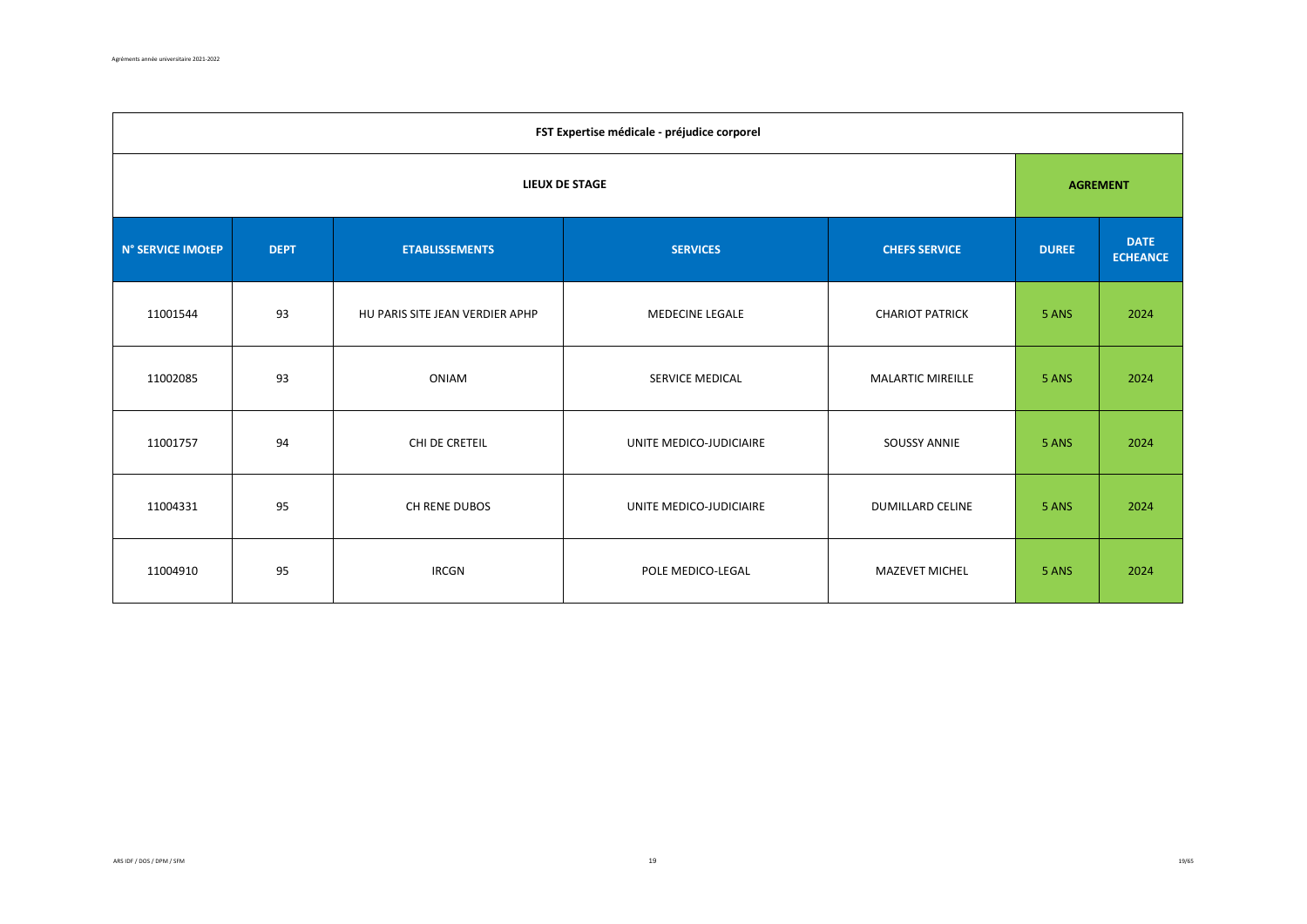| FST Expertise médicale - préjudice corporel |             |                                 |                         |                          |              |                                |  |  |  |
|---------------------------------------------|-------------|---------------------------------|-------------------------|--------------------------|--------------|--------------------------------|--|--|--|
|                                             |             | <b>AGREMENT</b>                 |                         |                          |              |                                |  |  |  |
| N° SERVICE IMOtEP                           | <b>DEPT</b> | <b>ETABLISSEMENTS</b>           | <b>SERVICES</b>         | <b>CHEFS SERVICE</b>     | <b>DUREE</b> | <b>DATE</b><br><b>ECHEANCE</b> |  |  |  |
| 11001544                                    | 93          | HU PARIS SITE JEAN VERDIER APHP | <b>MEDECINE LEGALE</b>  | <b>CHARIOT PATRICK</b>   | 5 ANS        | 2024                           |  |  |  |
| 11002085                                    | 93          | ONIAM                           | SERVICE MEDICAL         | <b>MALARTIC MIREILLE</b> | 5 ANS        | 2024                           |  |  |  |
| 11001757                                    | 94          | CHI DE CRETEIL                  | UNITE MEDICO-JUDICIAIRE | <b>SOUSSY ANNIE</b>      | 5 ANS        | 2024                           |  |  |  |
| 11004331                                    | 95          | CH RENE DUBOS                   | UNITE MEDICO-JUDICIAIRE | DUMILLARD CELINE         | 5 ANS        | 2024                           |  |  |  |
| 11004910                                    | 95          | <b>IRCGN</b>                    | POLE MEDICO-LEGAL       | <b>MAZEVET MICHEL</b>    | 5 ANS        | 2024                           |  |  |  |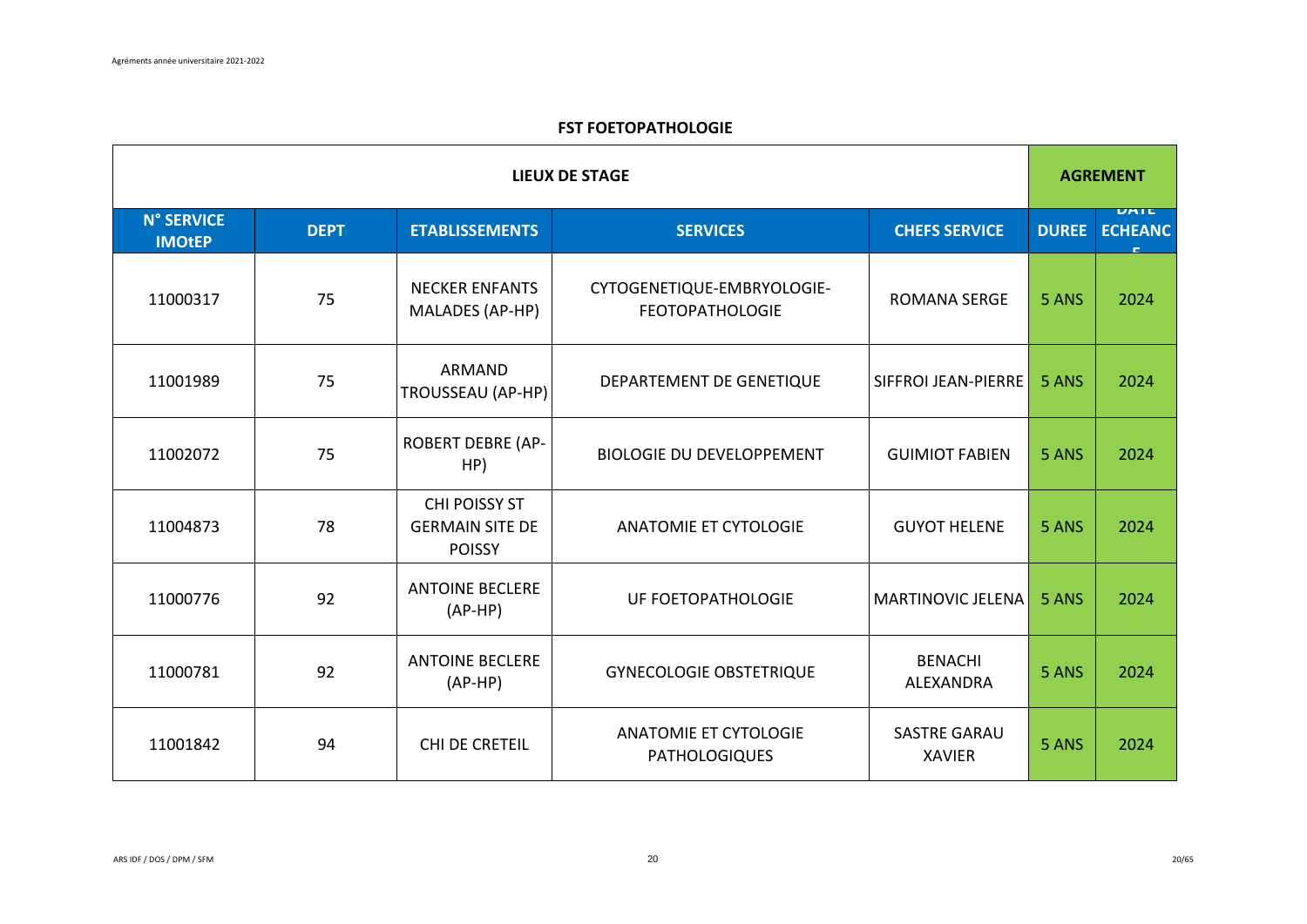## **FST FOETOPATHOLOGIE**

|                                    | <b>LIEUX DE STAGE</b> |                                                          |                                                      |                                      |              |                        |
|------------------------------------|-----------------------|----------------------------------------------------------|------------------------------------------------------|--------------------------------------|--------------|------------------------|
| <b>N° SERVICE</b><br><b>IMOtEP</b> | <b>DEPT</b>           | <b>ETABLISSEMENTS</b>                                    | <b>SERVICES</b>                                      | <b>CHEFS SERVICE</b>                 | <b>DUREE</b> | UATE<br><b>ECHEANC</b> |
| 11000317                           | 75                    | <b>NECKER ENFANTS</b><br>MALADES (AP-HP)                 | CYTOGENETIQUE-EMBRYOLOGIE-<br><b>FEOTOPATHOLOGIE</b> | <b>ROMANA SERGE</b>                  | 5 ANS        | 2024                   |
| 11001989                           | 75                    | ARMAND<br>TROUSSEAU (AP-HP)                              | DEPARTEMENT DE GENETIQUE                             | SIFFROI JEAN-PIERRE                  | 5 ANS        | 2024                   |
| 11002072                           | 75                    | <b>ROBERT DEBRE (AP-</b><br>HP)                          | <b>BIOLOGIE DU DEVELOPPEMENT</b>                     | <b>GUIMIOT FABIEN</b>                | 5 ANS        | 2024                   |
| 11004873                           | 78                    | CHI POISSY ST<br><b>GERMAIN SITE DE</b><br><b>POISSY</b> | <b>ANATOMIE ET CYTOLOGIE</b>                         | <b>GUYOT HELENE</b>                  | 5 ANS        | 2024                   |
| 11000776                           | 92                    | <b>ANTOINE BECLERE</b><br>$(AP-HP)$                      | UF FOETOPATHOLOGIE                                   | MARTINOVIC JELENA                    | 5 ANS        | 2024                   |
| 11000781                           | 92                    | <b>ANTOINE BECLERE</b><br>$(AP-HP)$                      | <b>GYNECOLOGIE OBSTETRIQUE</b>                       | <b>BENACHI</b><br>ALEXANDRA          | 5 ANS        | 2024                   |
| 11001842                           | 94                    | CHI DE CRETEIL                                           | <b>ANATOMIE ET CYTOLOGIE</b><br><b>PATHOLOGIQUES</b> | <b>SASTRE GARAU</b><br><b>XAVIER</b> | 5 ANS        | 2024                   |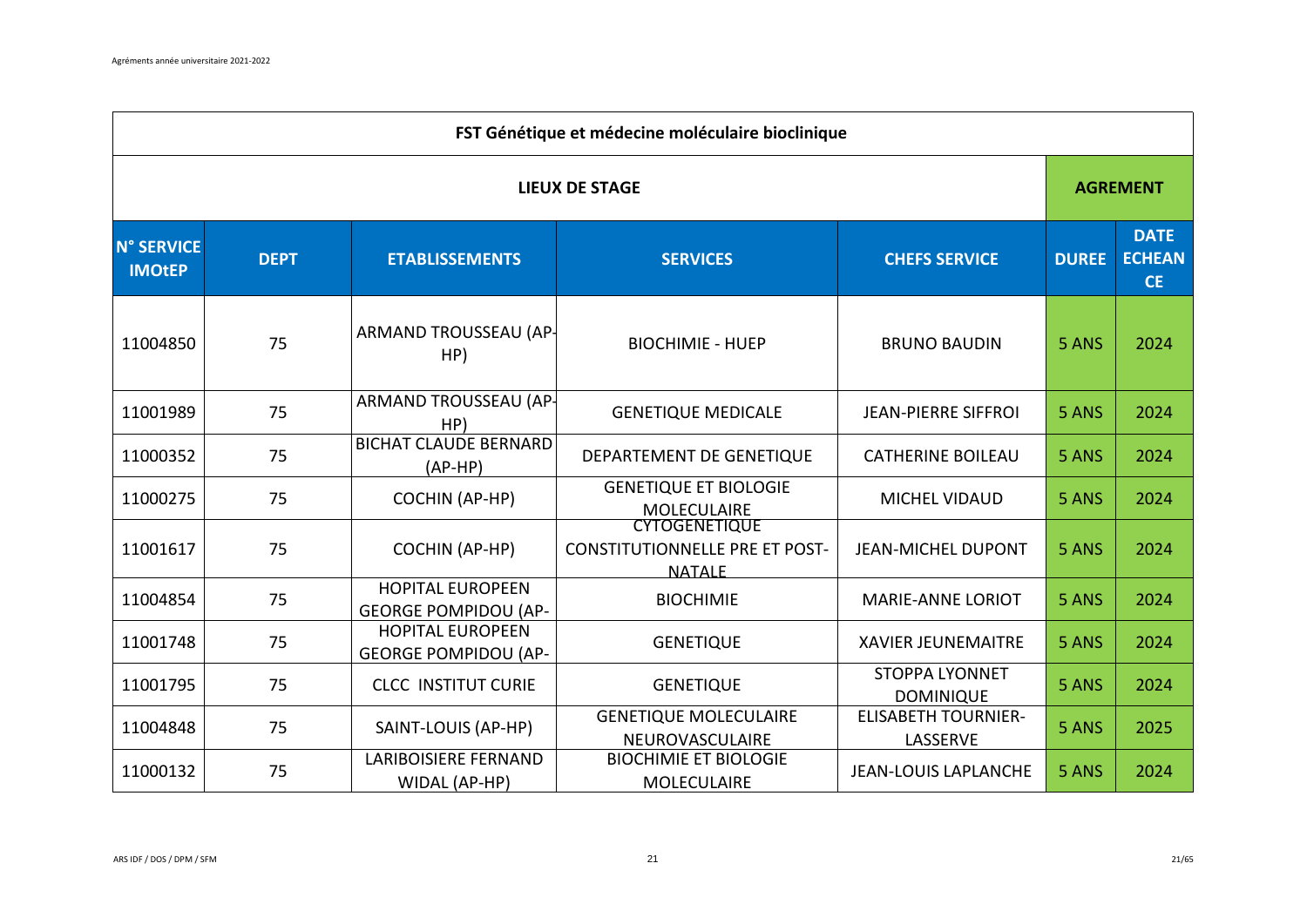|                                    | FST Génétique et médecine moléculaire bioclinique |                                                        |                                                                                |                                           |              |                                           |  |  |  |
|------------------------------------|---------------------------------------------------|--------------------------------------------------------|--------------------------------------------------------------------------------|-------------------------------------------|--------------|-------------------------------------------|--|--|--|
|                                    | <b>LIEUX DE STAGE</b>                             |                                                        |                                                                                |                                           |              |                                           |  |  |  |
| <b>N° SERVICE</b><br><b>IMOtEP</b> | <b>DEPT</b>                                       | <b>ETABLISSEMENTS</b>                                  | <b>SERVICES</b>                                                                | <b>CHEFS SERVICE</b>                      | <b>DUREE</b> | <b>DATE</b><br><b>ECHEAN</b><br><b>CE</b> |  |  |  |
| 11004850                           | 75                                                | ARMAND TROUSSEAU (AP-<br>HP)                           | <b>BIOCHIMIE - HUEP</b>                                                        | <b>BRUNO BAUDIN</b>                       | 5 ANS        | 2024                                      |  |  |  |
| 11001989                           | 75                                                | ARMAND TROUSSEAU (AP-<br>HP)                           | <b>GENETIQUE MEDICALE</b>                                                      | <b>JEAN-PIERRE SIFFROI</b>                | 5 ANS        | 2024                                      |  |  |  |
| 11000352                           | 75                                                | <b>BICHAT CLAUDE BERNARD</b><br>$(AP-HP)$              | DEPARTEMENT DE GENETIQUE                                                       | <b>CATHERINE BOILEAU</b>                  | 5 ANS        | 2024                                      |  |  |  |
| 11000275                           | 75                                                | <b>COCHIN (AP-HP)</b>                                  | <b>GENETIQUE ET BIOLOGIE</b><br><b>MOLECULAIRE</b>                             | <b>MICHEL VIDAUD</b>                      | 5 ANS        | 2024                                      |  |  |  |
| 11001617                           | 75                                                | <b>COCHIN (AP-HP)</b>                                  | <b>CYTOGENETIQUE</b><br><b>CONSTITUTIONNELLE PRE ET POST-</b><br><b>NATALE</b> | <b>JEAN-MICHEL DUPONT</b>                 | 5 ANS        | 2024                                      |  |  |  |
| 11004854                           | 75                                                | <b>HOPITAL EUROPEEN</b><br><b>GEORGE POMPIDOU (AP-</b> | <b>BIOCHIMIE</b>                                                               | <b>MARIE-ANNE LORIOT</b>                  | 5 ANS        | 2024                                      |  |  |  |
| 11001748                           | 75                                                | <b>HOPITAL EUROPEEN</b><br><b>GEORGE POMPIDOU (AP-</b> | <b>GENETIQUE</b>                                                               | <b>XAVIER JEUNEMAITRE</b>                 | 5 ANS        | 2024                                      |  |  |  |
| 11001795                           | 75                                                | <b>CLCC INSTITUT CURIE</b>                             | <b>GENETIQUE</b>                                                               | <b>STOPPA LYONNET</b><br><b>DOMINIQUE</b> | 5 ANS        | 2024                                      |  |  |  |
| 11004848                           | 75                                                | SAINT-LOUIS (AP-HP)                                    | <b>GENETIQUE MOLECULAIRE</b><br>NEUROVASCULAIRE                                | <b>ELISABETH TOURNIER-</b><br>LASSERVE    | 5 ANS        | 2025                                      |  |  |  |
| 11000132                           | 75                                                | <b>LARIBOISIERE FERNAND</b><br>WIDAL (AP-HP)           | <b>BIOCHIMIE ET BIOLOGIE</b><br><b>MOLECULAIRE</b>                             | <b>JEAN-LOUIS LAPLANCHE</b>               | 5 ANS        | 2024                                      |  |  |  |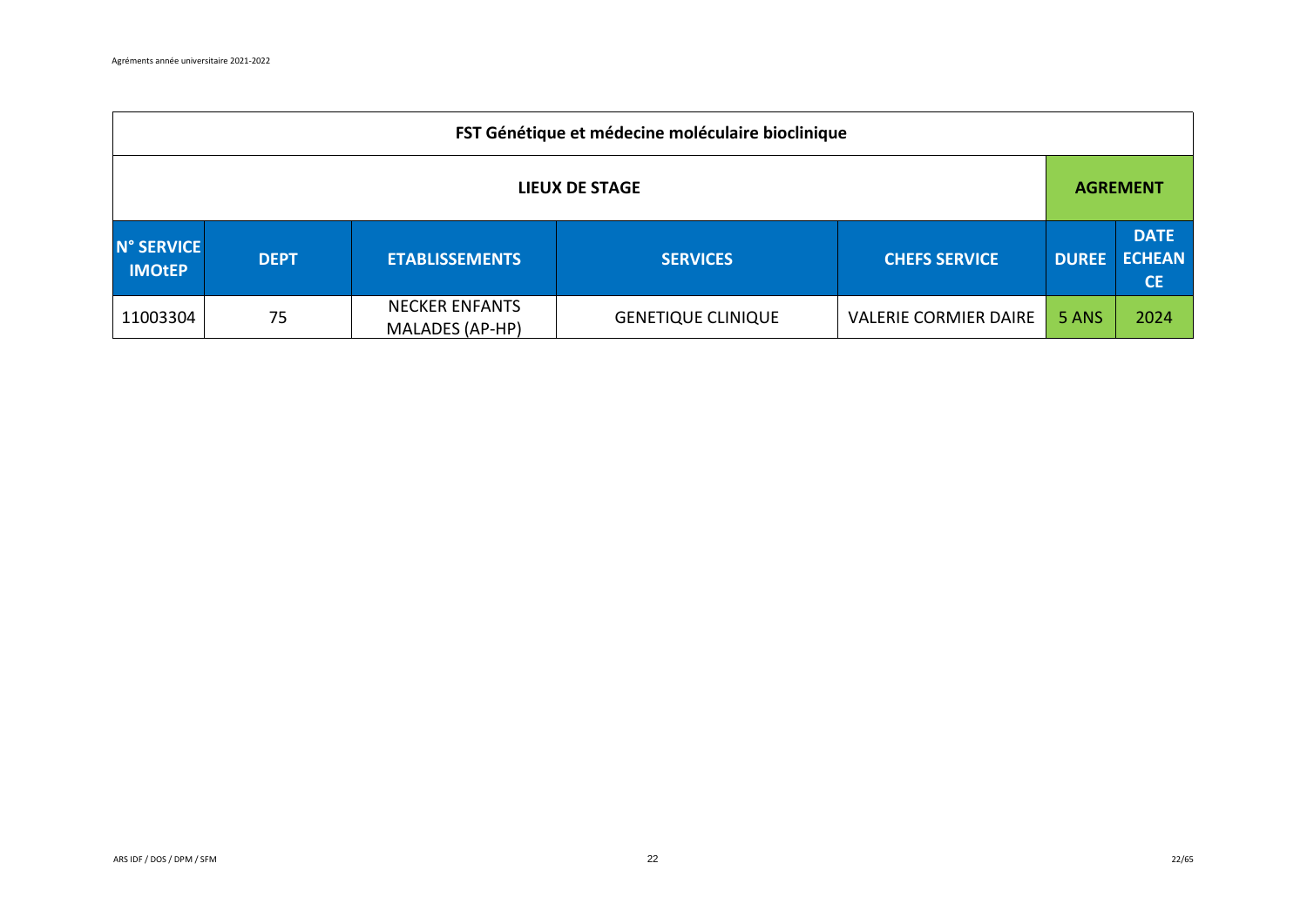|                             | FST Génétique et médecine moléculaire bioclinique |                                                 |                           |                              |              |                                           |  |  |  |
|-----------------------------|---------------------------------------------------|-------------------------------------------------|---------------------------|------------------------------|--------------|-------------------------------------------|--|--|--|
| <b>LIEUX DE STAGE</b>       |                                                   |                                                 |                           |                              |              | <b>AGREMENT</b>                           |  |  |  |
| N° SERVICE<br><b>IMOtEP</b> | <b>DEPT</b>                                       | <b>ETABLISSEMENTS</b>                           | <b>SERVICES</b>           | <b>CHEFS SERVICE</b>         | <b>DUREE</b> | <b>DATE</b><br><b>ECHEAN</b><br><b>CE</b> |  |  |  |
| 11003304                    | 75                                                | <b>NECKER ENFANTS</b><br><b>MALADES (AP-HP)</b> | <b>GENETIQUE CLINIQUE</b> | <b>VALERIE CORMIER DAIRE</b> | 5 ANS        | 2024                                      |  |  |  |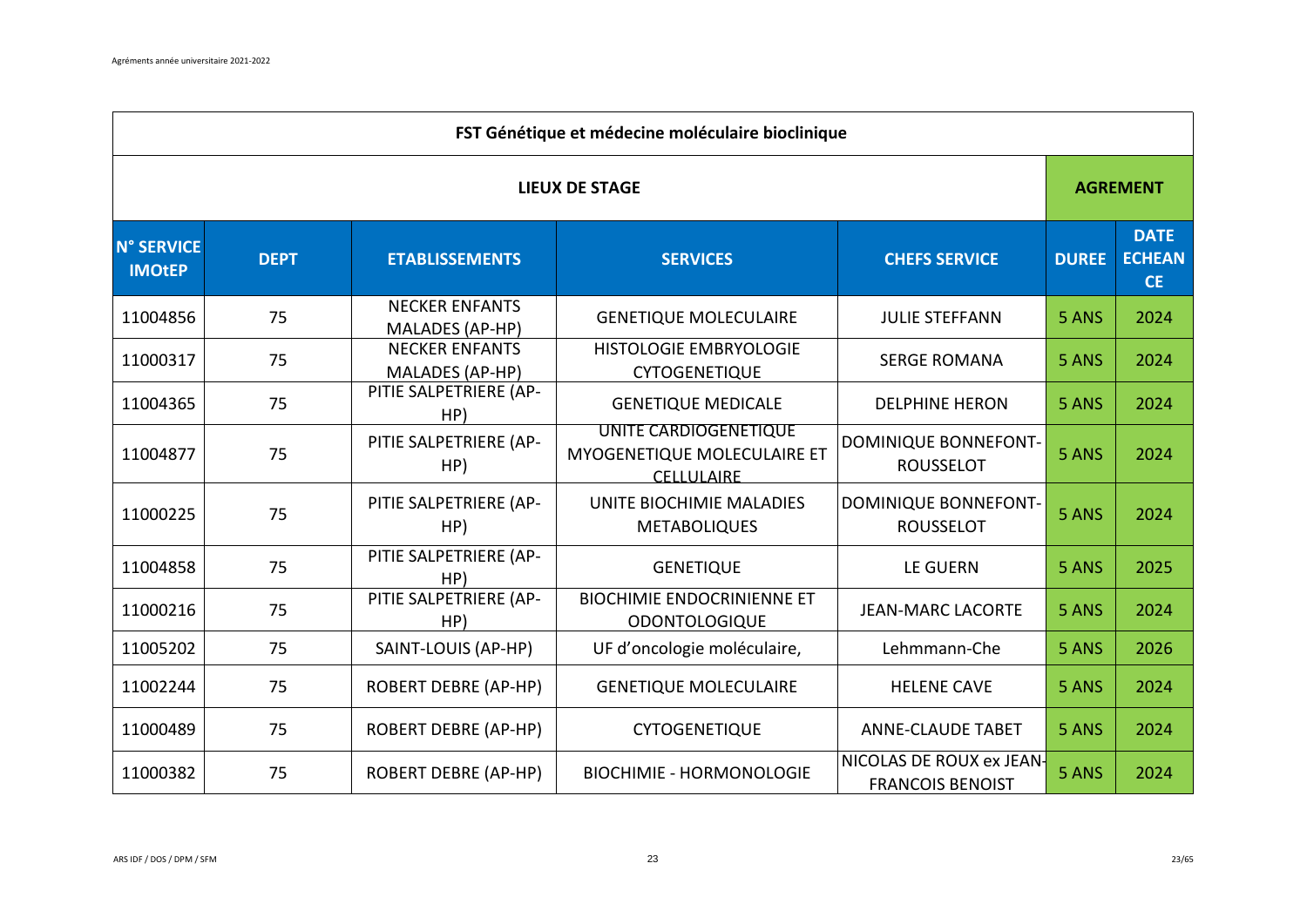|                                    | FST Génétique et médecine moléculaire bioclinique |                                                 |                                                                    |                                                     |              |                                           |  |  |  |  |
|------------------------------------|---------------------------------------------------|-------------------------------------------------|--------------------------------------------------------------------|-----------------------------------------------------|--------------|-------------------------------------------|--|--|--|--|
|                                    | <b>LIEUX DE STAGE</b>                             |                                                 |                                                                    |                                                     |              |                                           |  |  |  |  |
| <b>N° SERVICE</b><br><b>IMOtEP</b> | <b>DEPT</b>                                       | <b>ETABLISSEMENTS</b>                           | <b>SERVICES</b>                                                    | <b>CHEFS SERVICE</b>                                | <b>DUREE</b> | <b>DATE</b><br><b>ECHEAN</b><br><b>CE</b> |  |  |  |  |
| 11004856                           | 75                                                | <b>NECKER ENFANTS</b><br>MALADES (AP-HP)        | <b>GENETIQUE MOLECULAIRE</b>                                       | <b>JULIE STEFFANN</b>                               | 5 ANS        | 2024                                      |  |  |  |  |
| 11000317                           | 75                                                | <b>NECKER ENFANTS</b><br><b>MALADES (AP-HP)</b> | HISTOLOGIE EMBRYOLOGIE<br><b>CYTOGENETIQUE</b>                     | <b>SERGE ROMANA</b>                                 | 5 ANS        | 2024                                      |  |  |  |  |
| 11004365                           | 75                                                | PITIE SALPETRIERE (AP-<br>HP)                   | <b>GENETIQUE MEDICALE</b>                                          | <b>DELPHINE HERON</b>                               | 5 ANS        | 2024                                      |  |  |  |  |
| 11004877                           | 75                                                | PITIE SALPETRIERE (AP-<br>HP)                   | UNITE CARDIOGENETIQUE<br>MYOGENETIQUE MOLECULAIRE ET<br>CELLULAIRE | DOMINIQUE BONNEFONT-<br><b>ROUSSELOT</b>            | 5 ANS        | 2024                                      |  |  |  |  |
| 11000225                           | 75                                                | PITIE SALPETRIERE (AP-<br>HP)                   | UNITE BIOCHIMIE MALADIES<br><b>METABOLIQUES</b>                    | <b>DOMINIQUE BONNEFONT-</b><br><b>ROUSSELOT</b>     | 5 ANS        | 2024                                      |  |  |  |  |
| 11004858                           | 75                                                | PITIE SALPETRIERE (AP-<br>HP)                   | <b>GENETIQUE</b>                                                   | <b>LE GUERN</b>                                     | 5 ANS        | 2025                                      |  |  |  |  |
| 11000216                           | 75                                                | PITIE SALPETRIERE (AP-<br>HP)                   | <b>BIOCHIMIE ENDOCRINIENNE ET</b><br><b>ODONTOLOGIQUE</b>          | <b>JEAN-MARC LACORTE</b>                            | 5 ANS        | 2024                                      |  |  |  |  |
| 11005202                           | 75                                                | SAINT-LOUIS (AP-HP)                             | UF d'oncologie moléculaire,                                        | Lehmmann-Che                                        | 5 ANS        | 2026                                      |  |  |  |  |
| 11002244                           | 75                                                | <b>ROBERT DEBRE (AP-HP)</b>                     | <b>GENETIQUE MOLECULAIRE</b>                                       | <b>HELENE CAVE</b>                                  | 5 ANS        | 2024                                      |  |  |  |  |
| 11000489                           | 75                                                | <b>ROBERT DEBRE (AP-HP)</b>                     | <b>CYTOGENETIQUE</b>                                               | <b>ANNE-CLAUDE TABET</b>                            | 5 ANS        | 2024                                      |  |  |  |  |
| 11000382                           | 75                                                | <b>ROBERT DEBRE (AP-HP)</b>                     | <b>BIOCHIMIE - HORMONOLOGIE</b>                                    | NICOLAS DE ROUX ex JEAN-<br><b>FRANCOIS BENOIST</b> | 5 ANS        | 2024                                      |  |  |  |  |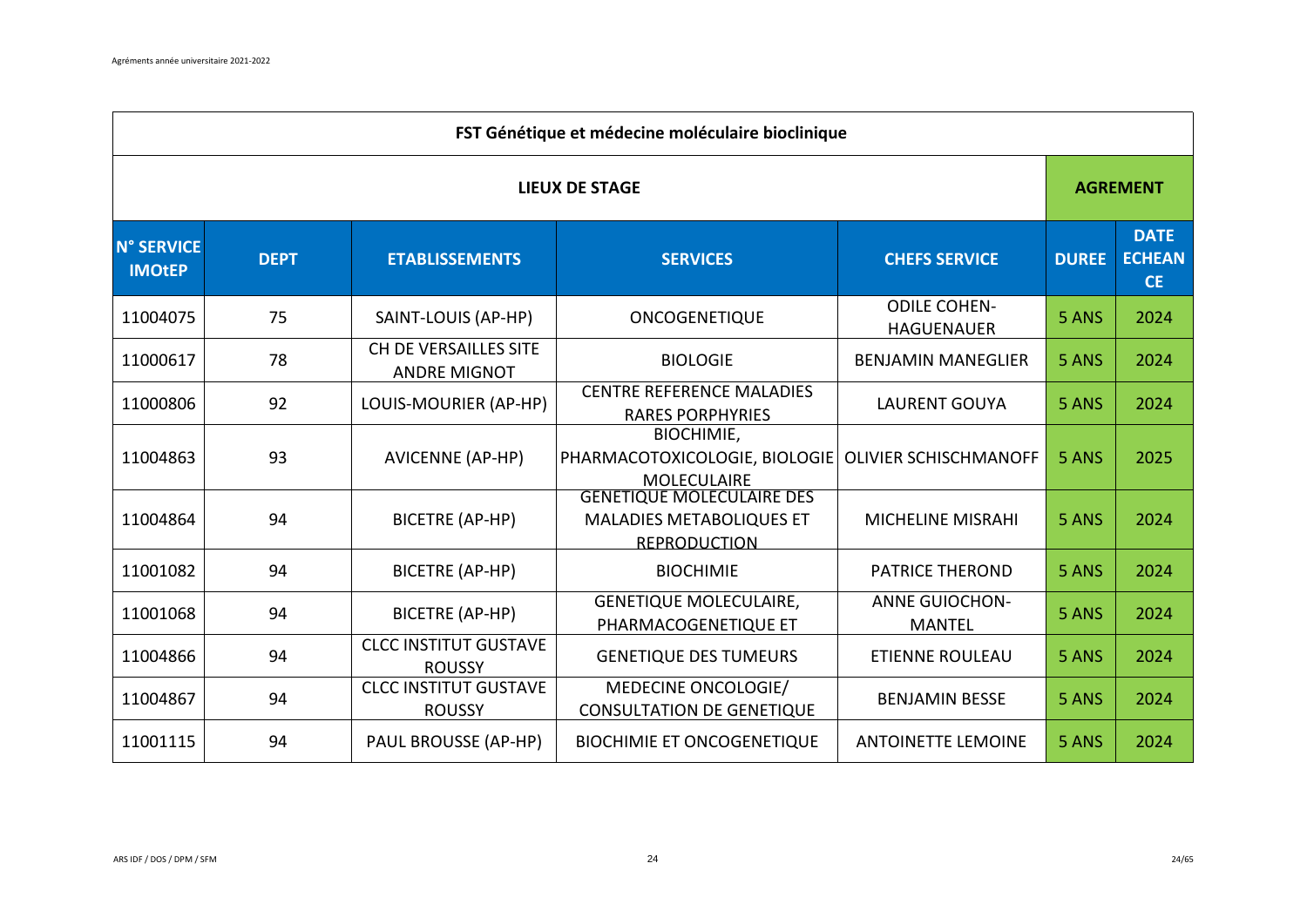|                                    | FST Génétique et médecine moléculaire bioclinique |                                               |                                                                                            |                                          |              |                                           |  |  |  |  |
|------------------------------------|---------------------------------------------------|-----------------------------------------------|--------------------------------------------------------------------------------------------|------------------------------------------|--------------|-------------------------------------------|--|--|--|--|
|                                    | <b>LIEUX DE STAGE</b>                             |                                               |                                                                                            |                                          |              |                                           |  |  |  |  |
| <b>N° SERVICE</b><br><b>IMOtEP</b> | <b>DEPT</b>                                       | <b>ETABLISSEMENTS</b>                         | <b>SERVICES</b>                                                                            | <b>CHEFS SERVICE</b>                     | <b>DUREE</b> | <b>DATE</b><br><b>ECHEAN</b><br><b>CE</b> |  |  |  |  |
| 11004075                           | 75                                                | SAINT-LOUIS (AP-HP)                           | ONCOGENETIQUE                                                                              | <b>ODILE COHEN-</b><br><b>HAGUENAUER</b> | 5 ANS        | 2024                                      |  |  |  |  |
| 11000617                           | 78                                                | CH DE VERSAILLES SITE<br><b>ANDRE MIGNOT</b>  | <b>BIOLOGIE</b>                                                                            | <b>BENJAMIN MANEGLIER</b>                | 5 ANS        | 2024                                      |  |  |  |  |
| 11000806                           | 92                                                | LOUIS-MOURIER (AP-HP)                         | <b>CENTRE REFERENCE MALADIES</b><br><b>RARES PORPHYRIES</b>                                | <b>LAURENT GOUYA</b>                     | 5 ANS        | 2024                                      |  |  |  |  |
| 11004863                           | 93                                                | <b>AVICENNE (AP-HP)</b>                       | <b>BIOCHIMIE,</b><br>PHARMACOTOXICOLOGIE, BIOLOGIE<br><b>MOLECULAIRE</b>                   | <b>OLIVIER SCHISCHMANOFF</b>             | 5 ANS        | 2025                                      |  |  |  |  |
| 11004864                           | 94                                                | <b>BICETRE (AP-HP)</b>                        | <b>GENETIQUE MOLECULAIRE DES</b><br><b>MALADIES METABOLIQUES ET</b><br><b>REPRODUCTION</b> | <b>MICHELINE MISRAHI</b>                 | 5 ANS        | 2024                                      |  |  |  |  |
| 11001082                           | 94                                                | <b>BICETRE (AP-HP)</b>                        | <b>BIOCHIMIE</b>                                                                           | <b>PATRICE THEROND</b>                   | 5 ANS        | 2024                                      |  |  |  |  |
| 11001068                           | 94                                                | <b>BICETRE (AP-HP)</b>                        | <b>GENETIQUE MOLECULAIRE,</b><br>PHARMACOGENETIQUE ET                                      | <b>ANNE GUIOCHON-</b><br><b>MANTEL</b>   | 5 ANS        | 2024                                      |  |  |  |  |
| 11004866                           | 94                                                | <b>CLCC INSTITUT GUSTAVE</b><br><b>ROUSSY</b> | <b>GENETIQUE DES TUMEURS</b>                                                               | <b>ETIENNE ROULEAU</b>                   | 5 ANS        | 2024                                      |  |  |  |  |
| 11004867                           | 94                                                | <b>CLCC INSTITUT GUSTAVE</b><br><b>ROUSSY</b> | MEDECINE ONCOLOGIE/<br><b>CONSULTATION DE GENETIQUE</b>                                    | <b>BENJAMIN BESSE</b>                    | 5 ANS        | 2024                                      |  |  |  |  |
| 11001115                           | 94                                                | PAUL BROUSSE (AP-HP)                          | <b>BIOCHIMIE ET ONCOGENETIQUE</b>                                                          | <b>ANTOINETTE LEMOINE</b>                | 5 ANS        | 2024                                      |  |  |  |  |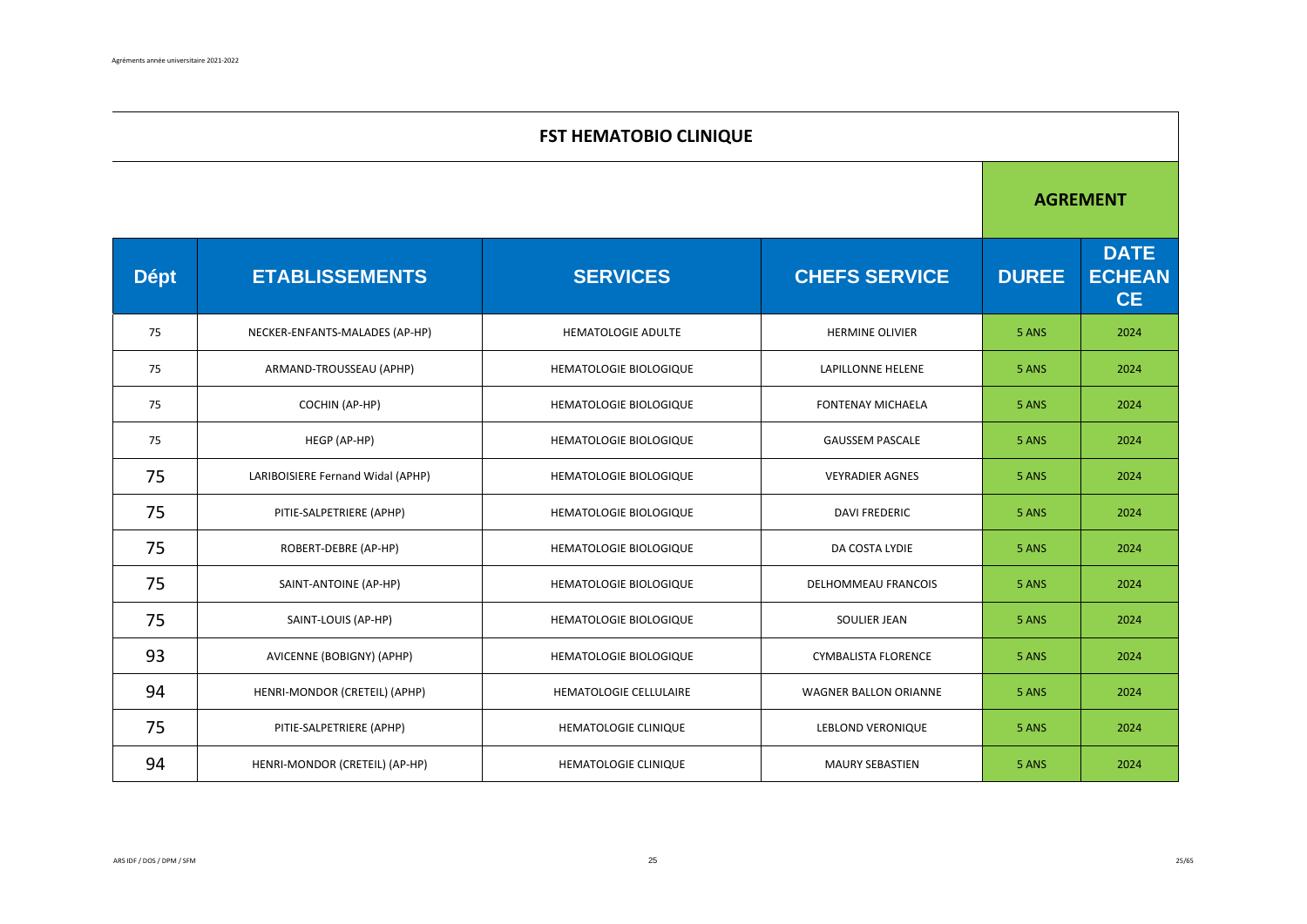|             | <b>FST HEMATOBIO CLINIQUE</b>     |                               |                              |              |                                           |  |  |  |
|-------------|-----------------------------------|-------------------------------|------------------------------|--------------|-------------------------------------------|--|--|--|
|             |                                   |                               |                              |              | <b>AGREMENT</b>                           |  |  |  |
| <b>Dépt</b> | <b>ETABLISSEMENTS</b>             | <b>SERVICES</b>               | <b>CHEFS SERVICE</b>         | <b>DUREE</b> | <b>DATE</b><br><b>ECHEAN</b><br><b>CE</b> |  |  |  |
| 75          | NECKER-ENFANTS-MALADES (AP-HP)    | <b>HEMATOLOGIE ADULTE</b>     | <b>HERMINE OLIVIER</b>       | 5 ANS        | 2024                                      |  |  |  |
| 75          | ARMAND-TROUSSEAU (APHP)           | HEMATOLOGIE BIOLOGIQUE        | LAPILLONNE HELENE            | 5 ANS        | 2024                                      |  |  |  |
| 75          | COCHIN (AP-HP)                    | HEMATOLOGIE BIOLOGIQUE        | <b>FONTENAY MICHAELA</b>     | 5 ANS        | 2024                                      |  |  |  |
| 75          | HEGP (AP-HP)                      | HEMATOLOGIE BIOLOGIQUE        | <b>GAUSSEM PASCALE</b>       | 5 ANS        | 2024                                      |  |  |  |
| 75          | LARIBOISIERE Fernand Widal (APHP) | <b>HEMATOLOGIE BIOLOGIQUE</b> | <b>VEYRADIER AGNES</b>       | 5 ANS        | 2024                                      |  |  |  |
| 75          | PITIE-SALPETRIERE (APHP)          | <b>HEMATOLOGIE BIOLOGIQUE</b> | <b>DAVI FREDERIC</b>         | 5 ANS        | 2024                                      |  |  |  |
| 75          | ROBERT-DEBRE (AP-HP)              | <b>HEMATOLOGIE BIOLOGIQUE</b> | DA COSTA LYDIE               | 5 ANS        | 2024                                      |  |  |  |
| 75          | SAINT-ANTOINE (AP-HP)             | HEMATOLOGIE BIOLOGIQUE        | <b>DELHOMMEAU FRANCOIS</b>   | 5 ANS        | 2024                                      |  |  |  |
| 75          | SAINT-LOUIS (AP-HP)               | HEMATOLOGIE BIOLOGIQUE        | SOULIER JEAN                 | 5 ANS        | 2024                                      |  |  |  |
| 93          | AVICENNE (BOBIGNY) (APHP)         | HEMATOLOGIE BIOLOGIQUE        | <b>CYMBALISTA FLORENCE</b>   | 5 ANS        | 2024                                      |  |  |  |
| 94          | HENRI-MONDOR (CRETEIL) (APHP)     | HEMATOLOGIE CELLULAIRE        | <b>WAGNER BALLON ORIANNE</b> | 5 ANS        | 2024                                      |  |  |  |
| 75          | PITIE-SALPETRIERE (APHP)          | HEMATOLOGIE CLINIQUE          | LEBLOND VERONIQUE            | 5 ANS        | 2024                                      |  |  |  |
| 94          | HENRI-MONDOR (CRETEIL) (AP-HP)    | <b>HEMATOLOGIE CLINIQUE</b>   | <b>MAURY SEBASTIEN</b>       | 5 ANS        | 2024                                      |  |  |  |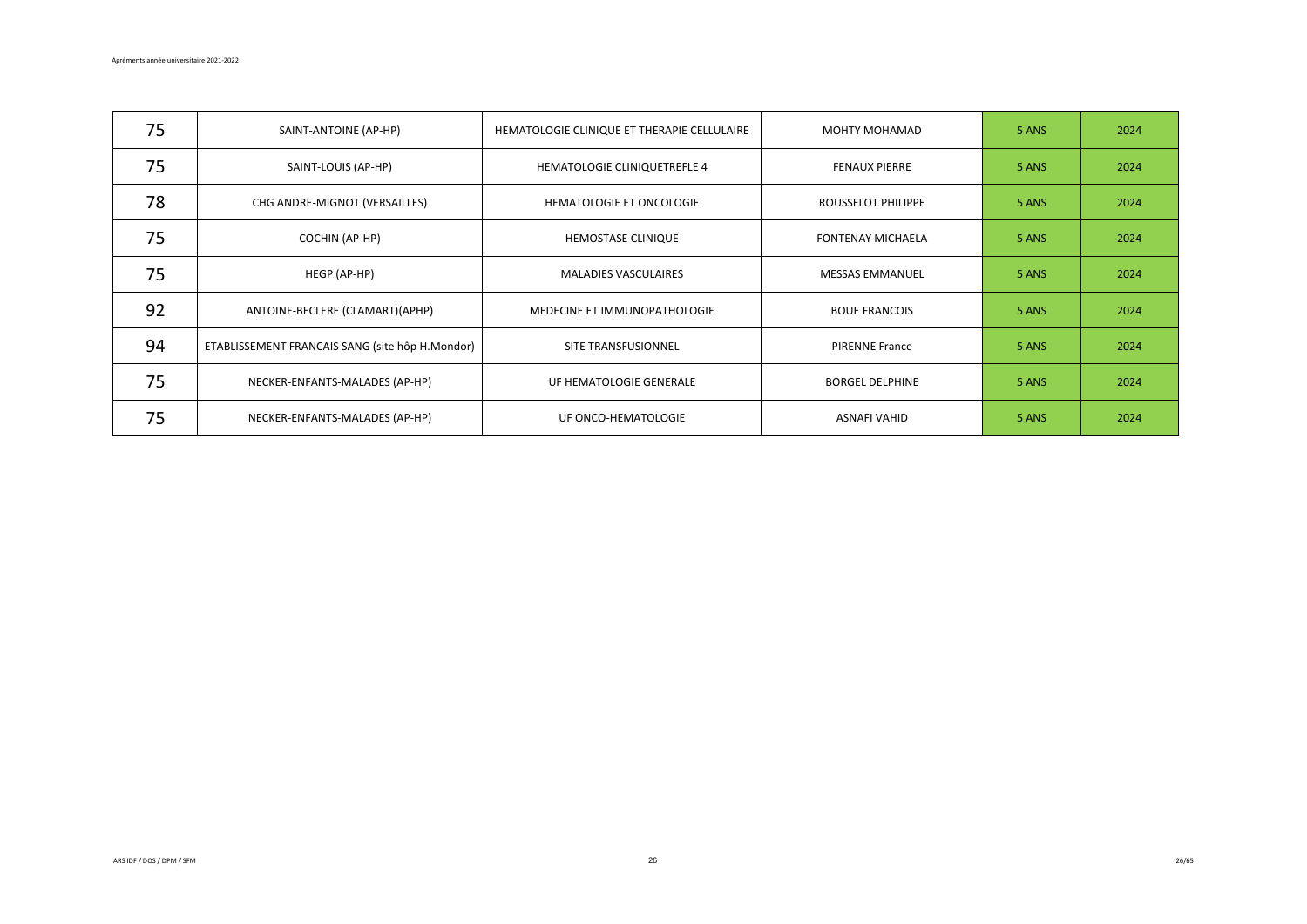| 75 | SAINT-ANTOINE (AP-HP)                           | HEMATOLOGIE CLINIQUE ET THERAPIE CELLULAIRE | MOHTY MOHAMAD             | 5 ANS | 2024 |
|----|-------------------------------------------------|---------------------------------------------|---------------------------|-------|------|
| 75 | SAINT-LOUIS (AP-HP)                             | HEMATOLOGIE CLINIQUETREFLE 4                | <b>FENAUX PIERRE</b>      | 5 ANS | 2024 |
| 78 | CHG ANDRE-MIGNOT (VERSAILLES)                   | <b>HEMATOLOGIE ET ONCOLOGIE</b>             | <b>ROUSSELOT PHILIPPE</b> | 5 ANS | 2024 |
| 75 | COCHIN (AP-HP)                                  | HEMOSTASE CLINIQUE                          | <b>FONTENAY MICHAELA</b>  | 5 ANS | 2024 |
| 75 | HEGP (AP-HP)                                    | <b>MALADIES VASCULAIRES</b>                 | <b>MESSAS EMMANUEL</b>    | 5 ANS | 2024 |
| 92 | ANTOINE-BECLERE (CLAMART)(APHP)                 | MEDECINE ET IMMUNOPATHOLOGIE                | <b>BOUE FRANCOIS</b>      | 5 ANS | 2024 |
| 94 | ETABLISSEMENT FRANCAIS SANG (site hôp H.Mondor) | SITE TRANSFUSIONNEL                         | PIRENNE France            | 5 ANS | 2024 |
| 75 | NECKER-ENFANTS-MALADES (AP-HP)                  | UF HEMATOLOGIE GENERALE                     | <b>BORGEL DELPHINE</b>    | 5 ANS | 2024 |
| 75 | NECKER-ENFANTS-MALADES (AP-HP)                  | UF ONCO-HEMATOLOGIE                         | ASNAFI VAHID              | 5 ANS | 2024 |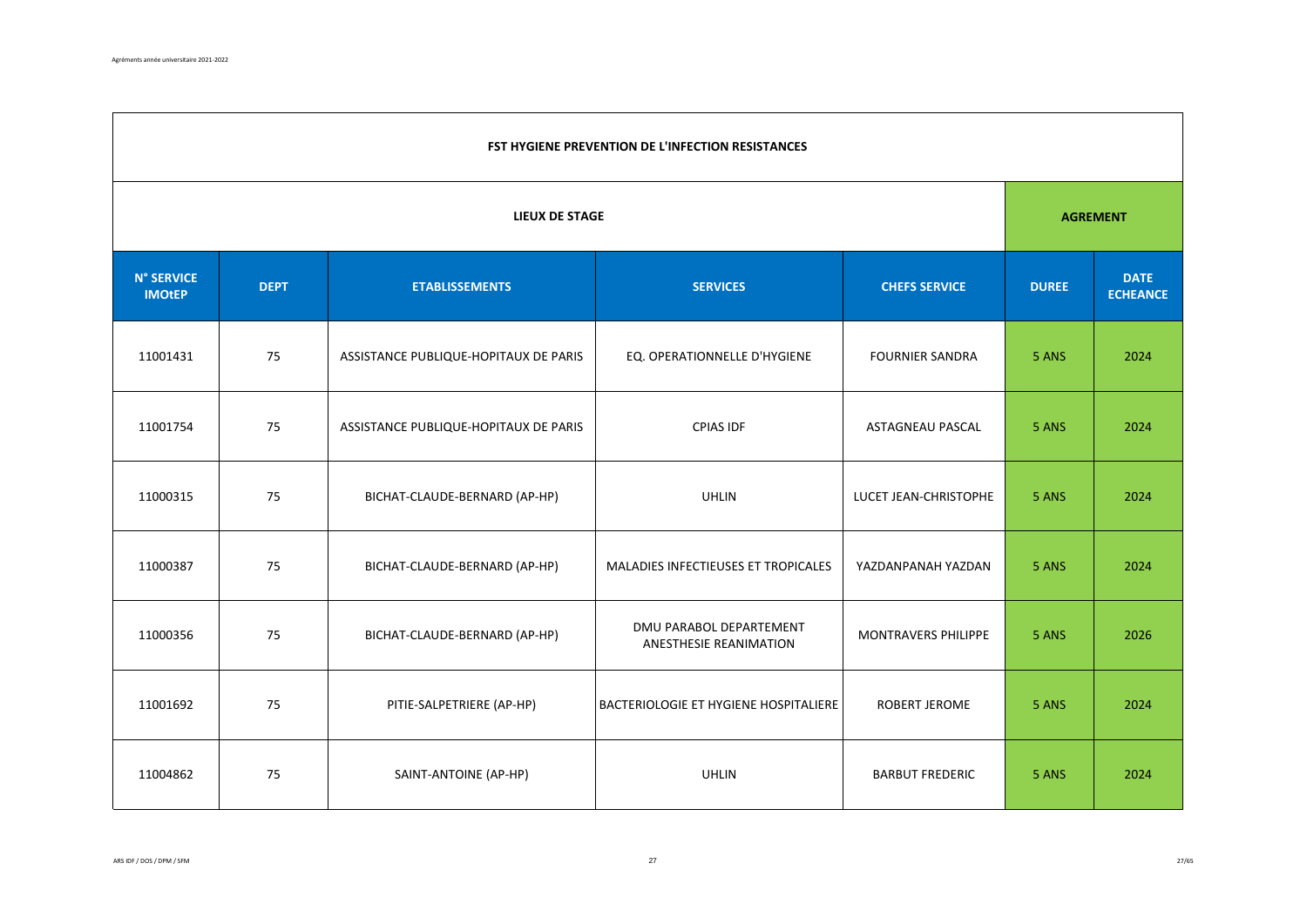|                                    | FST HYGIENE PREVENTION DE L'INFECTION RESISTANCES                               |                                       |                                                   |                                |       |      |  |  |  |
|------------------------------------|---------------------------------------------------------------------------------|---------------------------------------|---------------------------------------------------|--------------------------------|-------|------|--|--|--|
|                                    | <b>LIEUX DE STAGE</b>                                                           |                                       |                                                   |                                |       |      |  |  |  |
| <b>N° SERVICE</b><br><b>IMOtEP</b> | <b>SERVICES</b><br><b>DEPT</b><br><b>ETABLISSEMENTS</b><br><b>CHEFS SERVICE</b> |                                       | <b>DUREE</b>                                      | <b>DATE</b><br><b>ECHEANCE</b> |       |      |  |  |  |
| 11001431                           | 75                                                                              | ASSISTANCE PUBLIQUE-HOPITAUX DE PARIS | EQ. OPERATIONNELLE D'HYGIENE                      | <b>FOURNIER SANDRA</b>         | 5 ANS | 2024 |  |  |  |
| 11001754                           | 75                                                                              | ASSISTANCE PUBLIQUE-HOPITAUX DE PARIS | CPIAS IDF                                         | ASTAGNEAU PASCAL               | 5 ANS | 2024 |  |  |  |
| 11000315                           | 75                                                                              | BICHAT-CLAUDE-BERNARD (AP-HP)         | <b>UHLIN</b>                                      | LUCET JEAN-CHRISTOPHE          | 5 ANS | 2024 |  |  |  |
| 11000387                           | 75                                                                              | BICHAT-CLAUDE-BERNARD (AP-HP)         | MALADIES INFECTIEUSES ET TROPICALES               | YAZDANPANAH YAZDAN             | 5 ANS | 2024 |  |  |  |
| 11000356                           | 75                                                                              | BICHAT-CLAUDE-BERNARD (AP-HP)         | DMU PARABOL DEPARTEMENT<br>ANESTHESIE REANIMATION | MONTRAVERS PHILIPPE            | 5 ANS | 2026 |  |  |  |
| 11001692                           | 75                                                                              | PITIE-SALPETRIERE (AP-HP)             | BACTERIOLOGIE ET HYGIENE HOSPITALIERE             | ROBERT JEROME                  | 5 ANS | 2024 |  |  |  |
| 11004862                           | 75                                                                              | SAINT-ANTOINE (AP-HP)                 | <b>UHLIN</b>                                      | <b>BARBUT FREDERIC</b>         | 5 ANS | 2024 |  |  |  |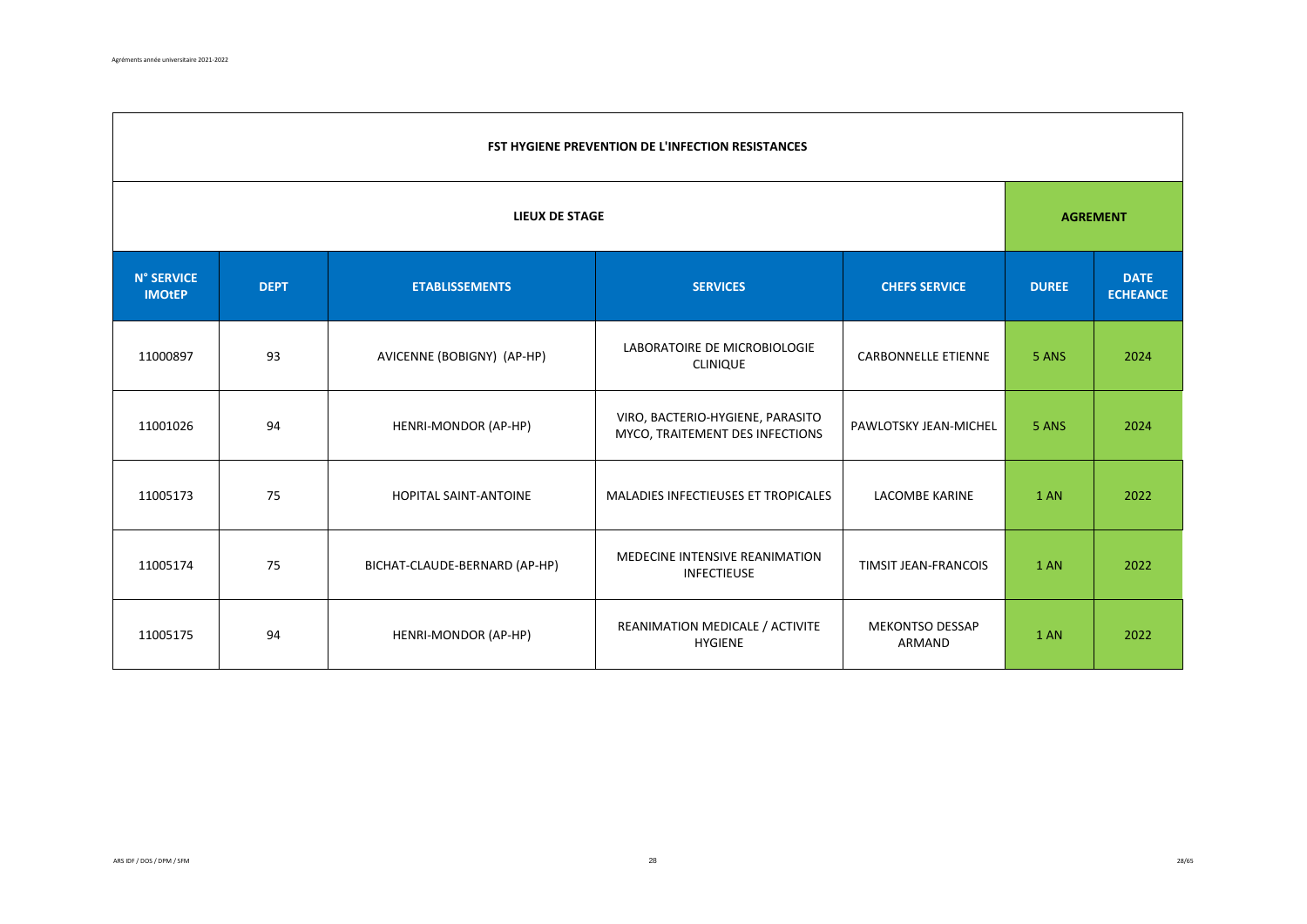|                             | <b>FST HYGIENE PREVENTION DE L'INFECTION RESISTANCES</b>                        |                               |                                                                     |                                  |       |                 |  |  |  |
|-----------------------------|---------------------------------------------------------------------------------|-------------------------------|---------------------------------------------------------------------|----------------------------------|-------|-----------------|--|--|--|
| LIEUX DE STAGE              |                                                                                 |                               |                                                                     |                                  |       | <b>AGREMENT</b> |  |  |  |
| N° SERVICE<br><b>IMOtEP</b> | <b>DEPT</b><br><b>ETABLISSEMENTS</b><br><b>SERVICES</b><br><b>CHEFS SERVICE</b> |                               | <b>DUREE</b>                                                        | <b>DATE</b><br><b>ECHEANCE</b>   |       |                 |  |  |  |
| 11000897                    | 93                                                                              | AVICENNE (BOBIGNY) (AP-HP)    | LABORATOIRE DE MICROBIOLOGIE<br><b>CLINIQUE</b>                     | <b>CARBONNELLE ETIENNE</b>       | 5 ANS | 2024            |  |  |  |
| 11001026                    | 94                                                                              | HENRI-MONDOR (AP-HP)          | VIRO, BACTERIO-HYGIENE, PARASITO<br>MYCO, TRAITEMENT DES INFECTIONS | PAWLOTSKY JEAN-MICHEL            | 5 ANS | 2024            |  |  |  |
| 11005173                    | 75                                                                              | HOPITAL SAINT-ANTOINE         | MALADIES INFECTIEUSES ET TROPICALES                                 | <b>LACOMBE KARINE</b>            | 1 AN  | 2022            |  |  |  |
| 11005174                    | 75                                                                              | BICHAT-CLAUDE-BERNARD (AP-HP) | MEDECINE INTENSIVE REANIMATION<br><b>INFECTIEUSE</b>                | <b>TIMSIT JEAN-FRANCOIS</b>      | 1 AN  | 2022            |  |  |  |
| 11005175                    | 94                                                                              | HENRI-MONDOR (AP-HP)          | REANIMATION MEDICALE / ACTIVITE<br><b>HYGIENE</b>                   | <b>MEKONTSO DESSAP</b><br>ARMAND | 1 AN  | 2022            |  |  |  |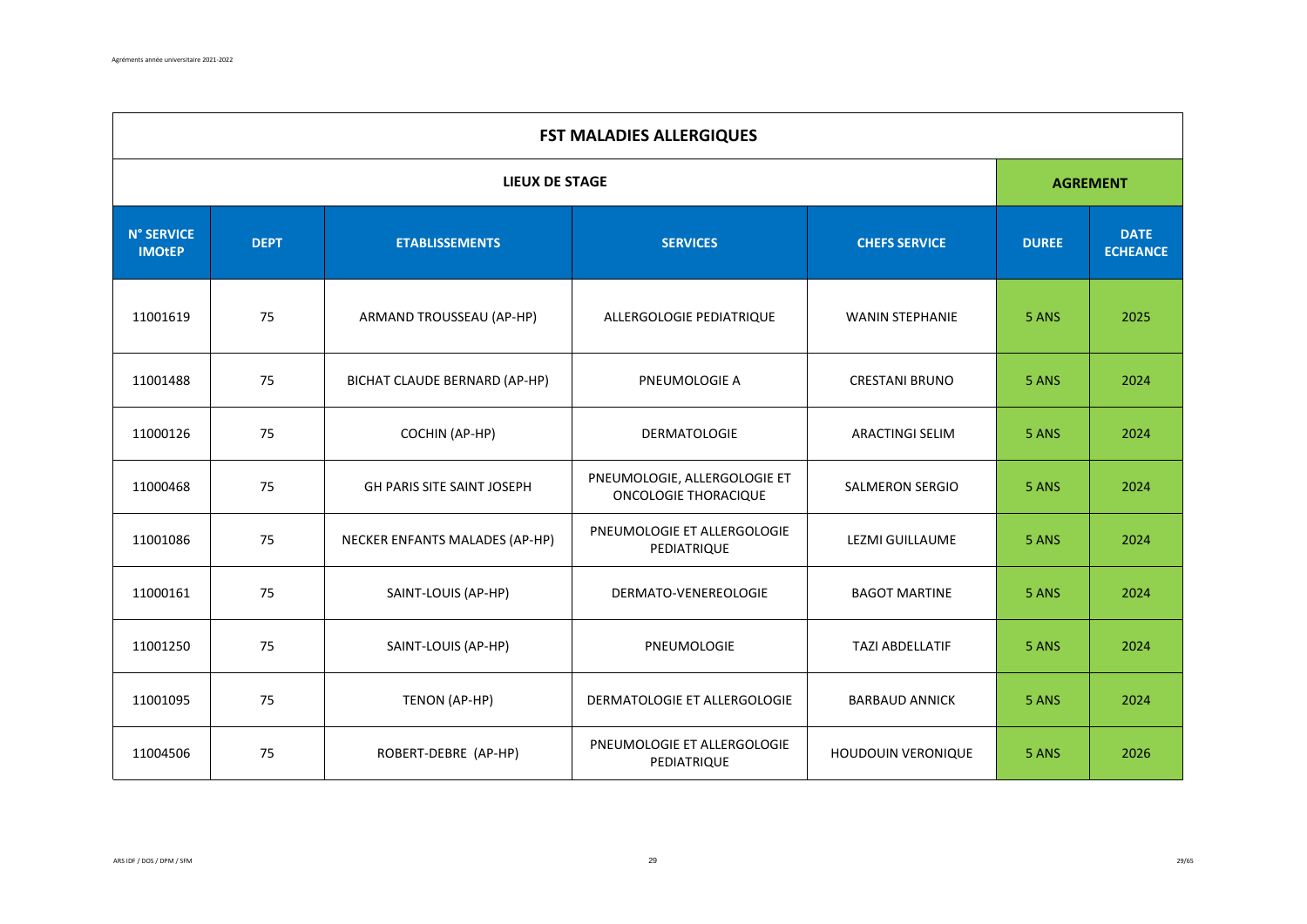|                                    | <b>FST MALADIES ALLERGIQUES</b> |                                   |                                                      |                        |              |                                |  |  |
|------------------------------------|---------------------------------|-----------------------------------|------------------------------------------------------|------------------------|--------------|--------------------------------|--|--|
|                                    |                                 | <b>LIEUX DE STAGE</b>             |                                                      |                        |              | <b>AGREMENT</b>                |  |  |
| <b>N° SERVICE</b><br><b>IMOtEP</b> | <b>DEPT</b>                     | <b>ETABLISSEMENTS</b>             | <b>SERVICES</b>                                      | <b>CHEFS SERVICE</b>   | <b>DUREE</b> | <b>DATE</b><br><b>ECHEANCE</b> |  |  |
| 11001619                           | 75                              | ARMAND TROUSSEAU (AP-HP)          | ALLERGOLOGIE PEDIATRIQUE                             | <b>WANIN STEPHANIE</b> | 5 ANS        | 2025                           |  |  |
| 11001488                           | 75                              | BICHAT CLAUDE BERNARD (AP-HP)     | PNEUMOLOGIE A                                        | <b>CRESTANI BRUNO</b>  | 5 ANS        | 2024                           |  |  |
| 11000126                           | 75                              | COCHIN (AP-HP)                    | DERMATOLOGIE                                         | <b>ARACTINGI SELIM</b> | 5 ANS        | 2024                           |  |  |
| 11000468                           | 75                              | <b>GH PARIS SITE SAINT JOSEPH</b> | PNEUMOLOGIE, ALLERGOLOGIE ET<br>ONCOLOGIE THORACIQUE | <b>SALMERON SERGIO</b> | 5 ANS        | 2024                           |  |  |
| 11001086                           | 75                              | NECKER ENFANTS MALADES (AP-HP)    | PNEUMOLOGIE ET ALLERGOLOGIE<br>PEDIATRIQUE           | LEZMI GUILLAUME        | 5 ANS        | 2024                           |  |  |
| 11000161                           | 75                              | SAINT-LOUIS (AP-HP)               | DERMATO-VENEREOLOGIE                                 | <b>BAGOT MARTINE</b>   | 5 ANS        | 2024                           |  |  |
| 11001250                           | 75                              | SAINT-LOUIS (AP-HP)               | PNEUMOLOGIE                                          | <b>TAZI ABDELLATIF</b> | 5 ANS        | 2024                           |  |  |
| 11001095                           | 75                              | TENON (AP-HP)                     | DERMATOLOGIE ET ALLERGOLOGIE                         | <b>BARBAUD ANNICK</b>  | 5 ANS        | 2024                           |  |  |
| 11004506                           | 75                              | ROBERT-DEBRE (AP-HP)              | PNEUMOLOGIE ET ALLERGOLOGIE<br>PEDIATRIQUE           | HOUDOUIN VERONIQUE     | 5 ANS        | 2026                           |  |  |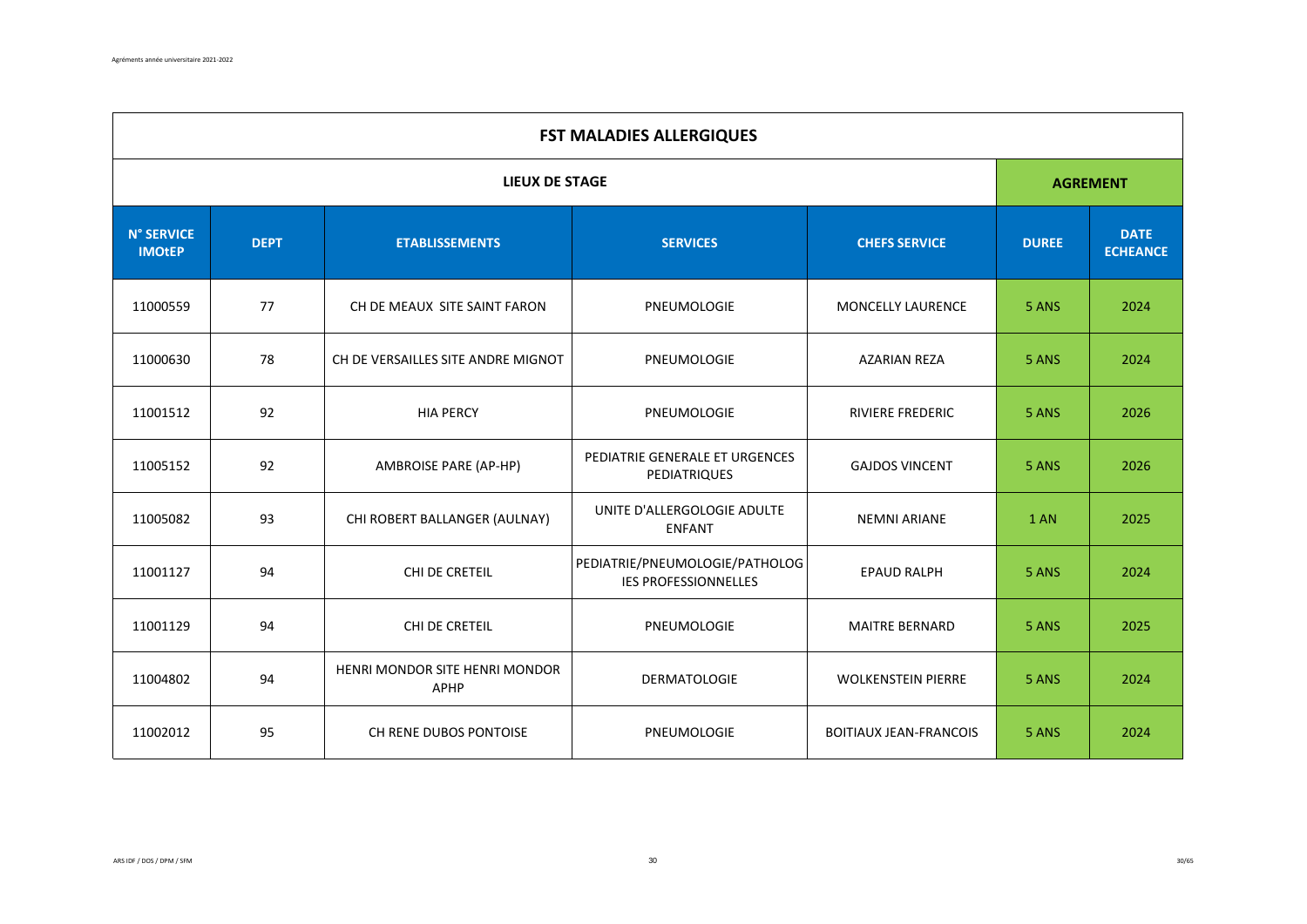| <b>FST MALADIES ALLERGIQUES</b>    |             |                                        |                                                               |                               |              |                                |  |
|------------------------------------|-------------|----------------------------------------|---------------------------------------------------------------|-------------------------------|--------------|--------------------------------|--|
|                                    |             | <b>LIEUX DE STAGE</b>                  |                                                               |                               |              | <b>AGREMENT</b>                |  |
| <b>N° SERVICE</b><br><b>IMOtEP</b> | <b>DEPT</b> | <b>ETABLISSEMENTS</b>                  | <b>SERVICES</b>                                               | <b>CHEFS SERVICE</b>          | <b>DUREE</b> | <b>DATE</b><br><b>ECHEANCE</b> |  |
| 11000559                           | 77          | CH DE MEAUX SITE SAINT FARON           | PNEUMOLOGIE                                                   | <b>MONCELLY LAURENCE</b>      | 5 ANS        | 2024                           |  |
| 11000630                           | 78          | CH DE VERSAILLES SITE ANDRE MIGNOT     | PNEUMOLOGIE                                                   | <b>AZARIAN REZA</b>           | 5 ANS        | 2024                           |  |
| 11001512                           | 92          | <b>HIA PERCY</b>                       | PNEUMOLOGIE                                                   | <b>RIVIERE FREDERIC</b>       | 5 ANS        | 2026                           |  |
| 11005152                           | 92          | <b>AMBROISE PARE (AP-HP)</b>           | PEDIATRIE GENERALE ET URGENCES<br>PEDIATRIQUES                | <b>GAJDOS VINCENT</b>         | 5 ANS        | 2026                           |  |
| 11005082                           | 93          | CHI ROBERT BALLANGER (AULNAY)          | UNITE D'ALLERGOLOGIE ADULTE<br><b>ENFANT</b>                  | <b>NEMNI ARIANE</b>           | 1 AN         | 2025                           |  |
| 11001127                           | 94          | CHI DE CRETEIL                         | PEDIATRIE/PNEUMOLOGIE/PATHOLOG<br><b>IES PROFESSIONNELLES</b> | <b>EPAUD RALPH</b>            | 5 ANS        | 2024                           |  |
| 11001129                           | 94          | CHI DE CRETEIL                         | PNEUMOLOGIE                                                   | <b>MAITRE BERNARD</b>         | 5 ANS        | 2025                           |  |
| 11004802                           | 94          | HENRI MONDOR SITE HENRI MONDOR<br>APHP | DERMATOLOGIE                                                  | <b>WOLKENSTEIN PIERRE</b>     | 5 ANS        | 2024                           |  |
| 11002012                           | 95          | CH RENE DUBOS PONTOISE                 | PNEUMOLOGIE                                                   | <b>BOITIAUX JEAN-FRANCOIS</b> | 5 ANS        | 2024                           |  |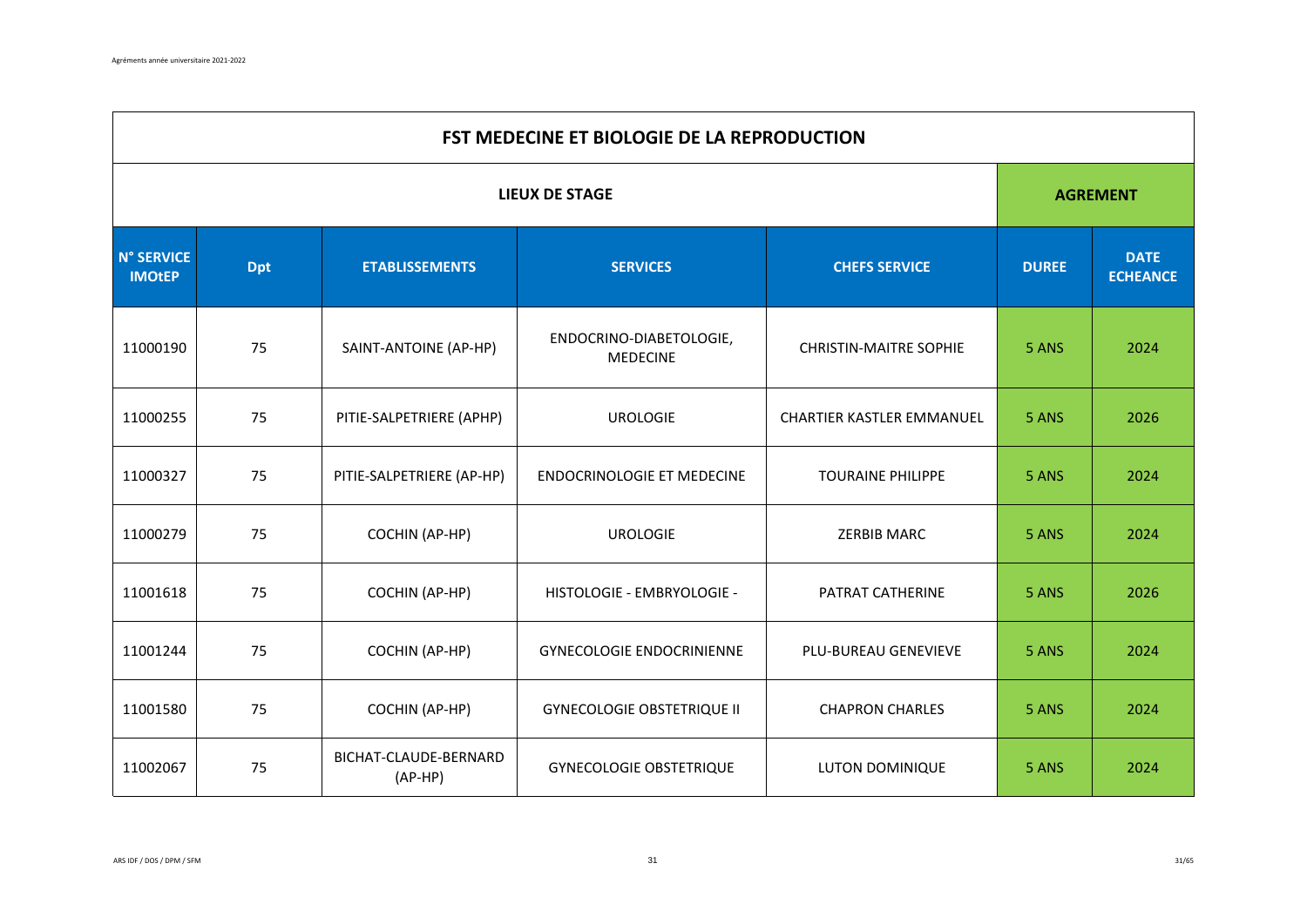|                                    | FST MEDECINE ET BIOLOGIE DE LA REPRODUCTION                                    |                                                                                                      |                                                               |                                |       |                 |  |  |
|------------------------------------|--------------------------------------------------------------------------------|------------------------------------------------------------------------------------------------------|---------------------------------------------------------------|--------------------------------|-------|-----------------|--|--|
|                                    |                                                                                |                                                                                                      | <b>LIEUX DE STAGE</b>                                         |                                |       | <b>AGREMENT</b> |  |  |
| <b>N° SERVICE</b><br><b>IMOtEP</b> | <b>SERVICES</b><br><b>Dpt</b><br><b>ETABLISSEMENTS</b><br><b>CHEFS SERVICE</b> |                                                                                                      | <b>DUREE</b>                                                  | <b>DATE</b><br><b>ECHEANCE</b> |       |                 |  |  |
| 11000190                           | 75                                                                             | ENDOCRINO-DIABETOLOGIE,<br>SAINT-ANTOINE (AP-HP)<br><b>CHRISTIN-MAITRE SOPHIE</b><br><b>MEDECINE</b> |                                                               | 5 ANS                          | 2024  |                 |  |  |
| 11000255                           | 75                                                                             | PITIE-SALPETRIERE (APHP)                                                                             | <b>UROLOGIE</b>                                               | CHARTIER KASTLER EMMANUEL      |       | 2026            |  |  |
| 11000327                           | 75                                                                             | PITIE-SALPETRIERE (AP-HP)                                                                            | <b>ENDOCRINOLOGIE ET MEDECINE</b><br><b>TOURAINE PHILIPPE</b> |                                | 5 ANS | 2024            |  |  |
| 11000279                           | 75                                                                             | COCHIN (AP-HP)                                                                                       | <b>UROLOGIE</b>                                               | <b>ZERBIB MARC</b>             | 5 ANS | 2024            |  |  |
| 11001618                           | 75                                                                             | COCHIN (AP-HP)                                                                                       | HISTOLOGIE - EMBRYOLOGIE -                                    | PATRAT CATHERINE               | 5 ANS | 2026            |  |  |
| 11001244                           | 75                                                                             | COCHIN (AP-HP)                                                                                       | <b>GYNECOLOGIE ENDOCRINIENNE</b><br>PLU-BUREAU GENEVIEVE      |                                | 5 ANS | 2024            |  |  |
| 11001580                           | 75                                                                             | COCHIN (AP-HP)                                                                                       | <b>GYNECOLOGIE OBSTETRIQUE II</b>                             | <b>CHAPRON CHARLES</b>         | 5 ANS | 2024            |  |  |
| 11002067                           | 75                                                                             | BICHAT-CLAUDE-BERNARD<br>$(AP-HP)$                                                                   | <b>GYNECOLOGIE OBSTETRIQUE</b>                                | LUTON DOMINIQUE                | 5 ANS | 2024            |  |  |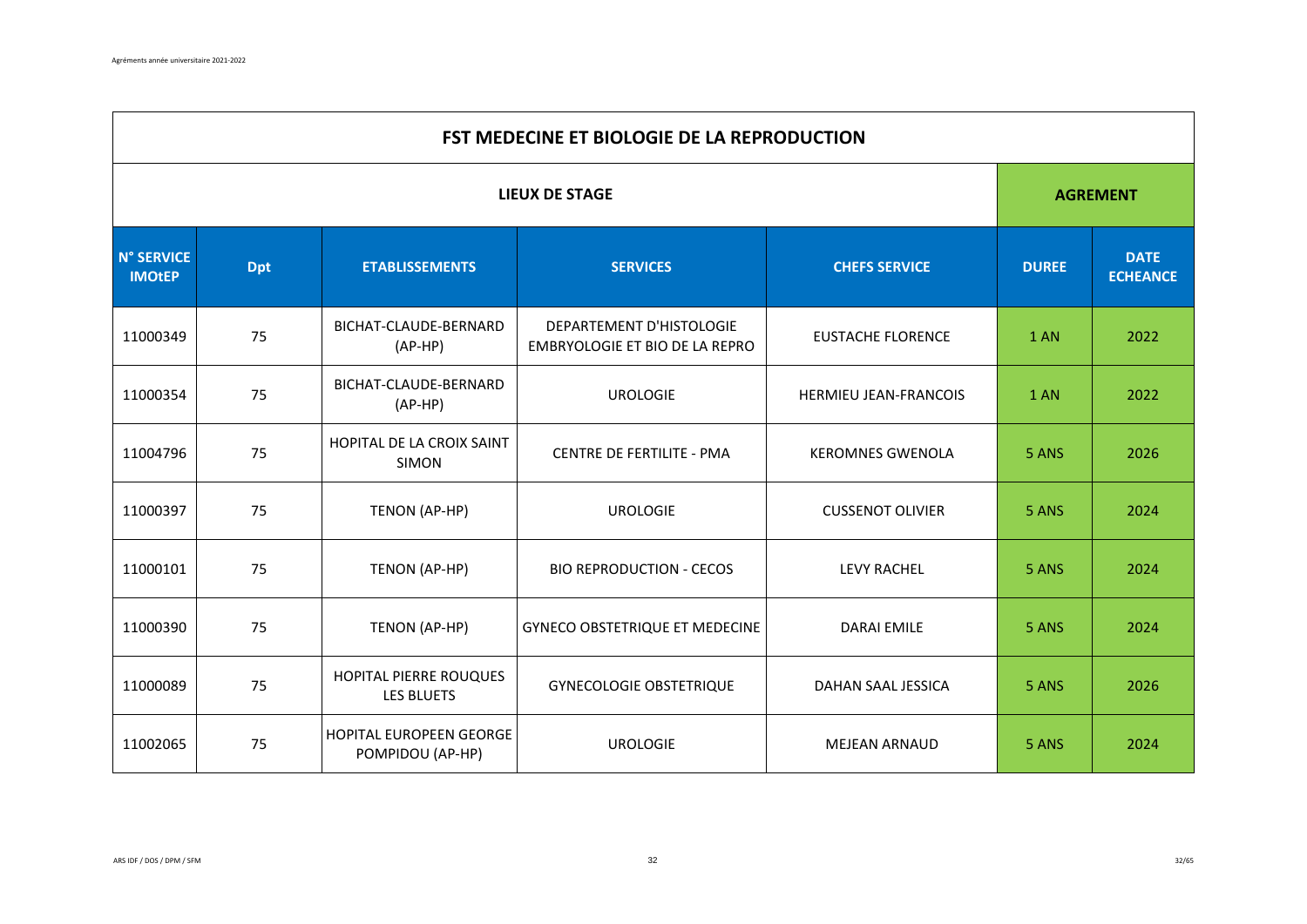|                             | FST MEDECINE ET BIOLOGIE DE LA REPRODUCTION |                                             |                                                            |                          |              |                                |  |  |
|-----------------------------|---------------------------------------------|---------------------------------------------|------------------------------------------------------------|--------------------------|--------------|--------------------------------|--|--|
|                             |                                             |                                             | <b>LIEUX DE STAGE</b>                                      |                          |              | <b>AGREMENT</b>                |  |  |
| N° SERVICE<br><b>IMOtEP</b> | <b>Dpt</b><br><b>ETABLISSEMENTS</b>         |                                             | <b>SERVICES</b>                                            | <b>CHEFS SERVICE</b>     | <b>DUREE</b> | <b>DATE</b><br><b>ECHEANCE</b> |  |  |
| 11000349                    | 75                                          | BICHAT-CLAUDE-BERNARD<br>$(AP-HP)$          | DEPARTEMENT D'HISTOLOGIE<br>EMBRYOLOGIE ET BIO DE LA REPRO | <b>EUSTACHE FLORENCE</b> | 1 AN         | 2022                           |  |  |
| 11000354                    | 75                                          | BICHAT-CLAUDE-BERNARD<br>$(AP-HP)$          | <b>UROLOGIE</b>                                            | HERMIEU JEAN-FRANCOIS    | <b>1 AN</b>  | 2022                           |  |  |
| 11004796                    | 75                                          | HOPITAL DE LA CROIX SAINT<br><b>SIMON</b>   | CENTRE DE FERTILITE - PMA                                  | <b>KEROMNES GWENOLA</b>  | 5 ANS        | 2026                           |  |  |
| 11000397                    | 75                                          | TENON (AP-HP)                               | <b>UROLOGIE</b>                                            | <b>CUSSENOT OLIVIER</b>  | 5 ANS        | 2024                           |  |  |
| 11000101                    | 75                                          | TENON (AP-HP)                               | <b>BIO REPRODUCTION - CECOS</b>                            | <b>LEVY RACHEL</b>       | 5 ANS        | 2024                           |  |  |
| 11000390                    | 75                                          | TENON (AP-HP)                               | <b>GYNECO OBSTETRIQUE ET MEDECINE</b>                      | <b>DARAI EMILE</b>       | 5 ANS        | 2024                           |  |  |
| 11000089                    | 75                                          | HOPITAL PIERRE ROUQUES<br>LES BLUETS        | <b>GYNECOLOGIE OBSTETRIQUE</b>                             | DAHAN SAAL JESSICA       | 5 ANS        | 2026                           |  |  |
| 11002065                    | 75                                          | HOPITAL EUROPEEN GEORGE<br>POMPIDOU (AP-HP) | <b>UROLOGIE</b>                                            | <b>MEJEAN ARNAUD</b>     | 5 ANS        | 2024                           |  |  |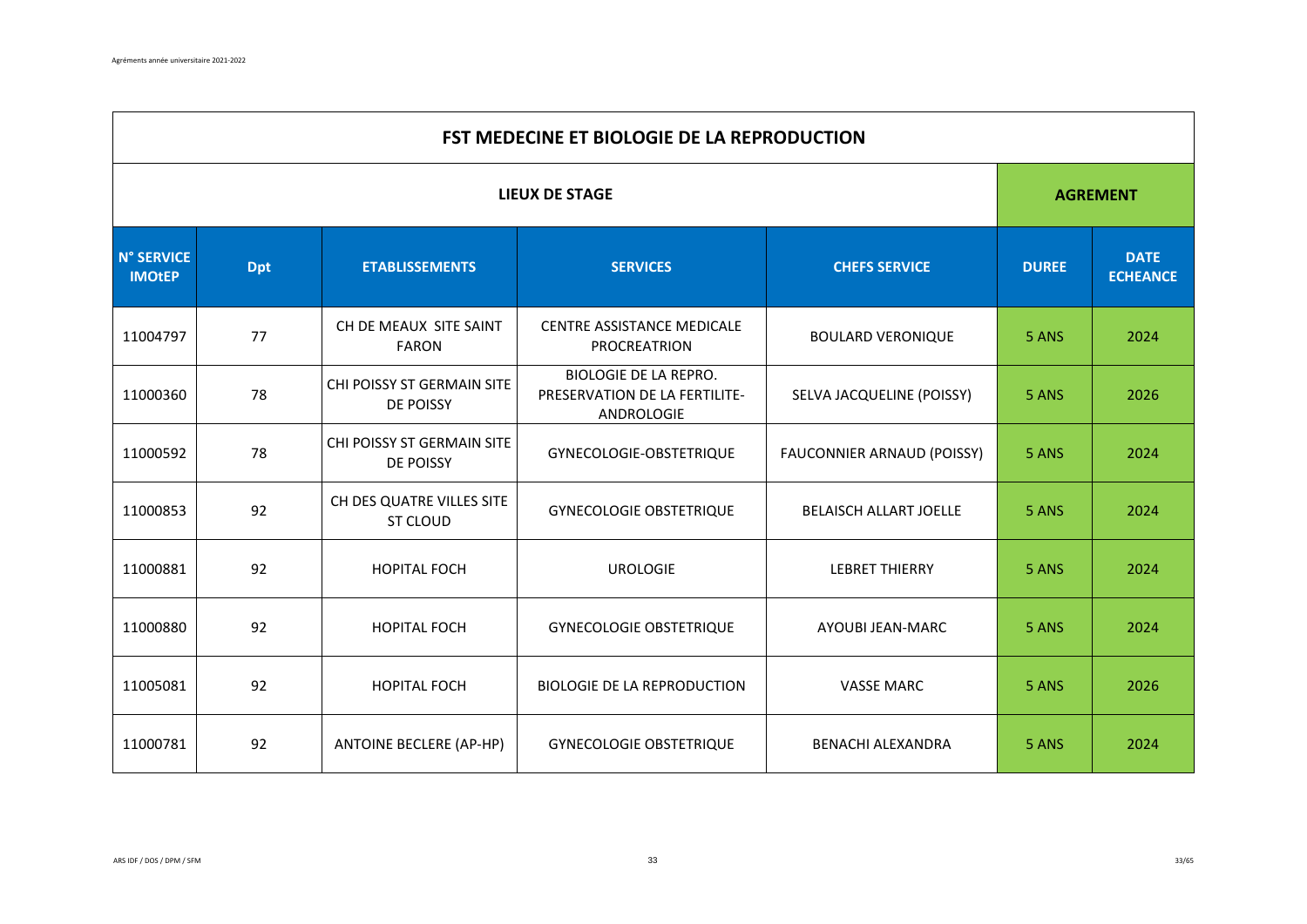|                                    | FST MEDECINE ET BIOLOGIE DE LA REPRODUCTION                                    |                                                |                                                                             |                                |       |                 |  |  |
|------------------------------------|--------------------------------------------------------------------------------|------------------------------------------------|-----------------------------------------------------------------------------|--------------------------------|-------|-----------------|--|--|
|                                    |                                                                                |                                                | <b>LIEUX DE STAGE</b>                                                       |                                |       | <b>AGREMENT</b> |  |  |
| <b>N° SERVICE</b><br><b>IMOtEP</b> | <b>SERVICES</b><br><b>Dpt</b><br><b>ETABLISSEMENTS</b><br><b>CHEFS SERVICE</b> |                                                | <b>DUREE</b>                                                                | <b>DATE</b><br><b>ECHEANCE</b> |       |                 |  |  |
| 11004797                           | 77                                                                             | CH DE MEAUX SITE SAINT<br><b>FARON</b>         | <b>CENTRE ASSISTANCE MEDICALE</b><br><b>PROCREATRION</b>                    | <b>BOULARD VERONIQUE</b>       | 5 ANS | 2024            |  |  |
| 11000360                           | 78                                                                             | CHI POISSY ST GERMAIN SITE<br><b>DE POISSY</b> | <b>BIOLOGIE DE LA REPRO.</b><br>PRESERVATION DE LA FERTILITE-<br>ANDROLOGIE | SELVA JACQUELINE (POISSY)      | 5 ANS | 2026            |  |  |
| 11000592                           | 78                                                                             | CHI POISSY ST GERMAIN SITE<br>DE POISSY        | GYNECOLOGIE-OBSTETRIQUE                                                     | FAUCONNIER ARNAUD (POISSY)     | 5 ANS | 2024            |  |  |
| 11000853                           | 92                                                                             | CH DES QUATRE VILLES SITE<br>ST CLOUD          | <b>GYNECOLOGIE OBSTETRIQUE</b>                                              | <b>BELAISCH ALLART JOELLE</b>  | 5 ANS | 2024            |  |  |
| 11000881                           | 92                                                                             | <b>HOPITAL FOCH</b>                            | <b>UROLOGIE</b>                                                             | <b>LEBRET THIERRY</b>          | 5 ANS | 2024            |  |  |
| 11000880                           | 92                                                                             | <b>HOPITAL FOCH</b>                            | <b>GYNECOLOGIE OBSTETRIQUE</b>                                              | AYOUBI JEAN-MARC               | 5 ANS | 2024            |  |  |
| 11005081                           | 92                                                                             | <b>HOPITAL FOCH</b>                            | <b>BIOLOGIE DE LA REPRODUCTION</b>                                          | <b>VASSE MARC</b>              | 5 ANS | 2026            |  |  |
| 11000781                           | 92                                                                             | ANTOINE BECLERE (AP-HP)                        | <b>GYNECOLOGIE OBSTETRIQUE</b>                                              | BENACHI ALEXANDRA              | 5 ANS | 2024            |  |  |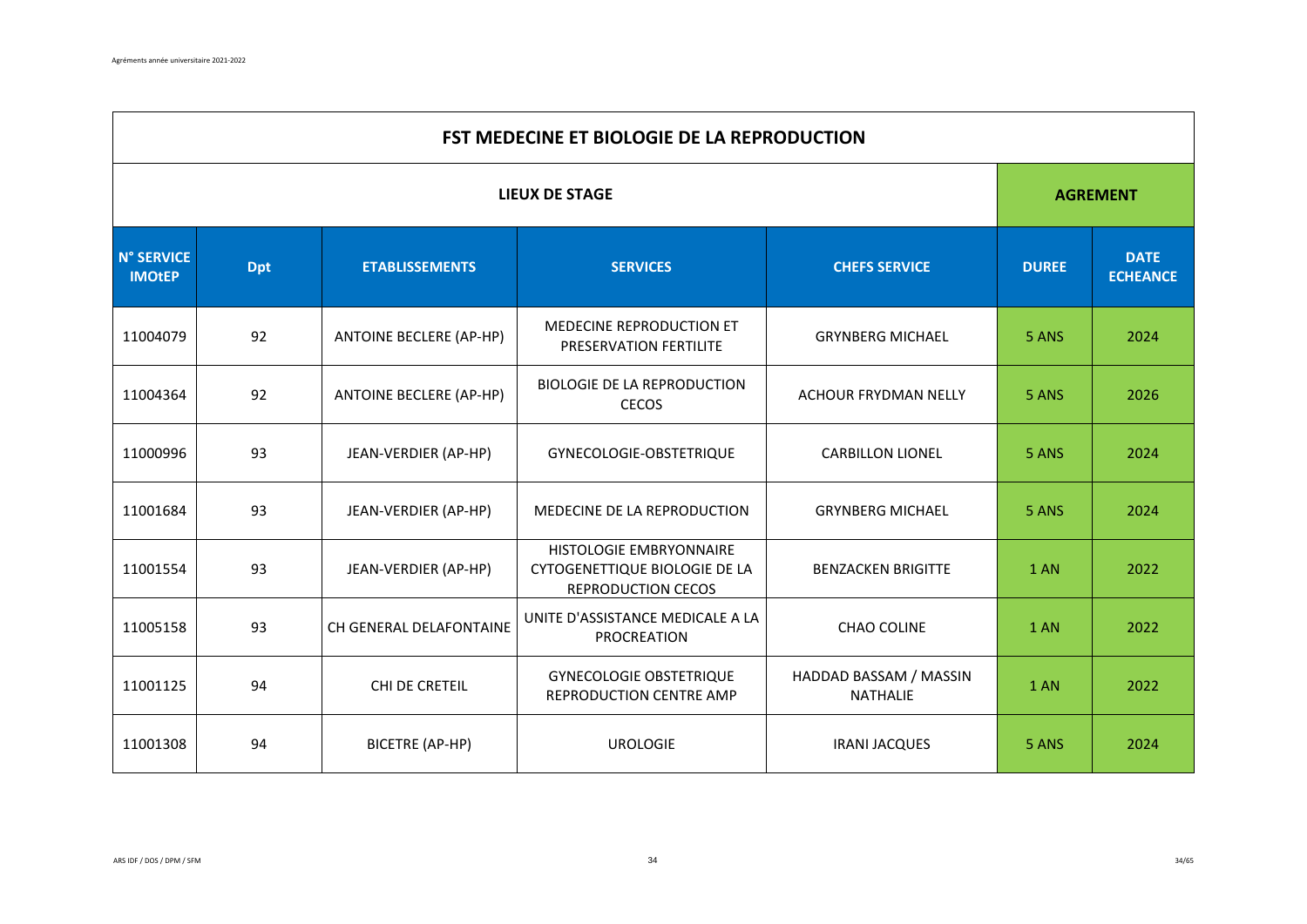|                                    | <b>FST MEDECINE ET BIOLOGIE DE LA REPRODUCTION</b>     |                         |                                                                                |                                           |                                |                 |  |  |
|------------------------------------|--------------------------------------------------------|-------------------------|--------------------------------------------------------------------------------|-------------------------------------------|--------------------------------|-----------------|--|--|
|                                    |                                                        |                         | <b>LIEUX DE STAGE</b>                                                          |                                           |                                | <b>AGREMENT</b> |  |  |
| <b>N° SERVICE</b><br><b>IMOtEP</b> | <b>Dpt</b><br><b>ETABLISSEMENTS</b><br><b>SERVICES</b> |                         | <b>CHEFS SERVICE</b>                                                           | <b>DUREE</b>                              | <b>DATE</b><br><b>ECHEANCE</b> |                 |  |  |
| 11004079                           | 92                                                     | ANTOINE BECLERE (AP-HP) | MEDECINE REPRODUCTION ET<br>PRESERVATION FERTILITE                             | <b>GRYNBERG MICHAEL</b>                   | 5 ANS                          | 2024            |  |  |
| 11004364                           | 92                                                     | ANTOINE BECLERE (AP-HP) | <b>BIOLOGIE DE LA REPRODUCTION</b><br><b>CECOS</b>                             | ACHOUR FRYDMAN NELLY                      | 5 ANS                          | 2026            |  |  |
| 11000996                           | 93                                                     | JEAN-VERDIER (AP-HP)    | GYNECOLOGIE-OBSTETRIQUE                                                        | <b>CARBILLON LIONEL</b>                   | 5 ANS                          | 2024            |  |  |
| 11001684                           | 93                                                     | JEAN-VERDIER (AP-HP)    | MEDECINE DE LA REPRODUCTION                                                    | <b>GRYNBERG MICHAEL</b>                   | 5 ANS                          | 2024            |  |  |
| 11001554                           | 93                                                     | JEAN-VERDIER (AP-HP)    | HISTOLOGIE EMBRYONNAIRE<br>CYTOGENETTIQUE BIOLOGIE DE LA<br>REPRODUCTION CECOS | <b>BENZACKEN BRIGITTE</b>                 | 1 AN                           | 2022            |  |  |
| 11005158                           | 93                                                     | CH GENERAL DELAFONTAINE | UNITE D'ASSISTANCE MEDICALE A LA<br>PROCREATION                                | <b>CHAO COLINE</b>                        | 1 AN                           | 2022            |  |  |
| 11001125                           | 94                                                     | CHI DE CRETEIL          | <b>GYNECOLOGIE OBSTETRIQUE</b><br>REPRODUCTION CENTRE AMP                      | HADDAD BASSAM / MASSIN<br><b>NATHALIE</b> | <b>1 AN</b>                    | 2022            |  |  |
| 11001308                           | 94                                                     | <b>BICETRE (AP-HP)</b>  | <b>UROLOGIE</b>                                                                | <b>IRANI JACQUES</b>                      | 5 ANS                          | 2024            |  |  |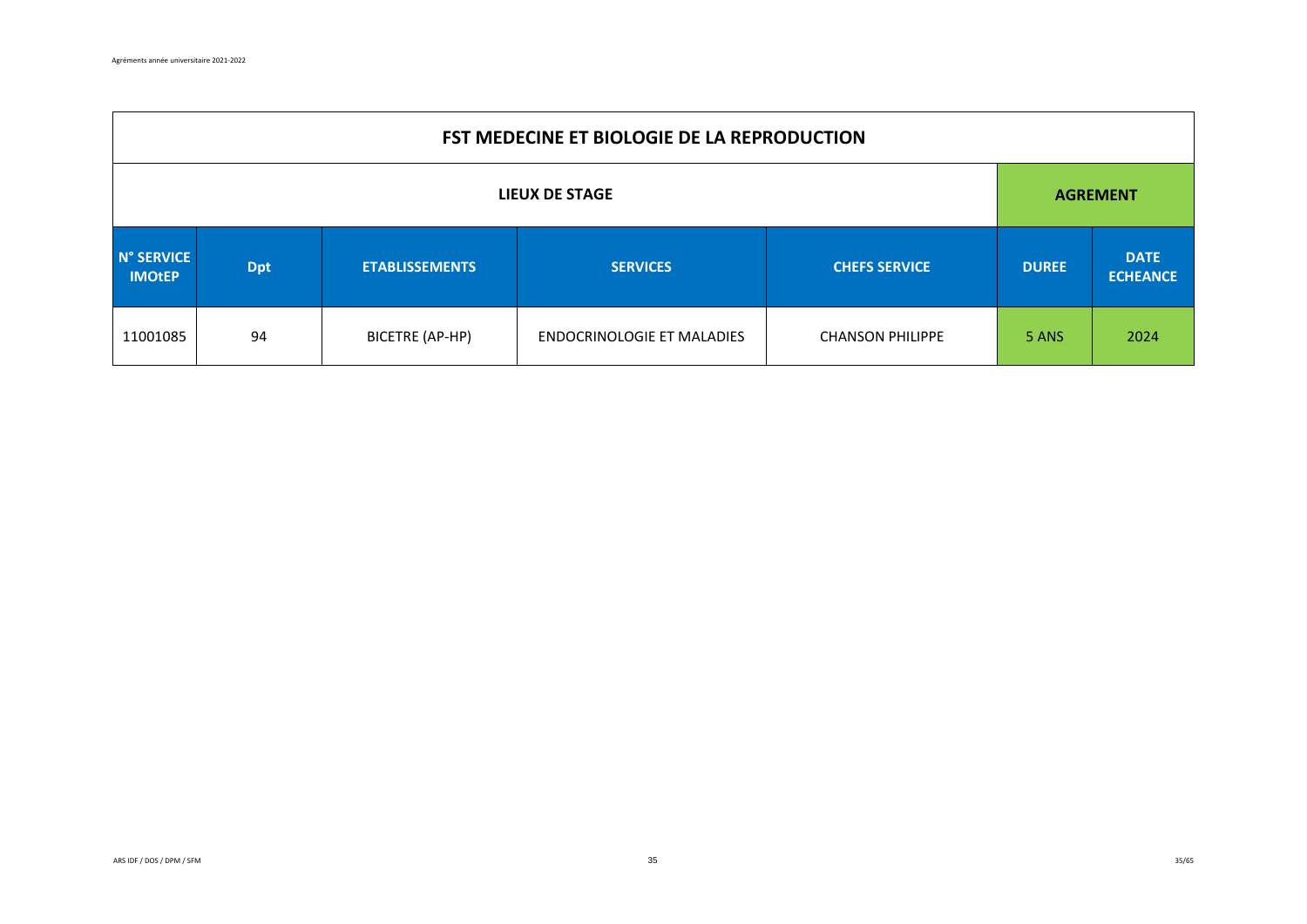|                                                                    | <b>FST MEDECINE ET BIOLOGIE DE LA REPRODUCTION</b> |                 |                                   |                         |                                |      |  |  |
|--------------------------------------------------------------------|----------------------------------------------------|-----------------|-----------------------------------|-------------------------|--------------------------------|------|--|--|
| LIEUX DE STAGE                                                     |                                                    |                 |                                   |                         | <b>AGREMENT</b>                |      |  |  |
| N° SERVICE<br><b>ETABLISSEMENTS</b><br><b>Dpt</b><br><b>IMOtEP</b> |                                                    | <b>SERVICES</b> | <b>CHEFS SERVICE</b>              | <b>DUREE</b>            | <b>DATE</b><br><b>ECHEANCE</b> |      |  |  |
| 11001085                                                           | 94                                                 | BICETRE (AP-HP) | <b>ENDOCRINOLOGIE ET MALADIES</b> | <b>CHANSON PHILIPPE</b> | 5 ANS                          | 2024 |  |  |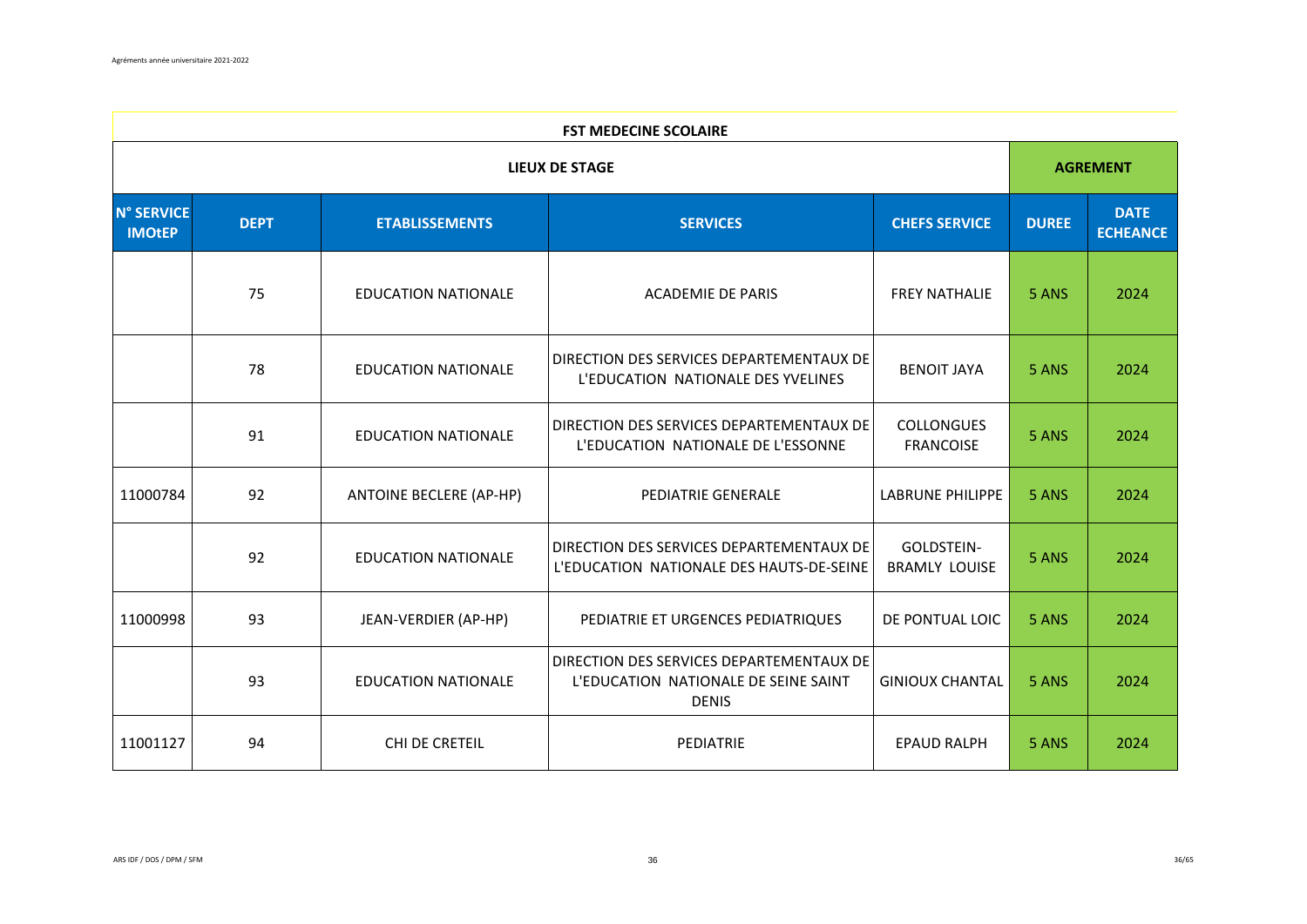|                                    | <b>FST MEDECINE SCOLAIRE</b>                                                    |                                |                                                                                                  |                                       |              |                                |  |  |
|------------------------------------|---------------------------------------------------------------------------------|--------------------------------|--------------------------------------------------------------------------------------------------|---------------------------------------|--------------|--------------------------------|--|--|
|                                    |                                                                                 |                                | <b>LIEUX DE STAGE</b>                                                                            |                                       |              | <b>AGREMENT</b>                |  |  |
| <b>N° SERVICE</b><br><b>IMOtEP</b> | <b>DEPT</b><br><b>ETABLISSEMENTS</b><br><b>SERVICES</b><br><b>CHEFS SERVICE</b> |                                |                                                                                                  |                                       | <b>DUREE</b> | <b>DATE</b><br><b>ECHEANCE</b> |  |  |
|                                    | 75                                                                              | <b>EDUCATION NATIONALE</b>     | <b>ACADEMIE DE PARIS</b>                                                                         | <b>FREY NATHALIE</b>                  | 5 ANS        | 2024                           |  |  |
|                                    | 78                                                                              | <b>EDUCATION NATIONALE</b>     | DIRECTION DES SERVICES DEPARTEMENTAUX DE<br>L'EDUCATION NATIONALE DES YVELINES                   | <b>BENOIT JAYA</b>                    | 5 ANS        | 2024                           |  |  |
|                                    | 91                                                                              | <b>EDUCATION NATIONALE</b>     | DIRECTION DES SERVICES DEPARTEMENTAUX DE<br>L'EDUCATION NATIONALE DE L'ESSONNE                   | <b>COLLONGUES</b><br><b>FRANCOISE</b> | 5 ANS        | 2024                           |  |  |
| 11000784                           | 92                                                                              | <b>ANTOINE BECLERE (AP-HP)</b> | PEDIATRIE GENERALE                                                                               | <b>LABRUNE PHILIPPE</b>               | 5 ANS        | 2024                           |  |  |
|                                    | 92                                                                              | <b>EDUCATION NATIONALE</b>     | DIRECTION DES SERVICES DEPARTEMENTAUX DE<br>L'EDUCATION NATIONALE DES HAUTS-DE-SEINE             | GOLDSTEIN-<br><b>BRAMLY LOUISE</b>    | 5 ANS        | 2024                           |  |  |
| 11000998                           | 93                                                                              | JEAN-VERDIER (AP-HP)           | PEDIATRIE ET URGENCES PEDIATRIQUES                                                               | DE PONTUAL LOIC                       | 5 ANS        | 2024                           |  |  |
|                                    | 93                                                                              | <b>EDUCATION NATIONALE</b>     | DIRECTION DES SERVICES DEPARTEMENTAUX DE<br>L'EDUCATION NATIONALE DE SEINE SAINT<br><b>DENIS</b> | <b>GINIOUX CHANTAL</b>                | 5 ANS        | 2024                           |  |  |
| 11001127                           | 94                                                                              | CHI DE CRETEIL                 | PEDIATRIE                                                                                        | <b>EPAUD RALPH</b>                    | 5 ANS        | 2024                           |  |  |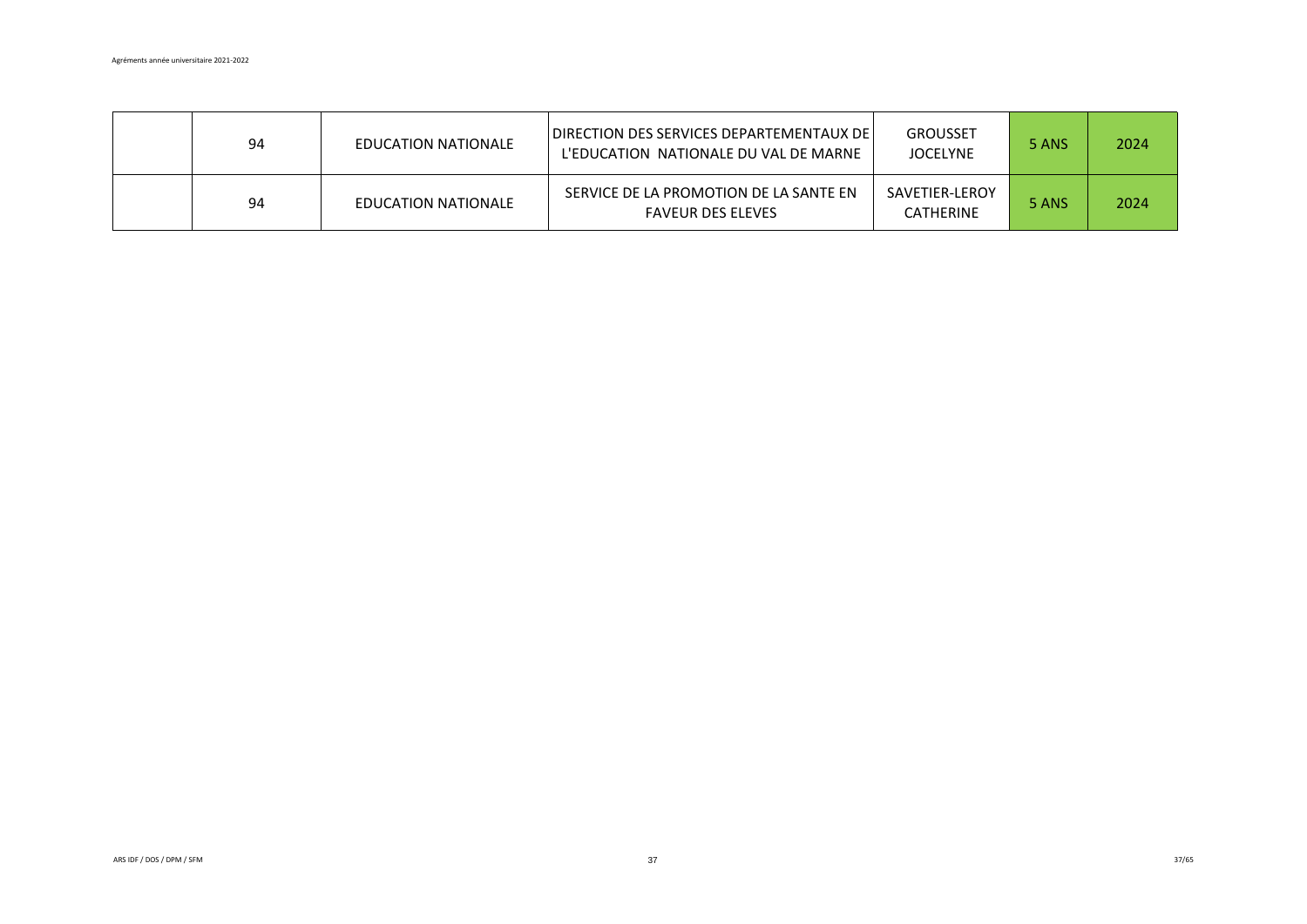| 94 | EDUCATION NATIONALE | DIRECTION DES SERVICES DEPARTEMENTAUX DE l<br>L'EDUCATION NATIONALE DU VAL DE MARNE | <b>GROUSSET</b><br><b>JOCELYNE</b> | 5 ANS | 2024 |
|----|---------------------|-------------------------------------------------------------------------------------|------------------------------------|-------|------|
| 94 | EDUCATION NATIONALE | SERVICE DE LA PROMOTION DE LA SANTE EN<br><b>FAVEUR DES ELEVES</b>                  | SAVETIER-LEROY<br><b>CATHERINE</b> | 5 ANS | 2024 |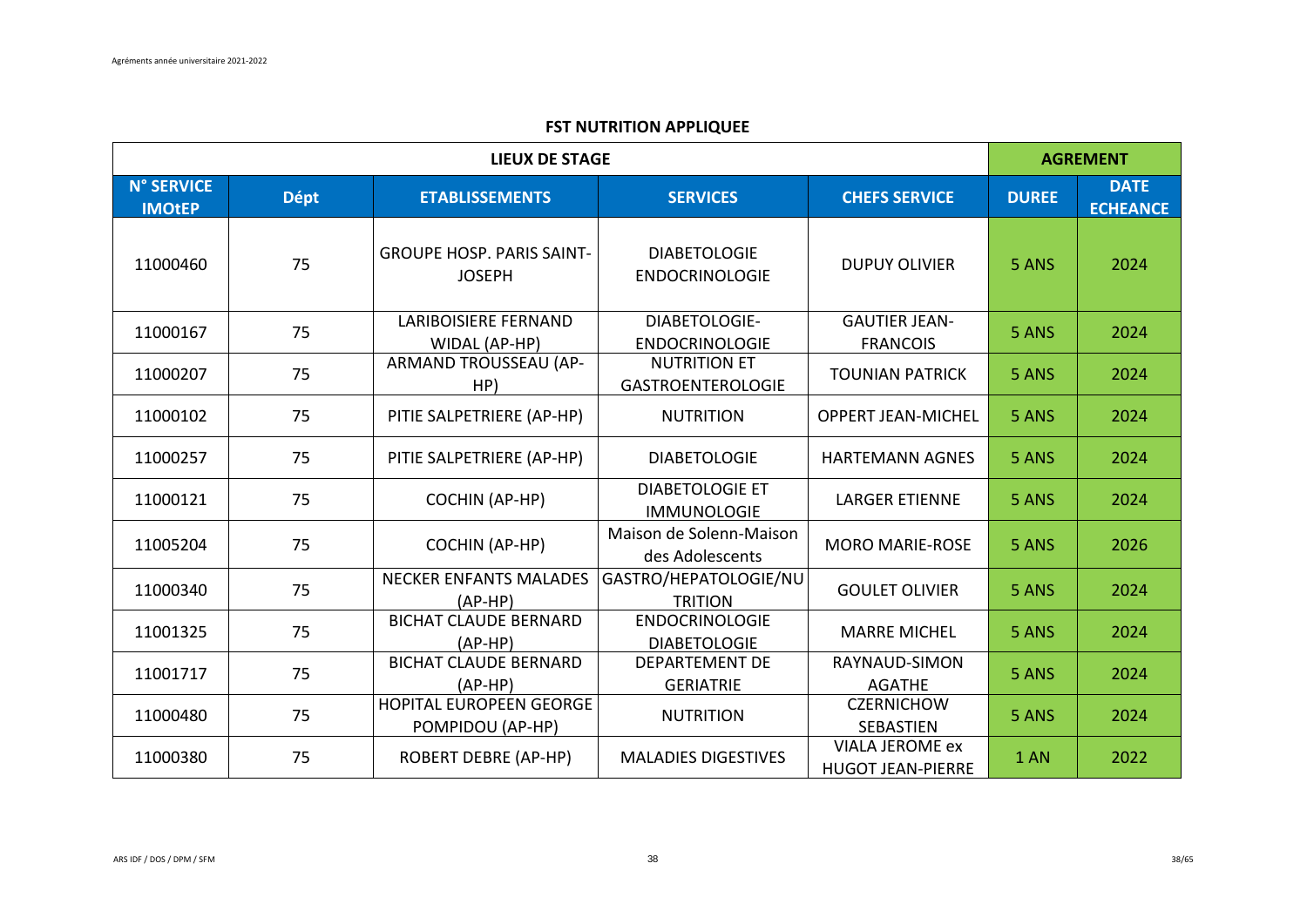|                                    |             | <b>LIEUX DE STAGE</b>                             |                                                 |                                                    | <b>AGREMENT</b> |                                |  |  |  |
|------------------------------------|-------------|---------------------------------------------------|-------------------------------------------------|----------------------------------------------------|-----------------|--------------------------------|--|--|--|
| <b>N° SERVICE</b><br><b>IMOtEP</b> | <b>Dépt</b> | <b>ETABLISSEMENTS</b>                             | <b>SERVICES</b>                                 | <b>CHEFS SERVICE</b>                               | <b>DUREE</b>    | <b>DATE</b><br><b>ECHEANCE</b> |  |  |  |
| 11000460                           | 75          | <b>GROUPE HOSP. PARIS SAINT-</b><br><b>JOSEPH</b> | <b>DIABETOLOGIE</b><br><b>ENDOCRINOLOGIE</b>    | <b>DUPUY OLIVIER</b>                               | 5 ANS           | 2024                           |  |  |  |
| 11000167                           | 75          | <b>LARIBOISIERE FERNAND</b><br>WIDAL (AP-HP)      | DIABETOLOGIE-<br><b>ENDOCRINOLOGIE</b>          | <b>GAUTIER JEAN-</b><br><b>FRANCOIS</b>            | 5 ANS           | 2024                           |  |  |  |
| 11000207                           | 75          | ARMAND TROUSSEAU (AP-<br>HP)                      | <b>NUTRITION ET</b><br><b>GASTROENTEROLOGIE</b> | <b>TOUNIAN PATRICK</b>                             | 5 ANS           | 2024                           |  |  |  |
| 11000102                           | 75          | PITIE SALPETRIERE (AP-HP)                         | <b>NUTRITION</b>                                | <b>OPPERT JEAN-MICHEL</b>                          | 5 ANS           | 2024                           |  |  |  |
| 11000257                           | 75          | PITIE SALPETRIERE (AP-HP)                         | <b>DIABETOLOGIE</b>                             | <b>HARTEMANN AGNES</b>                             | 5 ANS           | 2024                           |  |  |  |
| 11000121                           | 75          | <b>COCHIN (AP-HP)</b>                             | <b>DIABETOLOGIE ET</b><br><b>IMMUNOLOGIE</b>    | <b>LARGER ETIENNE</b>                              | 5 ANS           | 2024                           |  |  |  |
| 11005204                           | 75          | <b>COCHIN (AP-HP)</b>                             | Maison de Solenn-Maison<br>des Adolescents      | <b>MORO MARIE-ROSE</b>                             | 5 ANS           | 2026                           |  |  |  |
| 11000340                           | 75          | <b>NECKER ENFANTS MALADES</b><br>$(AP-HP)$        | GASTRO/HEPATOLOGIE/NU<br><b>TRITION</b>         | <b>GOULET OLIVIER</b>                              | 5 ANS           | 2024                           |  |  |  |
| 11001325                           | 75          | <b>BICHAT CLAUDE BERNARD</b><br>$(AP-HP)$         | <b>ENDOCRINOLOGIE</b><br><b>DIABETOLOGIE</b>    | <b>MARRE MICHEL</b>                                | 5 ANS           | 2024                           |  |  |  |
| 11001717                           | 75          | <b>BICHAT CLAUDE BERNARD</b><br>$(AP-HP)$         | <b>DEPARTEMENT DE</b><br><b>GERIATRIE</b>       | RAYNAUD-SIMON<br><b>AGATHE</b>                     | 5 ANS           | 2024                           |  |  |  |
| 11000480                           | 75          | HOPITAL EUROPEEN GEORGE<br>POMPIDOU (AP-HP)       | <b>NUTRITION</b>                                | <b>CZERNICHOW</b><br><b>SEBASTIEN</b>              | 5 ANS           | 2024                           |  |  |  |
| 11000380                           | 75          | <b>ROBERT DEBRE (AP-HP)</b>                       | <b>MALADIES DIGESTIVES</b>                      | <b>VIALA JEROME ex</b><br><b>HUGOT JEAN-PIERRE</b> | 1 AN            | 2022                           |  |  |  |

### **FST NUTRITION APPLIQUEE**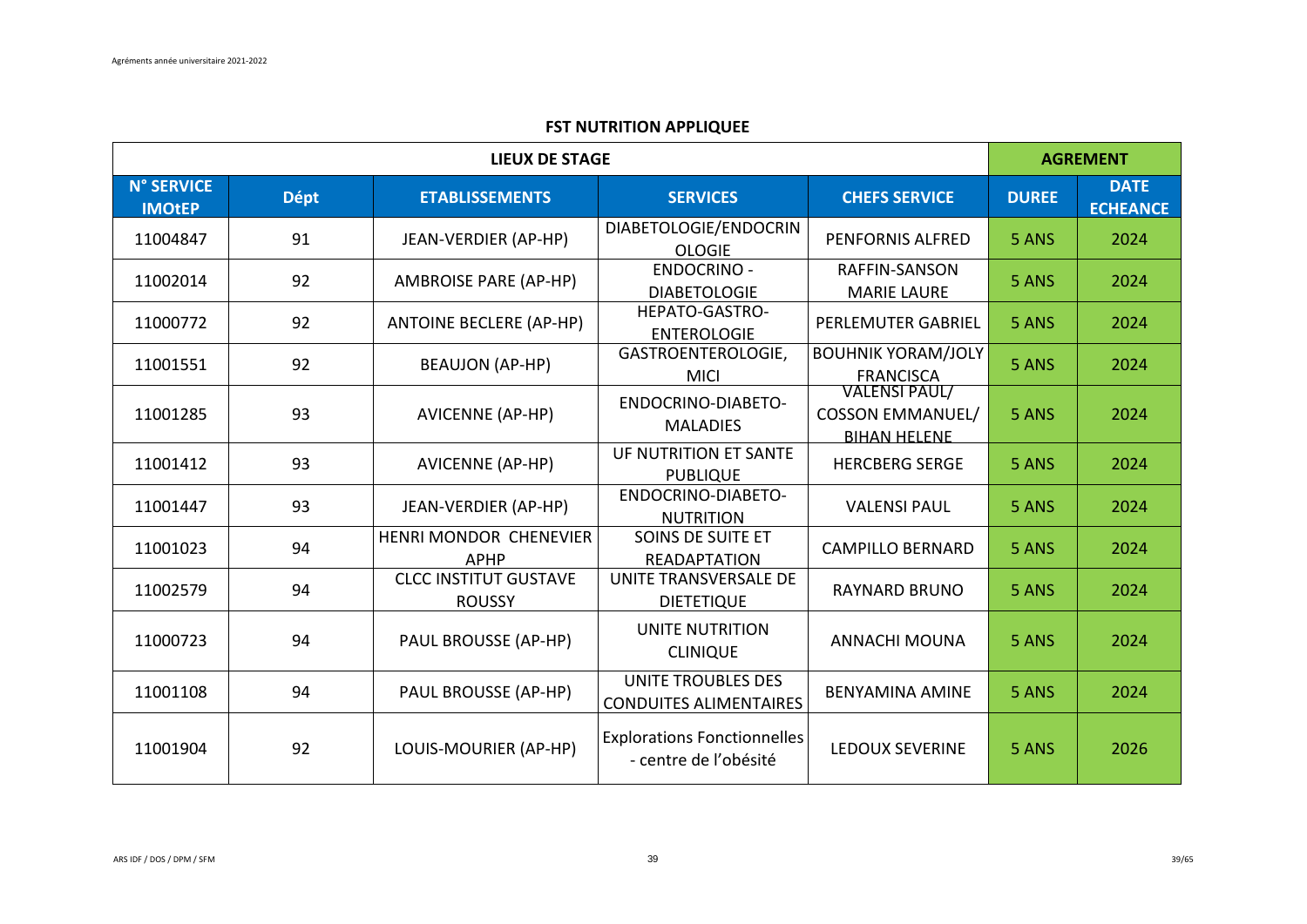|                                    |             | <b>LIEUX DE STAGE</b>                         |                                                             |                                                                        | <b>AGREMENT</b> |                                |  |  |
|------------------------------------|-------------|-----------------------------------------------|-------------------------------------------------------------|------------------------------------------------------------------------|-----------------|--------------------------------|--|--|
| <b>N° SERVICE</b><br><b>IMOtEP</b> | <b>Dépt</b> | <b>ETABLISSEMENTS</b>                         | <b>SERVICES</b>                                             | <b>CHEFS SERVICE</b>                                                   | <b>DUREE</b>    | <b>DATE</b><br><b>ECHEANCE</b> |  |  |
| 11004847                           | 91          | JEAN-VERDIER (AP-HP)                          | DIABETOLOGIE/ENDOCRIN<br><b>OLOGIE</b>                      | <b>PENFORNIS ALFRED</b>                                                | 5 ANS           | 2024                           |  |  |
| 11002014                           | 92          | <b>AMBROISE PARE (AP-HP)</b>                  | <b>ENDOCRINO -</b><br><b>DIABETOLOGIE</b>                   | RAFFIN-SANSON<br><b>MARIE LAURE</b>                                    | 5 ANS           | 2024                           |  |  |
| 11000772                           | 92          | <b>ANTOINE BECLERE (AP-HP)</b>                | HEPATO-GASTRO-<br><b>ENTEROLOGIE</b>                        | PERLEMUTER GABRIEL                                                     | 5 ANS           | 2024                           |  |  |
| 11001551                           | 92          | <b>BEAUJON (AP-HP)</b>                        | GASTROENTEROLOGIE,<br><b>MICI</b>                           | <b>BOUHNIK YORAM/JOLY</b><br><b>FRANCISCA</b>                          | 5 ANS           | 2024                           |  |  |
| 11001285                           | 93          | <b>AVICENNE (AP-HP)</b>                       | ENDOCRINO-DIABETO-<br><b>MALADIES</b>                       | <b>VALENSI PAUL/</b><br><b>COSSON EMMANUEL/</b><br><b>BIHAN HELENE</b> | 5 ANS           | 2024                           |  |  |
| 11001412                           | 93          | <b>AVICENNE (AP-HP)</b>                       | UF NUTRITION ET SANTE<br><b>PUBLIQUE</b>                    | <b>HERCBERG SERGE</b>                                                  | 5 ANS           | 2024                           |  |  |
| 11001447                           | 93          | JEAN-VERDIER (AP-HP)                          | ENDOCRINO-DIABETO-<br><b>NUTRITION</b>                      | <b>VALENSI PAUL</b>                                                    | 5 ANS           | 2024                           |  |  |
| 11001023                           | 94          | HENRI MONDOR CHENEVIER<br><b>APHP</b>         | SOINS DE SUITE ET<br><b>READAPTATION</b>                    | <b>CAMPILLO BERNARD</b>                                                | 5 ANS           | 2024                           |  |  |
| 11002579                           | 94          | <b>CLCC INSTITUT GUSTAVE</b><br><b>ROUSSY</b> | UNITE TRANSVERSALE DE<br><b>DIETETIQUE</b>                  | <b>RAYNARD BRUNO</b>                                                   | 5 ANS           | 2024                           |  |  |
| 11000723                           | 94          | PAUL BROUSSE (AP-HP)                          | UNITE NUTRITION<br><b>CLINIQUE</b>                          | <b>ANNACHI MOUNA</b>                                                   | 5 ANS           | 2024                           |  |  |
| 11001108                           | 94          | PAUL BROUSSE (AP-HP)                          | <b>UNITE TROUBLES DES</b><br><b>CONDUITES ALIMENTAIRES</b>  | <b>BENYAMINA AMINE</b>                                                 | 5 ANS           | 2024                           |  |  |
| 11001904                           | 92          | LOUIS-MOURIER (AP-HP)                         | <b>Explorations Fonctionnelles</b><br>- centre de l'obésité | <b>LEDOUX SEVERINE</b>                                                 | 5 ANS           | 2026                           |  |  |

### **FST NUTRITION APPLIQUEE**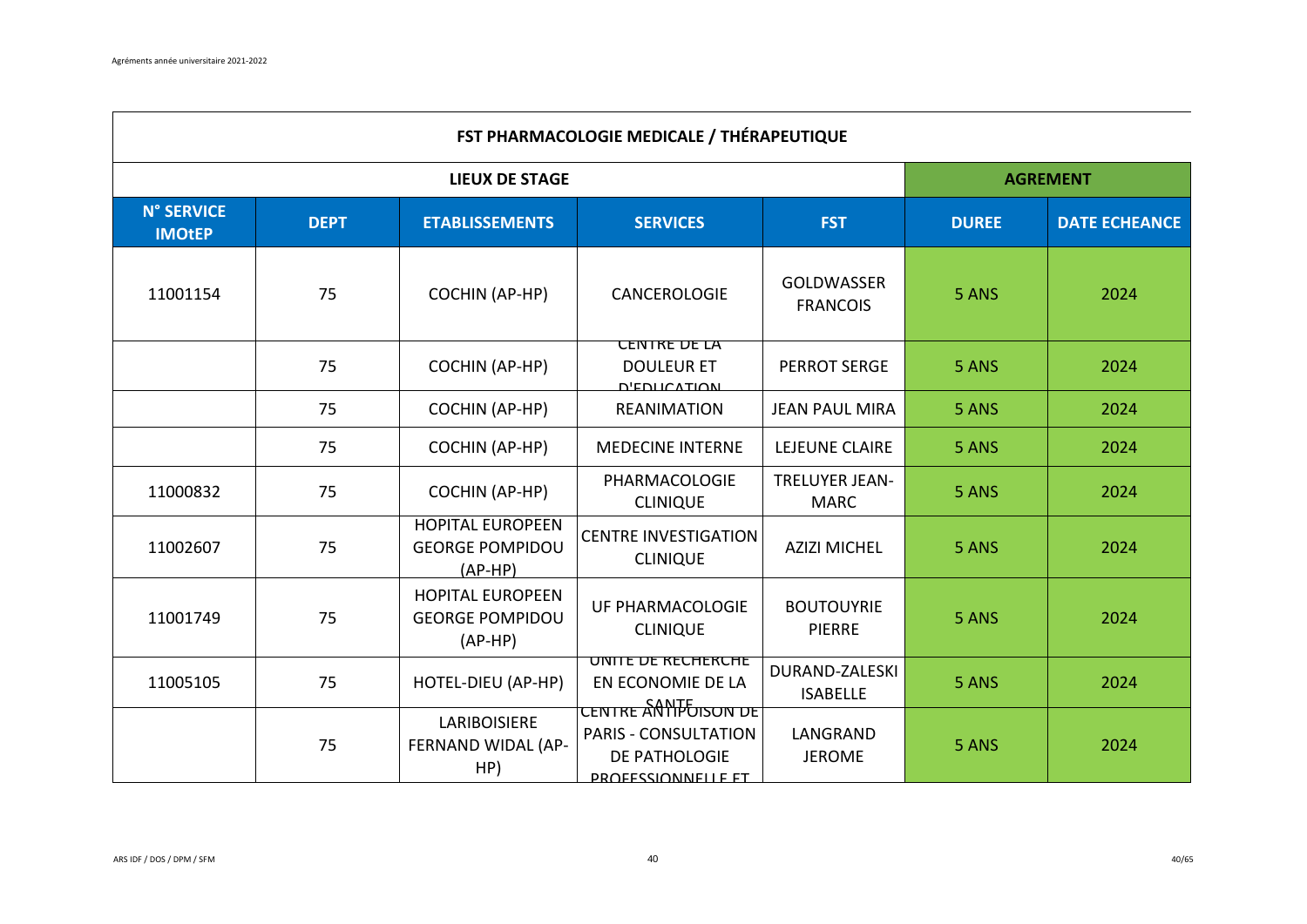$\Gamma$ 

|                                    | <b>FST PHARMACOLOGIE MEDICALE / THÉRAPEUTIQUE</b> |                                                                |                                                                                                                         |                                      |                 |                      |  |  |  |  |
|------------------------------------|---------------------------------------------------|----------------------------------------------------------------|-------------------------------------------------------------------------------------------------------------------------|--------------------------------------|-----------------|----------------------|--|--|--|--|
|                                    |                                                   | <b>LIEUX DE STAGE</b>                                          |                                                                                                                         |                                      | <b>AGREMENT</b> |                      |  |  |  |  |
| <b>N° SERVICE</b><br><b>IMOtEP</b> | <b>DEPT</b>                                       | <b>ETABLISSEMENTS</b>                                          | <b>SERVICES</b>                                                                                                         | <b>FST</b>                           | <b>DUREE</b>    | <b>DATE ECHEANCE</b> |  |  |  |  |
| 11001154                           | 75                                                | <b>COCHIN (AP-HP)</b>                                          | CANCEROLOGIE                                                                                                            | <b>GOLDWASSER</b><br><b>FRANCOIS</b> | 5 ANS           | 2024                 |  |  |  |  |
|                                    | 75                                                | <b>COCHIN (AP-HP)</b>                                          | <b>CENTRE DE LA</b><br><b>DOULEUR ET</b><br><b>D'EDUCATION</b>                                                          | <b>PERROT SERGE</b>                  | 5 ANS           | 2024                 |  |  |  |  |
|                                    | 75                                                | <b>COCHIN (AP-HP)</b>                                          | <b>REANIMATION</b>                                                                                                      | <b>JEAN PAUL MIRA</b>                | 5 ANS           | 2024                 |  |  |  |  |
|                                    | 75                                                | <b>COCHIN (AP-HP)</b>                                          | <b>MEDECINE INTERNE</b>                                                                                                 | LEJEUNE CLAIRE                       | 5 ANS           | 2024                 |  |  |  |  |
| 11000832                           | 75                                                | <b>COCHIN (AP-HP)</b>                                          | PHARMACOLOGIE<br><b>CLINIQUE</b>                                                                                        | <b>TRELUYER JEAN-</b><br><b>MARC</b> | 5 ANS           | 2024                 |  |  |  |  |
| 11002607                           | 75                                                | <b>HOPITAL EUROPEEN</b><br><b>GEORGE POMPIDOU</b><br>$(AP-HP)$ | <b>CENTRE INVESTIGATION</b><br><b>CLINIQUE</b>                                                                          | <b>AZIZI MICHEL</b>                  | 5 ANS           | 2024                 |  |  |  |  |
| 11001749                           | 75                                                | <b>HOPITAL EUROPEEN</b><br><b>GEORGE POMPIDOU</b><br>$(AP-HP)$ | UF PHARMACOLOGIE<br><b>CLINIQUE</b>                                                                                     | <b>BOUTOUYRIE</b><br><b>PIERRE</b>   | 5 ANS           | 2024                 |  |  |  |  |
| 11005105                           | 75                                                | HOTEL-DIEU (AP-HP)                                             | UNITE DE RECHERCHE<br>EN ECONOMIE DE LA                                                                                 | DURAND-ZALESKI<br><b>ISABELLE</b>    | 5 ANS           | 2024                 |  |  |  |  |
|                                    | 75                                                | LARIBOISIERE<br>FERNAND WIDAL (AP-<br>HP)                      | <u>CENTRE AN הכבודות CENTRE AN</u><br><b>PARIS - CONSULTATION</b><br><b>DE PATHOLOGIE</b><br><b>PROFESSIONNELLE FT.</b> | LANGRAND<br><b>JEROME</b>            | 5 ANS           | 2024                 |  |  |  |  |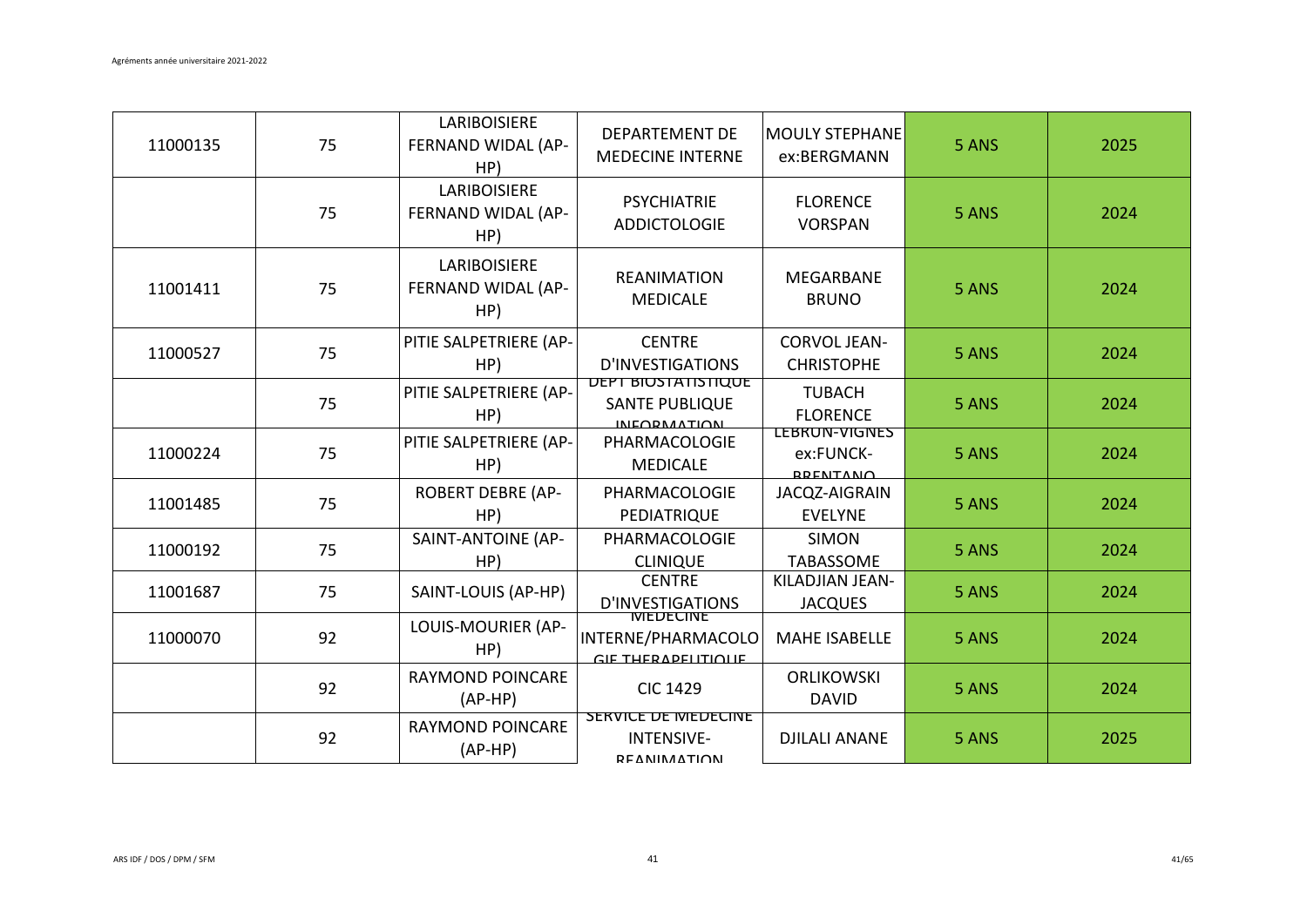| 11000135 | 75 | LARIBOISIERE<br>FERNAND WIDAL (AP-<br>HP) | <b>DEPARTEMENT DE</b><br><b>MEDECINE INTERNE</b>                          | <b>MOULY STEPHANE</b><br>ex:BERGMANN                        | 5 ANS | 2025 |
|----------|----|-------------------------------------------|---------------------------------------------------------------------------|-------------------------------------------------------------|-------|------|
|          | 75 | LARIBOISIERE<br>FERNAND WIDAL (AP-<br>HP) | <b>PSYCHIATRIE</b><br><b>ADDICTOLOGIE</b>                                 | <b>FLORENCE</b><br><b>VORSPAN</b>                           | 5 ANS | 2024 |
| 11001411 | 75 | LARIBOISIERE<br>FERNAND WIDAL (AP-<br>HP) | <b>REANIMATION</b><br><b>MEDICALE</b>                                     | <b>MEGARBANE</b><br><b>BRUNO</b>                            | 5 ANS | 2024 |
| 11000527 | 75 | PITIE SALPETRIERE (AP-<br>HP)             | <b>CENTRE</b><br><b>D'INVESTIGATIONS</b>                                  | <b>CORVOL JEAN-</b><br><b>CHRISTOPHE</b>                    | 5 ANS | 2024 |
|          | 75 | PITIE SALPETRIERE (AP-<br>HP)             | <b>DEPT BIOSTATISTIQUE</b><br><b>SANTE PUBLIQUE</b><br><b>INFORMATION</b> | <b>TUBACH</b><br><b>FLORENCE</b>                            | 5 ANS | 2024 |
| 11000224 | 75 | PITIE SALPETRIERE (AP-<br>HP)             | PHARMACOLOGIE<br><b>MEDICALE</b>                                          | <b><i>LEBRUN-VIGNES</i></b><br>ex:FUNCK-<br><b>DDENTANO</b> | 5 ANS | 2024 |
| 11001485 | 75 | <b>ROBERT DEBRE (AP-</b><br>HP)           | PHARMACOLOGIE<br>PEDIATRIQUE                                              | JACQZ-AIGRAIN<br><b>EVELYNE</b>                             | 5 ANS | 2024 |
| 11000192 | 75 | SAINT-ANTOINE (AP-<br>HP)                 | PHARMACOLOGIE<br><b>CLINIQUE</b>                                          | <b>SIMON</b><br><b>TABASSOME</b>                            | 5 ANS | 2024 |
| 11001687 | 75 | SAINT-LOUIS (AP-HP)                       | <b>CENTRE</b><br>D'INVESTIGATIONS                                         | KILADJIAN JEAN-<br><b>JACQUES</b>                           | 5 ANS | 2024 |
| 11000070 | 92 | LOUIS-MOURIER (AP-<br>HP)                 | INTERNE/PHARMACOLO<br>GIE THERADELITIOLIE                                 | <b>MAHE ISABELLE</b>                                        | 5 ANS | 2024 |
|          | 92 | <b>RAYMOND POINCARE</b><br>$(AP-HP)$      | <b>CIC 1429</b>                                                           | <b>ORLIKOWSKI</b><br><b>DAVID</b>                           | 5 ANS | 2024 |
|          | 92 | <b>RAYMOND POINCARE</b><br>$(AP-HP)$      | <b>SERVICE DE MEDECINE</b><br><b>INTENSIVE-</b><br><b>DEANIMATION</b>     | <b>DJILALI ANANE</b>                                        | 5 ANS | 2025 |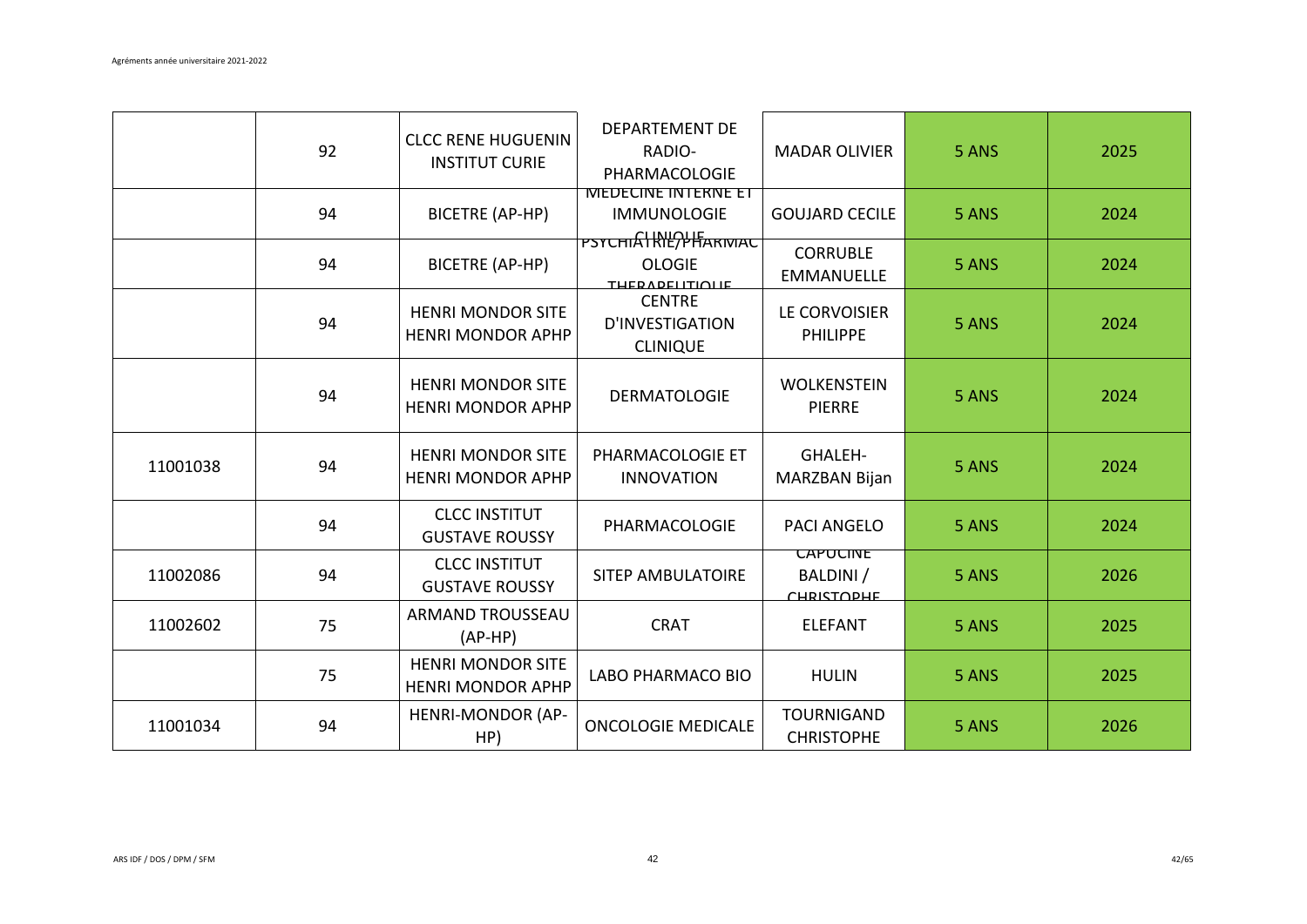|          | 92 | <b>CLCC RENE HUGUENIN</b><br><b>INSTITUT CURIE</b>   | <b>DEPARTEMENT DE</b><br>RADIO-<br>PHARMACOLOGIE                | <b>MADAR OLIVIER</b>                              | 5 ANS | 2025 |
|----------|----|------------------------------------------------------|-----------------------------------------------------------------|---------------------------------------------------|-------|------|
|          | 94 | BICETRE (AP-HP)                                      | <b>IVIEDECINE INTERNE ET</b><br><b>IMMUNOLOGIE</b>              | <b>GOUJARD CECILE</b>                             | 5 ANS | 2024 |
|          | 94 | <b>BICETRE (AP-HP)</b>                               | PSYCHIAHRIEPHARIVIAC<br><b>OLOGIE</b><br><b>THERADELITIOLIE</b> | <b>CORRUBLE</b><br><b>EMMANUELLE</b>              | 5 ANS | 2024 |
|          | 94 | <b>HENRI MONDOR SITE</b><br><b>HENRI MONDOR APHP</b> | <b>CENTRE</b><br>D'INVESTIGATION<br><b>CLINIQUE</b>             | LE CORVOISIER<br><b>PHILIPPE</b>                  | 5 ANS | 2024 |
|          | 94 | <b>HENRI MONDOR SITE</b><br><b>HENRI MONDOR APHP</b> | <b>DERMATOLOGIE</b>                                             | <b>WOLKENSTEIN</b><br><b>PIERRE</b>               | 5 ANS | 2024 |
| 11001038 | 94 | <b>HENRI MONDOR SITE</b><br><b>HENRI MONDOR APHP</b> | PHARMACOLOGIE ET<br><b>INNOVATION</b>                           | <b>GHALEH-</b><br>MARZBAN Bijan                   | 5 ANS | 2024 |
|          | 94 | <b>CLCC INSTITUT</b><br><b>GUSTAVE ROUSSY</b>        | PHARMACOLOGIE                                                   | <b>PACI ANGELO</b>                                | 5 ANS | 2024 |
| 11002086 | 94 | <b>CLCC INSTITUT</b><br><b>GUSTAVE ROUSSY</b>        | <b>SITEP AMBULATOIRE</b>                                        | <b><i>CAPUCINE</i></b><br>BALDINI /<br>CHRICTODHE | 5 ANS | 2026 |
| 11002602 | 75 | <b>ARMAND TROUSSEAU</b><br>$(AP-HP)$                 | <b>CRAT</b>                                                     | <b>ELEFANT</b>                                    | 5 ANS | 2025 |
|          | 75 | <b>HENRI MONDOR SITE</b><br><b>HENRI MONDOR APHP</b> | LABO PHARMACO BIO                                               | <b>HULIN</b>                                      | 5 ANS | 2025 |
| 11001034 | 94 | <b>HENRI-MONDOR (AP-</b><br>HP)                      | <b>ONCOLOGIE MEDICALE</b>                                       | <b>TOURNIGAND</b><br><b>CHRISTOPHE</b>            | 5 ANS | 2026 |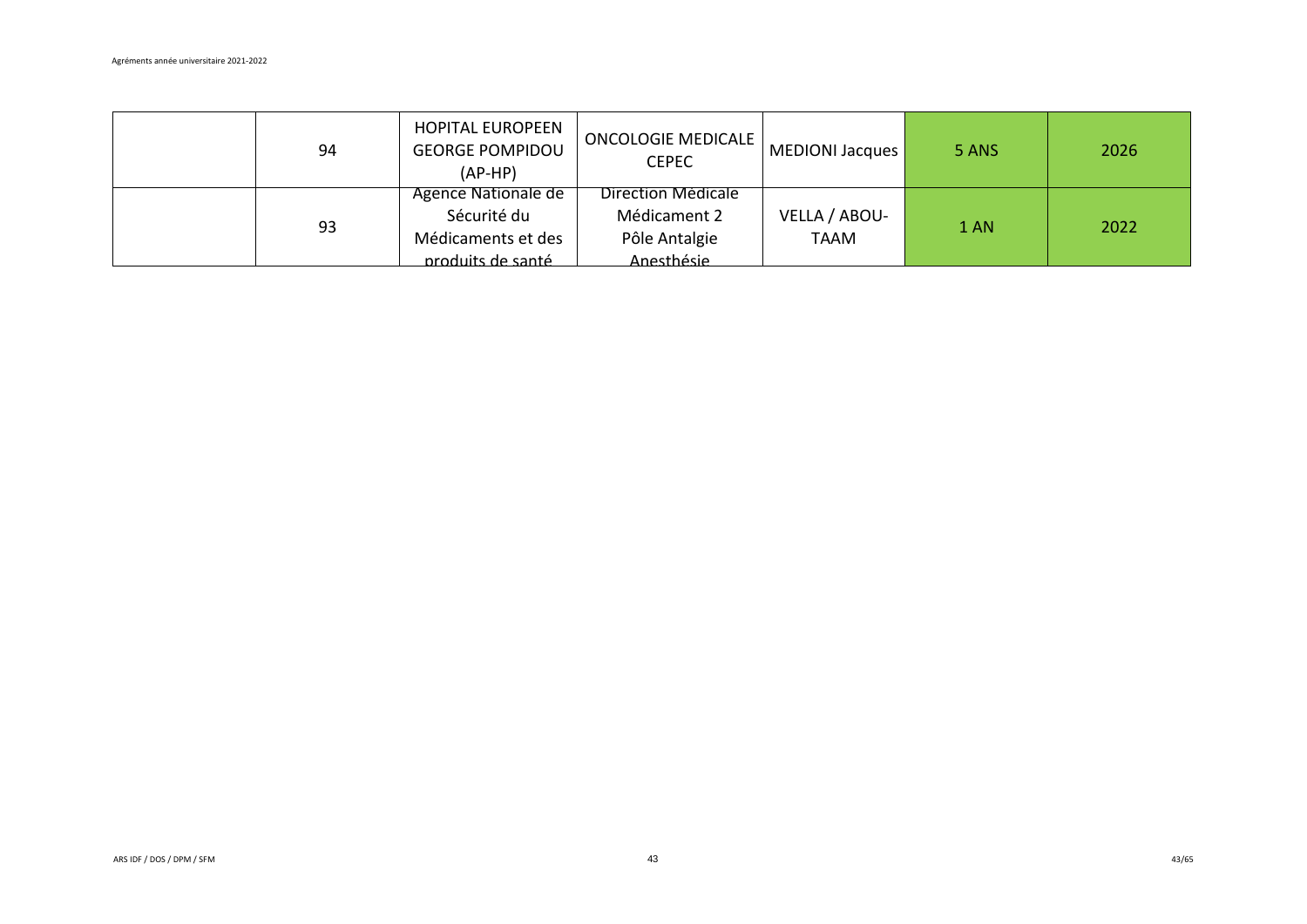| 94 | <b>HOPITAL EUROPEEN</b><br><b>GEORGE POMPIDOU</b><br>$(AP-HP)$                | ONCOLOGIE MEDICALE<br><b>CEPEC</b>                                | MEDIONI Jacques              | 5 ANS | 2026 |
|----|-------------------------------------------------------------------------------|-------------------------------------------------------------------|------------------------------|-------|------|
| 93 | Agence Nationale de<br>Sécurité du<br>Médicaments et des<br>produits de santé | Direction Médicale<br>Médicament 2<br>Pôle Antalgie<br>Anesthésie | VELLA / ABOU-<br><b>TAAM</b> | 1 AN  | 2022 |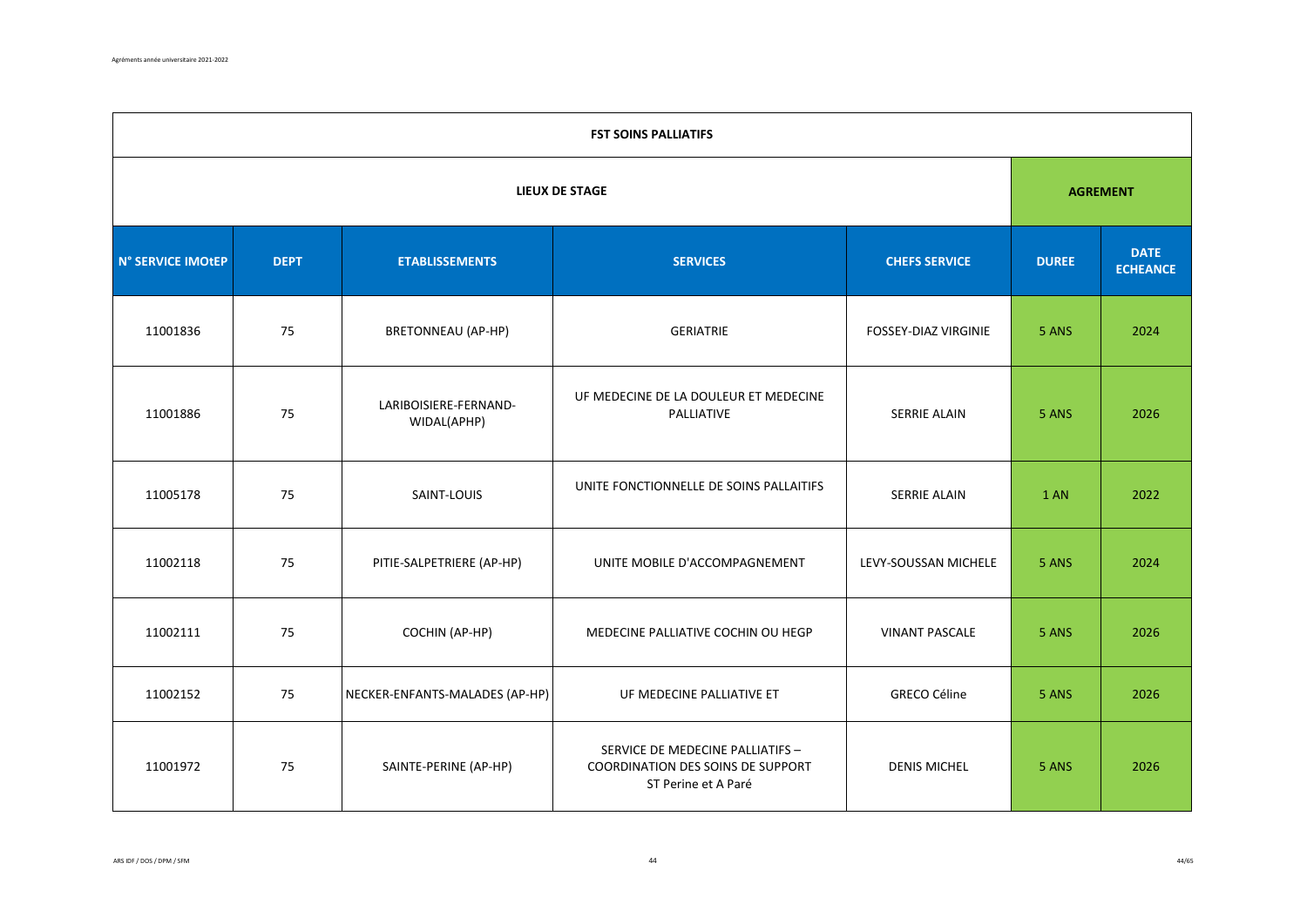|                   | <b>FST SOINS PALLIATIFS</b> |                                      |                                                                                              |                             |              |                                |  |  |  |  |
|-------------------|-----------------------------|--------------------------------------|----------------------------------------------------------------------------------------------|-----------------------------|--------------|--------------------------------|--|--|--|--|
|                   |                             | <b>AGREMENT</b>                      |                                                                                              |                             |              |                                |  |  |  |  |
| N° SERVICE IMOtEP | <b>DEPT</b>                 | <b>ETABLISSEMENTS</b>                | <b>SERVICES</b>                                                                              | <b>CHEFS SERVICE</b>        | <b>DUREE</b> | <b>DATE</b><br><b>ECHEANCE</b> |  |  |  |  |
| 11001836          | 75                          | <b>BRETONNEAU (AP-HP)</b>            | <b>GERIATRIE</b>                                                                             | <b>FOSSEY-DIAZ VIRGINIE</b> | 5 ANS        | 2024                           |  |  |  |  |
| 11001886          | 75                          | LARIBOISIERE-FERNAND-<br>WIDAL(APHP) | UF MEDECINE DE LA DOULEUR ET MEDECINE<br>PALLIATIVE                                          | SERRIE ALAIN                | 5 ANS        | 2026                           |  |  |  |  |
| 11005178          | 75                          | SAINT-LOUIS                          | UNITE FONCTIONNELLE DE SOINS PALLAITIFS                                                      | <b>SERRIE ALAIN</b>         | <b>1 AN</b>  | 2022                           |  |  |  |  |
| 11002118          | 75                          | PITIE-SALPETRIERE (AP-HP)            | UNITE MOBILE D'ACCOMPAGNEMENT                                                                | LEVY-SOUSSAN MICHELE        | 5 ANS        | 2024                           |  |  |  |  |
| 11002111          | 75                          | COCHIN (AP-HP)                       | MEDECINE PALLIATIVE COCHIN OU HEGP                                                           | <b>VINANT PASCALE</b>       | 5 ANS        | 2026                           |  |  |  |  |
| 11002152          | 75                          | NECKER-ENFANTS-MALADES (AP-HP)       | UF MEDECINE PALLIATIVE ET                                                                    | <b>GRECO Céline</b>         | 5 ANS        | 2026                           |  |  |  |  |
| 11001972          | 75                          | SAINTE-PERINE (AP-HP)                | SERVICE DE MEDECINE PALLIATIFS -<br>COORDINATION DES SOINS DE SUPPORT<br>ST Perine et A Paré | <b>DENIS MICHEL</b>         | 5 ANS        | 2026                           |  |  |  |  |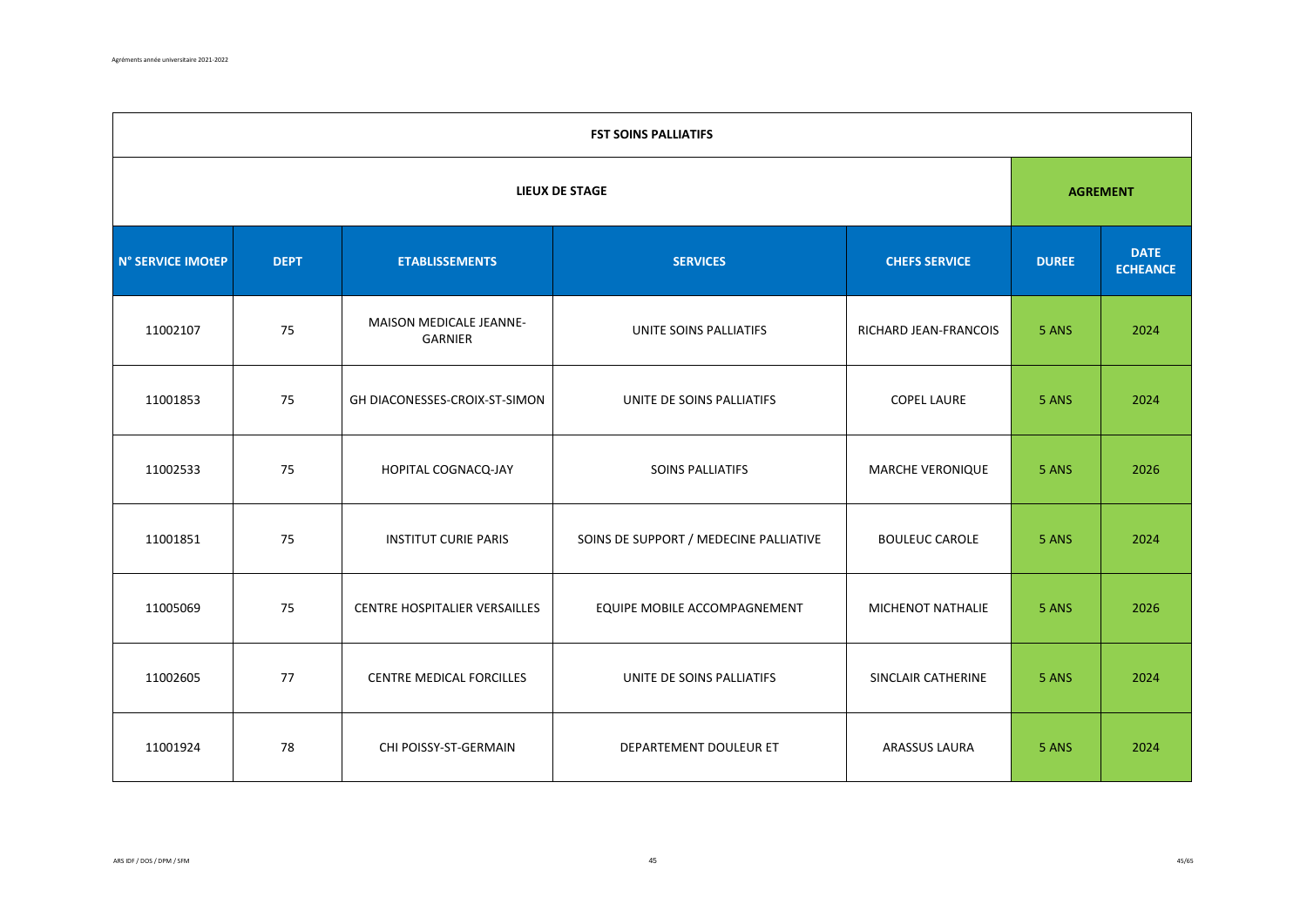|                   | <b>FST SOINS PALLIATIFS</b> |                                    |                                        |                       |              |                                |  |  |  |  |
|-------------------|-----------------------------|------------------------------------|----------------------------------------|-----------------------|--------------|--------------------------------|--|--|--|--|
|                   | <b>LIEUX DE STAGE</b>       |                                    |                                        |                       |              |                                |  |  |  |  |
| N° SERVICE IMOtEP | <b>DEPT</b>                 | <b>ETABLISSEMENTS</b>              | <b>SERVICES</b>                        | <b>CHEFS SERVICE</b>  | <b>DUREE</b> | <b>DATE</b><br><b>ECHEANCE</b> |  |  |  |  |
| 11002107          | 75                          | MAISON MEDICALE JEANNE-<br>GARNIER | UNITE SOINS PALLIATIFS                 | RICHARD JEAN-FRANCOIS | 5 ANS        | 2024                           |  |  |  |  |
| 11001853          | 75                          | GH DIACONESSES-CROIX-ST-SIMON      | UNITE DE SOINS PALLIATIFS              | <b>COPEL LAURE</b>    | 5 ANS        | 2024                           |  |  |  |  |
| 11002533          | 75                          | HOPITAL COGNACQ-JAY                | SOINS PALLIATIFS                       | MARCHE VERONIQUE      | 5 ANS        | 2026                           |  |  |  |  |
| 11001851          | 75                          | <b>INSTITUT CURIE PARIS</b>        | SOINS DE SUPPORT / MEDECINE PALLIATIVE | <b>BOULEUC CAROLE</b> | 5 ANS        | 2024                           |  |  |  |  |
| 11005069          | 75                          | CENTRE HOSPITALIER VERSAILLES      | EQUIPE MOBILE ACCOMPAGNEMENT           | MICHENOT NATHALIE     | 5 ANS        | 2026                           |  |  |  |  |
| 11002605          | 77                          | CENTRE MEDICAL FORCILLES           | UNITE DE SOINS PALLIATIFS              | SINCLAIR CATHERINE    | 5 ANS        | 2024                           |  |  |  |  |
| 11001924          | 78                          | CHI POISSY-ST-GERMAIN              | DEPARTEMENT DOULEUR ET                 | <b>ARASSUS LAURA</b>  | 5 ANS        | 2024                           |  |  |  |  |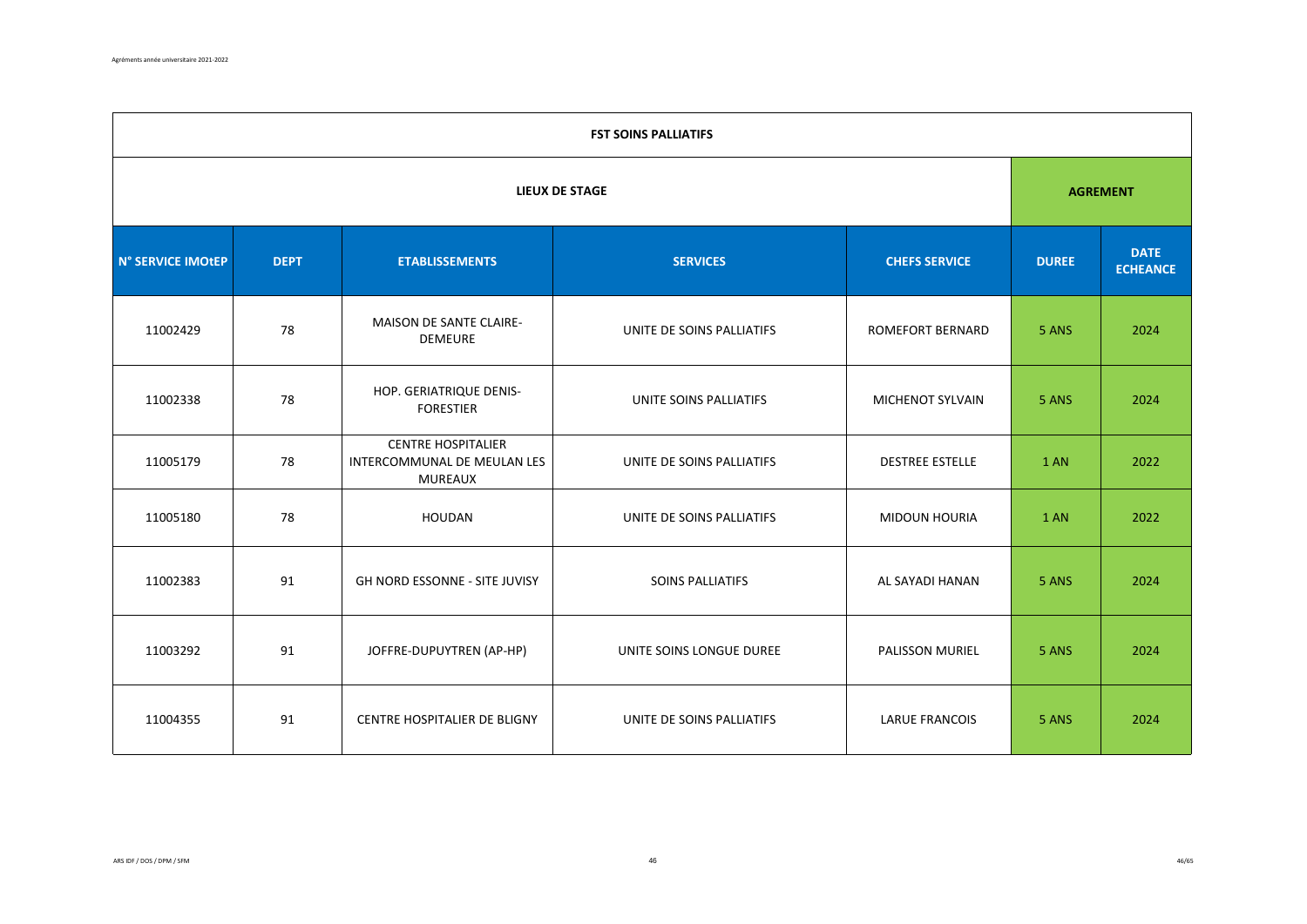|                   | <b>FST SOINS PALLIATIFS</b> |                                                                            |                           |                         |              |                                |  |  |  |  |
|-------------------|-----------------------------|----------------------------------------------------------------------------|---------------------------|-------------------------|--------------|--------------------------------|--|--|--|--|
|                   | <b>LIEUX DE STAGE</b>       |                                                                            |                           |                         |              |                                |  |  |  |  |
| N° SERVICE IMOtEP | <b>DEPT</b>                 | <b>ETABLISSEMENTS</b>                                                      | <b>SERVICES</b>           | <b>CHEFS SERVICE</b>    | <b>DUREE</b> | <b>DATE</b><br><b>ECHEANCE</b> |  |  |  |  |
| 11002429          | 78                          | MAISON DE SANTE CLAIRE-<br><b>DEMEURE</b>                                  | UNITE DE SOINS PALLIATIFS | <b>ROMEFORT BERNARD</b> | 5 ANS        | 2024                           |  |  |  |  |
| 11002338          | 78                          | HOP. GERIATRIQUE DENIS-<br><b>FORESTIER</b>                                | UNITE SOINS PALLIATIFS    | <b>MICHENOT SYLVAIN</b> | 5 ANS        | 2024                           |  |  |  |  |
| 11005179          | 78                          | <b>CENTRE HOSPITALIER</b><br>INTERCOMMUNAL DE MEULAN LES<br><b>MUREAUX</b> | UNITE DE SOINS PALLIATIFS | <b>DESTREE ESTELLE</b>  | 1 AN         | 2022                           |  |  |  |  |
| 11005180          | 78                          | HOUDAN                                                                     | UNITE DE SOINS PALLIATIFS | <b>MIDOUN HOURIA</b>    | 1 AN         | 2022                           |  |  |  |  |
| 11002383          | 91                          | GH NORD ESSONNE - SITE JUVISY                                              | SOINS PALLIATIFS          | AL SAYADI HANAN         | 5 ANS        | 2024                           |  |  |  |  |
| 11003292          | 91                          | JOFFRE-DUPUYTREN (AP-HP)                                                   | UNITE SOINS LONGUE DUREE  | PALISSON MURIEL         | 5 ANS        | 2024                           |  |  |  |  |
| 11004355          | 91                          | CENTRE HOSPITALIER DE BLIGNY                                               | UNITE DE SOINS PALLIATIFS | LARUE FRANCOIS          | 5 ANS        | 2024                           |  |  |  |  |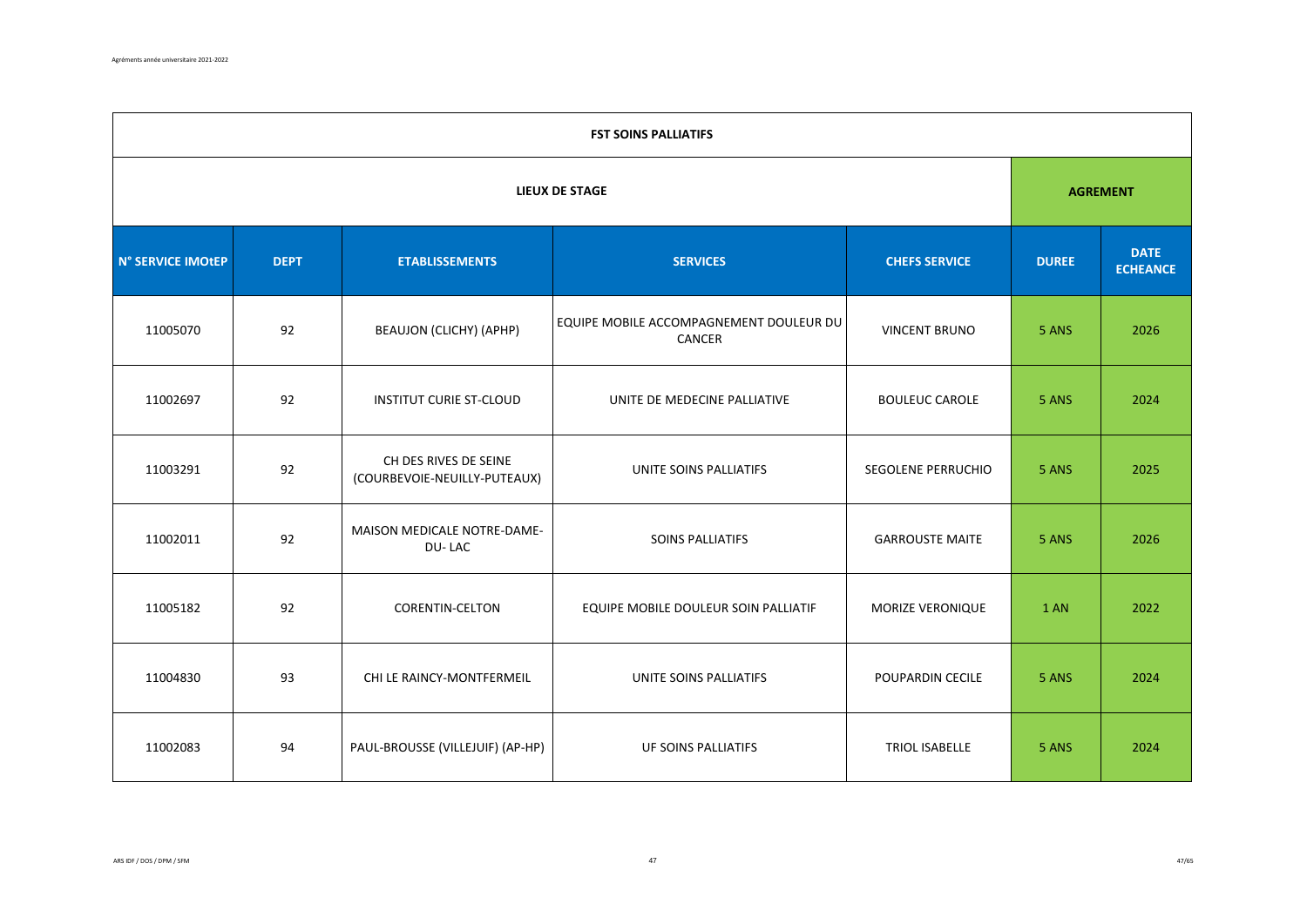|                   | <b>FST SOINS PALLIATIFS</b> |                                                       |                                                   |                        |              |                                |  |  |  |  |
|-------------------|-----------------------------|-------------------------------------------------------|---------------------------------------------------|------------------------|--------------|--------------------------------|--|--|--|--|
|                   |                             | <b>AGREMENT</b>                                       |                                                   |                        |              |                                |  |  |  |  |
| N° SERVICE IMOtEP | <b>DEPT</b>                 | <b>ETABLISSEMENTS</b>                                 | <b>SERVICES</b>                                   | <b>CHEFS SERVICE</b>   | <b>DUREE</b> | <b>DATE</b><br><b>ECHEANCE</b> |  |  |  |  |
| 11005070          | 92                          | BEAUJON (CLICHY) (APHP)                               | EQUIPE MOBILE ACCOMPAGNEMENT DOULEUR DU<br>CANCER | <b>VINCENT BRUNO</b>   | 5 ANS        | 2026                           |  |  |  |  |
| 11002697          | 92                          | <b>INSTITUT CURIE ST-CLOUD</b>                        | UNITE DE MEDECINE PALLIATIVE                      | <b>BOULEUC CAROLE</b>  | 5 ANS        | 2024                           |  |  |  |  |
| 11003291          | 92                          | CH DES RIVES DE SEINE<br>(COURBEVOIE-NEUILLY-PUTEAUX) | UNITE SOINS PALLIATIFS                            | SEGOLENE PERRUCHIO     | 5 ANS        | 2025                           |  |  |  |  |
| 11002011          | 92                          | MAISON MEDICALE NOTRE-DAME-<br>DU-LAC                 | SOINS PALLIATIFS                                  | <b>GARROUSTE MAITE</b> | 5 ANS        | 2026                           |  |  |  |  |
| 11005182          | 92                          | <b>CORENTIN-CELTON</b>                                | EQUIPE MOBILE DOULEUR SOIN PALLIATIF              | MORIZE VERONIQUE       | 1 AN         | 2022                           |  |  |  |  |
| 11004830          | 93                          | CHI LE RAINCY-MONTFERMEIL                             | UNITE SOINS PALLIATIFS                            | POUPARDIN CECILE       | 5 ANS        | 2024                           |  |  |  |  |
| 11002083          | 94                          | PAUL-BROUSSE (VILLEJUIF) (AP-HP)                      | UF SOINS PALLIATIFS                               | TRIOL ISABELLE         | 5 ANS        | 2024                           |  |  |  |  |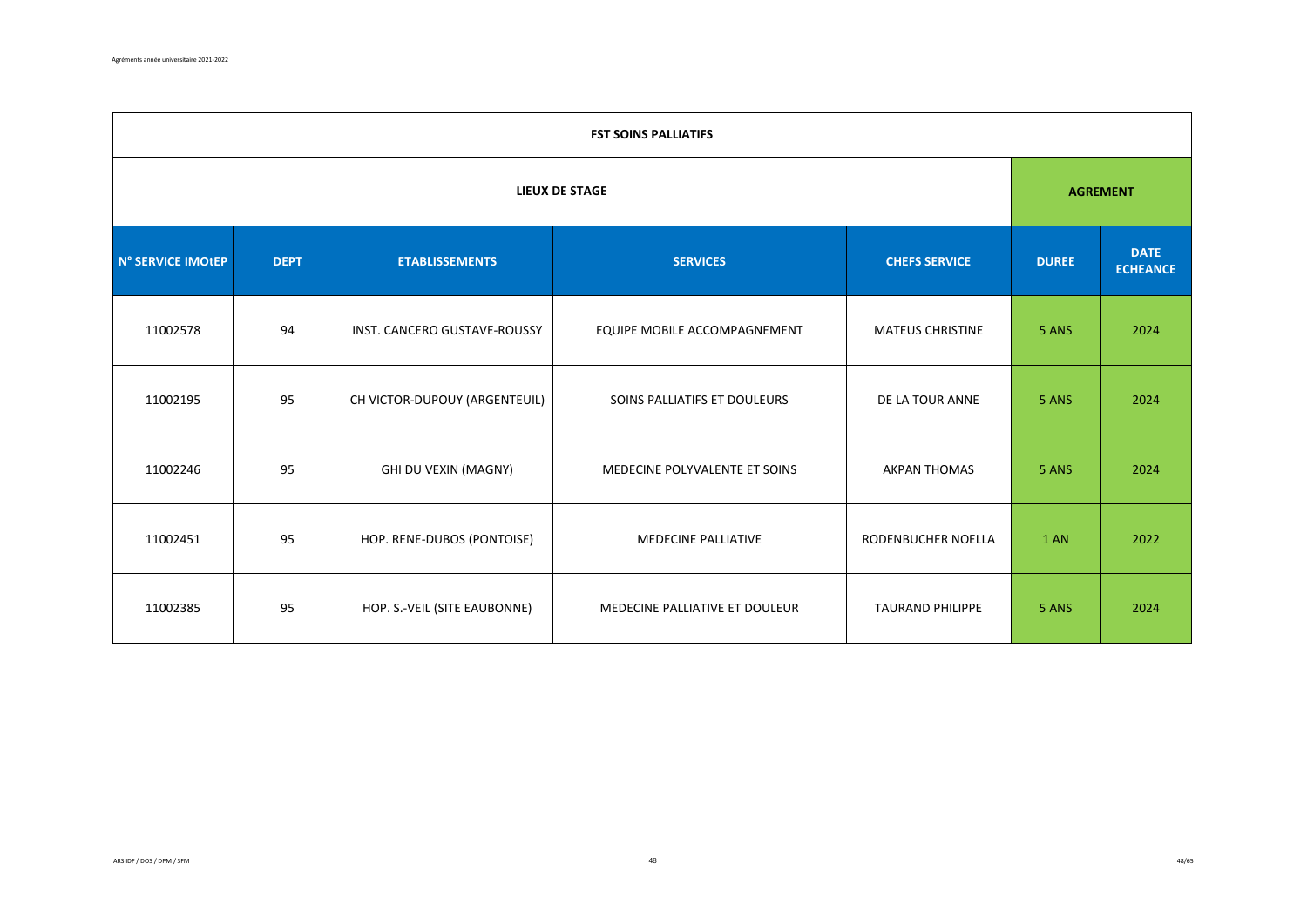|                   | <b>FST SOINS PALLIATIFS</b> |                               |                                |                         |              |                                |  |  |  |  |
|-------------------|-----------------------------|-------------------------------|--------------------------------|-------------------------|--------------|--------------------------------|--|--|--|--|
|                   |                             | <b>AGREMENT</b>               |                                |                         |              |                                |  |  |  |  |
| N° SERVICE IMOtEP | <b>DEPT</b>                 | <b>ETABLISSEMENTS</b>         | <b>SERVICES</b>                | <b>CHEFS SERVICE</b>    | <b>DUREE</b> | <b>DATE</b><br><b>ECHEANCE</b> |  |  |  |  |
| 11002578          | 94                          | INST. CANCERO GUSTAVE-ROUSSY  | EQUIPE MOBILE ACCOMPAGNEMENT   | <b>MATEUS CHRISTINE</b> | 5 ANS        | 2024                           |  |  |  |  |
| 11002195          | 95                          | CH VICTOR-DUPOUY (ARGENTEUIL) | SOINS PALLIATIFS ET DOULEURS   | DE LA TOUR ANNE         | 5 ANS        | 2024                           |  |  |  |  |
| 11002246          | 95                          | GHI DU VEXIN (MAGNY)          | MEDECINE POLYVALENTE ET SOINS  | <b>AKPAN THOMAS</b>     | 5 ANS        | 2024                           |  |  |  |  |
| 11002451          | 95                          | HOP. RENE-DUBOS (PONTOISE)    | MEDECINE PALLIATIVE            | RODENBUCHER NOELLA      | 1 AN         | 2022                           |  |  |  |  |
| 11002385          | 95                          | HOP. S.-VEIL (SITE EAUBONNE)  | MEDECINE PALLIATIVE ET DOULEUR | <b>TAURAND PHILIPPE</b> | 5 ANS        | 2024                           |  |  |  |  |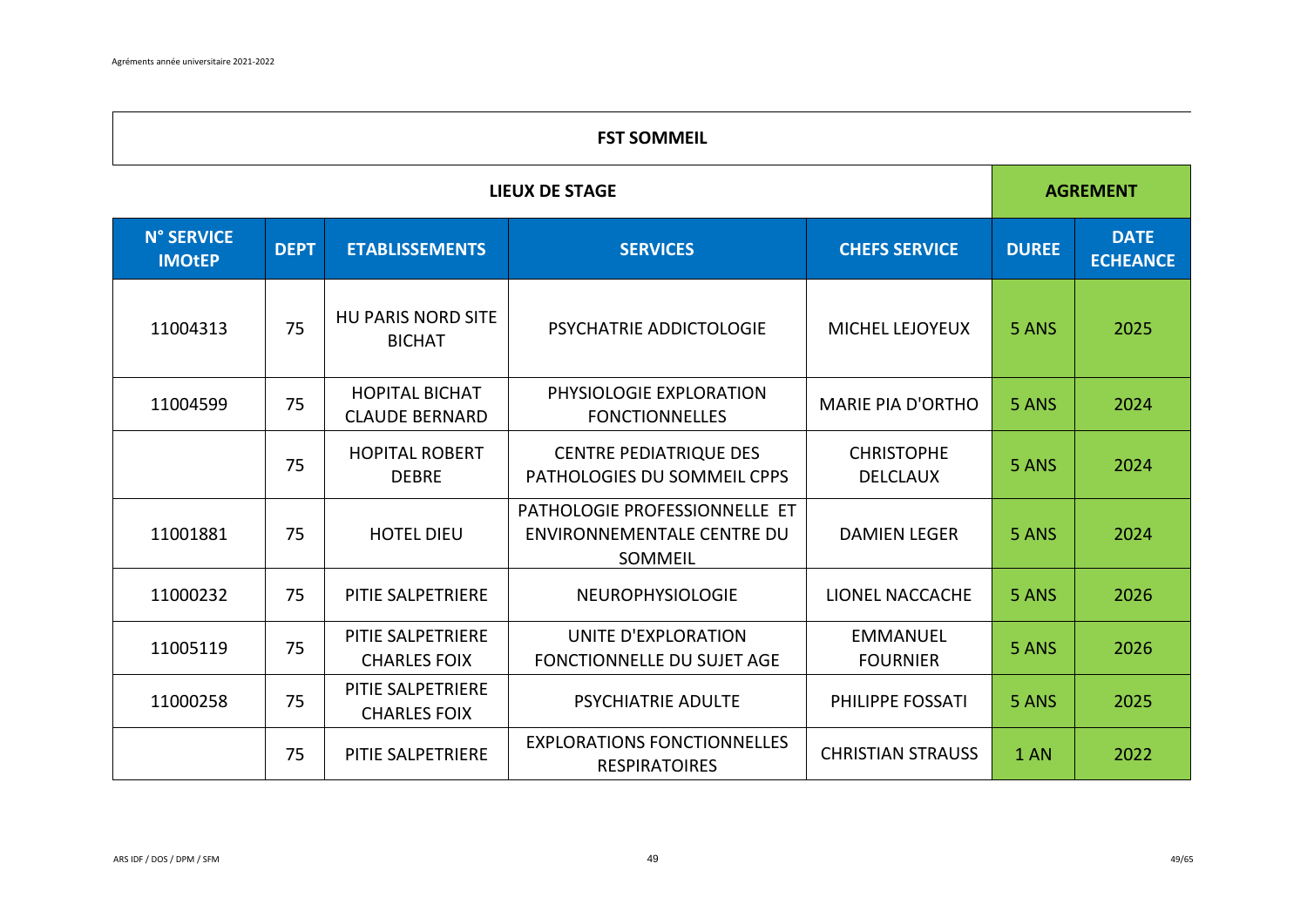# **FST SOMMEIL**

|                             | <b>LIEUX DE STAGE</b> |                                                |                                                                               |                                      |              |                                |  |
|-----------------------------|-----------------------|------------------------------------------------|-------------------------------------------------------------------------------|--------------------------------------|--------------|--------------------------------|--|
| N° SERVICE<br><b>IMOtEP</b> | <b>DEPT</b>           | <b>ETABLISSEMENTS</b>                          | <b>SERVICES</b>                                                               | <b>CHEFS SERVICE</b>                 | <b>DUREE</b> | <b>DATE</b><br><b>ECHEANCE</b> |  |
| 11004313                    | 75                    | <b>HU PARIS NORD SITE</b><br><b>BICHAT</b>     | <b>PSYCHATRIE ADDICTOLOGIE</b>                                                | MICHEL LEJOYEUX                      | 5 ANS        | 2025                           |  |
| 11004599                    | 75                    | <b>HOPITAL BICHAT</b><br><b>CLAUDE BERNARD</b> | PHYSIOLOGIE EXPLORATION<br><b>FONCTIONNELLES</b>                              | <b>MARIE PIA D'ORTHO</b>             | 5 ANS        | 2024                           |  |
|                             | 75                    | <b>HOPITAL ROBERT</b><br><b>DEBRE</b>          | <b>CENTRE PEDIATRIQUE DES</b><br>PATHOLOGIES DU SOMMEIL CPPS                  | <b>CHRISTOPHE</b><br><b>DELCLAUX</b> | 5 ANS        | 2024                           |  |
| 11001881                    | 75                    | <b>HOTEL DIEU</b>                              | PATHOLOGIE PROFESSIONNELLE ET<br><b>ENVIRONNEMENTALE CENTRE DU</b><br>SOMMEIL | <b>DAMIEN LEGER</b>                  | 5 ANS        | 2024                           |  |
| 11000232                    | 75                    | PITIE SALPETRIERE                              | <b>NEUROPHYSIOLOGIE</b>                                                       | <b>LIONEL NACCACHE</b>               | 5 ANS        | 2026                           |  |
| 11005119                    | 75                    | PITIE SALPETRIERE<br><b>CHARLES FOIX</b>       | UNITE D'EXPLORATION<br><b>FONCTIONNELLE DU SUJET AGE</b>                      | <b>EMMANUEL</b><br><b>FOURNIER</b>   | 5 ANS        | 2026                           |  |
| 11000258                    | 75                    | PITIE SALPETRIERE<br><b>CHARLES FOIX</b>       | <b>PSYCHIATRIE ADULTE</b>                                                     | PHILIPPE FOSSATI                     | 5 ANS        | 2025                           |  |
|                             | 75                    | PITIE SALPETRIERE                              | <b>EXPLORATIONS FONCTIONNELLES</b><br><b>RESPIRATOIRES</b>                    | <b>CHRISTIAN STRAUSS</b>             | 1 AN         | 2022                           |  |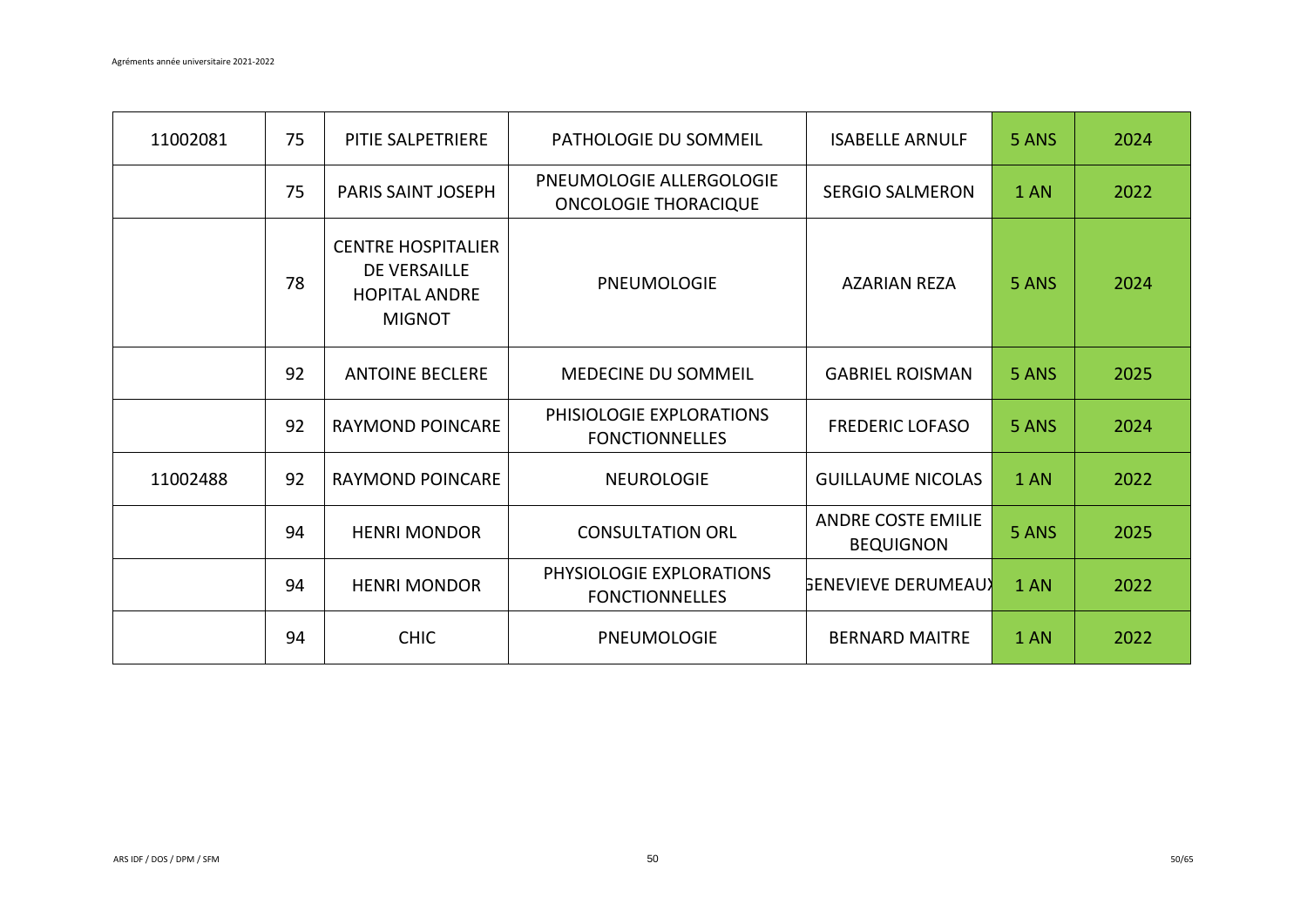| 11002081 | 75 | PITIE SALPETRIERE                                                                         | <b>PATHOLOGIE DU SOMMEIL</b>                            | <b>ISABELLE ARNULF</b>                 | 5 ANS | 2024 |
|----------|----|-------------------------------------------------------------------------------------------|---------------------------------------------------------|----------------------------------------|-------|------|
|          | 75 | <b>PARIS SAINT JOSEPH</b>                                                                 | PNEUMOLOGIE ALLERGOLOGIE<br><b>ONCOLOGIE THORACIQUE</b> | <b>SERGIO SALMERON</b>                 | 1 AN  | 2022 |
|          | 78 | <b>CENTRE HOSPITALIER</b><br><b>DE VERSAILLE</b><br><b>HOPITAL ANDRE</b><br><b>MIGNOT</b> | PNEUMOLOGIE                                             | AZARIAN REZA                           | 5 ANS | 2024 |
|          | 92 | <b>ANTOINE BECLERE</b>                                                                    | <b>MEDECINE DU SOMMEIL</b>                              | <b>GABRIEL ROISMAN</b>                 | 5 ANS | 2025 |
|          | 92 | <b>RAYMOND POINCARE</b>                                                                   | PHISIOLOGIE EXPLORATIONS<br><b>FONCTIONNELLES</b>       | <b>FREDERIC LOFASO</b>                 | 5 ANS | 2024 |
| 11002488 | 92 | <b>RAYMOND POINCARE</b>                                                                   | <b>NEUROLOGIE</b>                                       | <b>GUILLAUME NICOLAS</b>               | 1 AN  | 2022 |
|          | 94 | <b>HENRI MONDOR</b>                                                                       | <b>CONSULTATION ORL</b>                                 | ANDRE COSTE EMILIE<br><b>BEQUIGNON</b> | 5 ANS | 2025 |
|          | 94 | <b>HENRI MONDOR</b>                                                                       | PHYSIOLOGIE EXPLORATIONS<br><b>FONCTIONNELLES</b>       | <b>GENEVIEVE DERUMEAUX</b>             | 1 AN  | 2022 |
|          | 94 | <b>CHIC</b>                                                                               | PNEUMOLOGIE                                             | <b>BERNARD MAITRE</b>                  | 1 AN  | 2022 |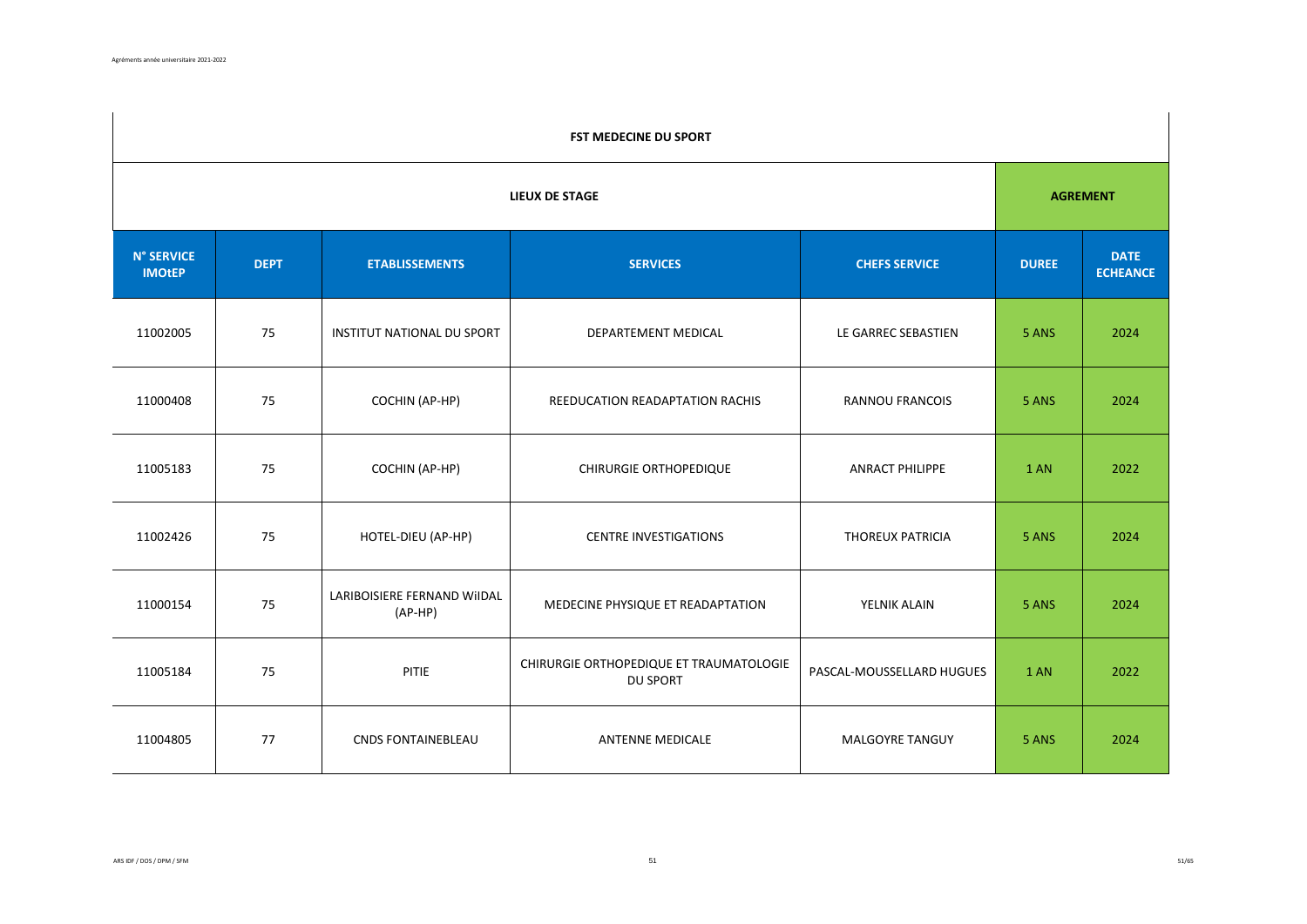|                                    | FST MEDECINE DU SPORT |                                          |                                                            |                           |              |                                |  |  |  |
|------------------------------------|-----------------------|------------------------------------------|------------------------------------------------------------|---------------------------|--------------|--------------------------------|--|--|--|
|                                    | <b>LIEUX DE STAGE</b> |                                          |                                                            |                           |              |                                |  |  |  |
| <b>N° SERVICE</b><br><b>IMOtEP</b> | <b>DEPT</b>           | <b>ETABLISSEMENTS</b>                    | <b>SERVICES</b>                                            | <b>CHEFS SERVICE</b>      | <b>DUREE</b> | <b>DATE</b><br><b>ECHEANCE</b> |  |  |  |
| 11002005                           | 75                    | INSTITUT NATIONAL DU SPORT               | DEPARTEMENT MEDICAL                                        | LE GARREC SEBASTIEN       | 5 ANS        | 2024                           |  |  |  |
| 11000408                           | 75                    | COCHIN (AP-HP)                           | REEDUCATION READAPTATION RACHIS                            | <b>RANNOU FRANCOIS</b>    | 5 ANS        | 2024                           |  |  |  |
| 11005183                           | 75                    | COCHIN (AP-HP)                           | CHIRURGIE ORTHOPEDIQUE                                     | <b>ANRACT PHILIPPE</b>    | 1 AN         | 2022                           |  |  |  |
| 11002426                           | 75                    | HOTEL-DIEU (AP-HP)                       | <b>CENTRE INVESTIGATIONS</b>                               | <b>THOREUX PATRICIA</b>   | 5 ANS        | 2024                           |  |  |  |
| 11000154                           | 75                    | LARIBOISIERE FERNAND WIIDAL<br>$(AP-HP)$ | MEDECINE PHYSIQUE ET READAPTATION                          | YELNIK ALAIN              | 5 ANS        | 2024                           |  |  |  |
| 11005184                           | 75                    | PITIE                                    | CHIRURGIE ORTHOPEDIQUE ET TRAUMATOLOGIE<br><b>DU SPORT</b> | PASCAL-MOUSSELLARD HUGUES | 1 AN         | 2022                           |  |  |  |
| 11004805                           | 77                    | <b>CNDS FONTAINEBLEAU</b>                | <b>ANTENNE MEDICALE</b>                                    | MALGOYRE TANGUY           | 5 ANS        | 2024                           |  |  |  |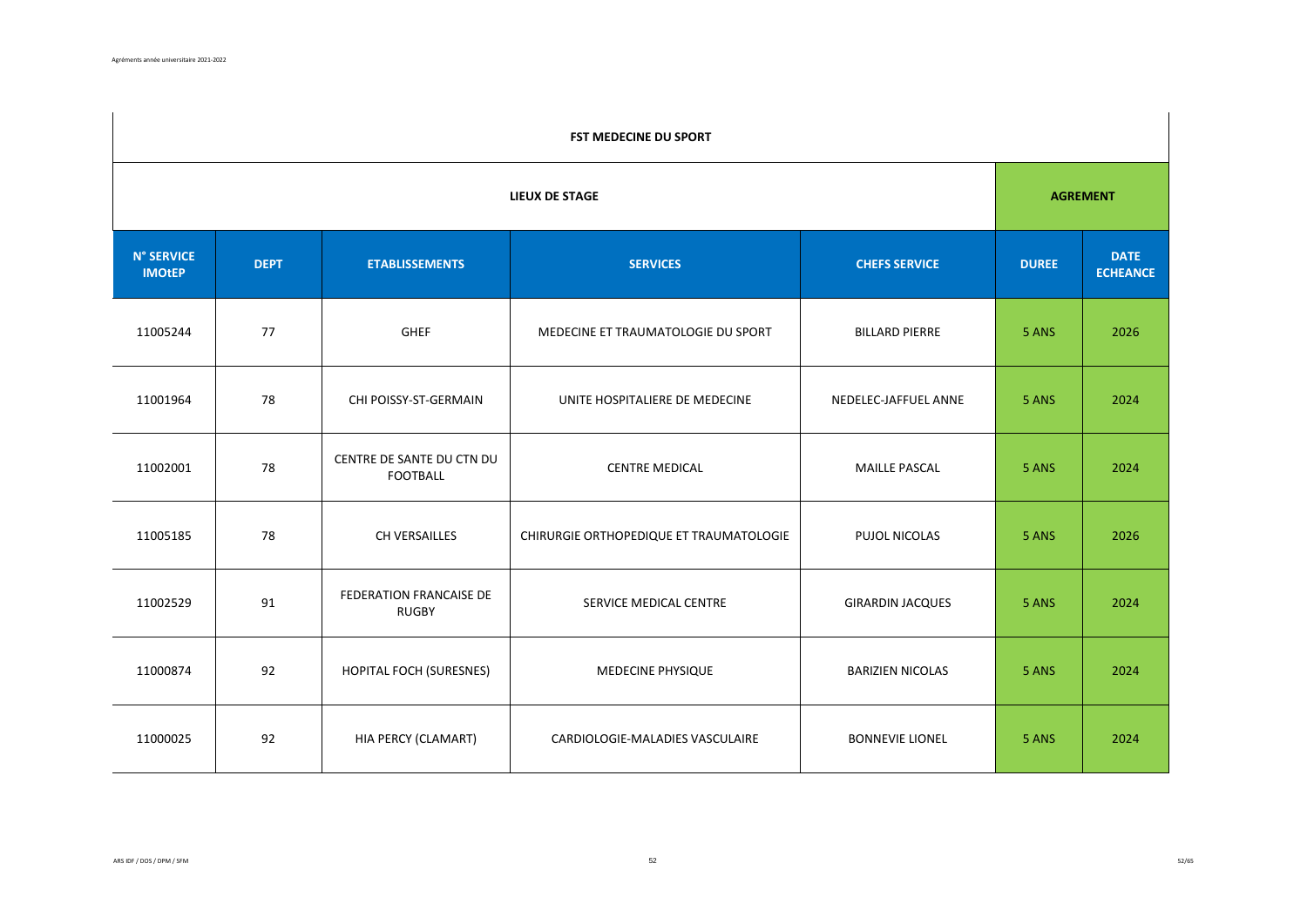|                                    | FST MEDECINE DU SPORT |                                              |                                         |                         |              |                                |  |  |  |
|------------------------------------|-----------------------|----------------------------------------------|-----------------------------------------|-------------------------|--------------|--------------------------------|--|--|--|
|                                    | <b>LIEUX DE STAGE</b> |                                              |                                         |                         |              |                                |  |  |  |
| <b>N° SERVICE</b><br><b>IMOtEP</b> | <b>DEPT</b>           | <b>ETABLISSEMENTS</b>                        | <b>SERVICES</b>                         | <b>CHEFS SERVICE</b>    | <b>DUREE</b> | <b>DATE</b><br><b>ECHEANCE</b> |  |  |  |
| 11005244                           | 77                    | <b>GHEF</b>                                  | MEDECINE ET TRAUMATOLOGIE DU SPORT      | <b>BILLARD PIERRE</b>   | 5 ANS        | 2026                           |  |  |  |
| 11001964                           | 78                    | CHI POISSY-ST-GERMAIN                        | UNITE HOSPITALIERE DE MEDECINE          | NEDELEC-JAFFUEL ANNE    | 5 ANS        | 2024                           |  |  |  |
| 11002001                           | 78                    | CENTRE DE SANTE DU CTN DU<br><b>FOOTBALL</b> | <b>CENTRE MEDICAL</b>                   | <b>MAILLE PASCAL</b>    | 5 ANS        | 2024                           |  |  |  |
| 11005185                           | 78                    | CH VERSAILLES                                | CHIRURGIE ORTHOPEDIQUE ET TRAUMATOLOGIE | PUJOL NICOLAS           | 5 ANS        | 2026                           |  |  |  |
| 11002529                           | 91                    | FEDERATION FRANCAISE DE<br><b>RUGBY</b>      | SERVICE MEDICAL CENTRE                  | <b>GIRARDIN JACQUES</b> | 5 ANS        | 2024                           |  |  |  |
| 11000874                           | 92                    | HOPITAL FOCH (SURESNES)                      | MEDECINE PHYSIQUE                       | <b>BARIZIEN NICOLAS</b> | 5 ANS        | 2024                           |  |  |  |
| 11000025                           | 92                    | HIA PERCY (CLAMART)                          | CARDIOLOGIE-MALADIES VASCULAIRE         | <b>BONNEVIE LIONEL</b>  | 5 ANS        | 2024                           |  |  |  |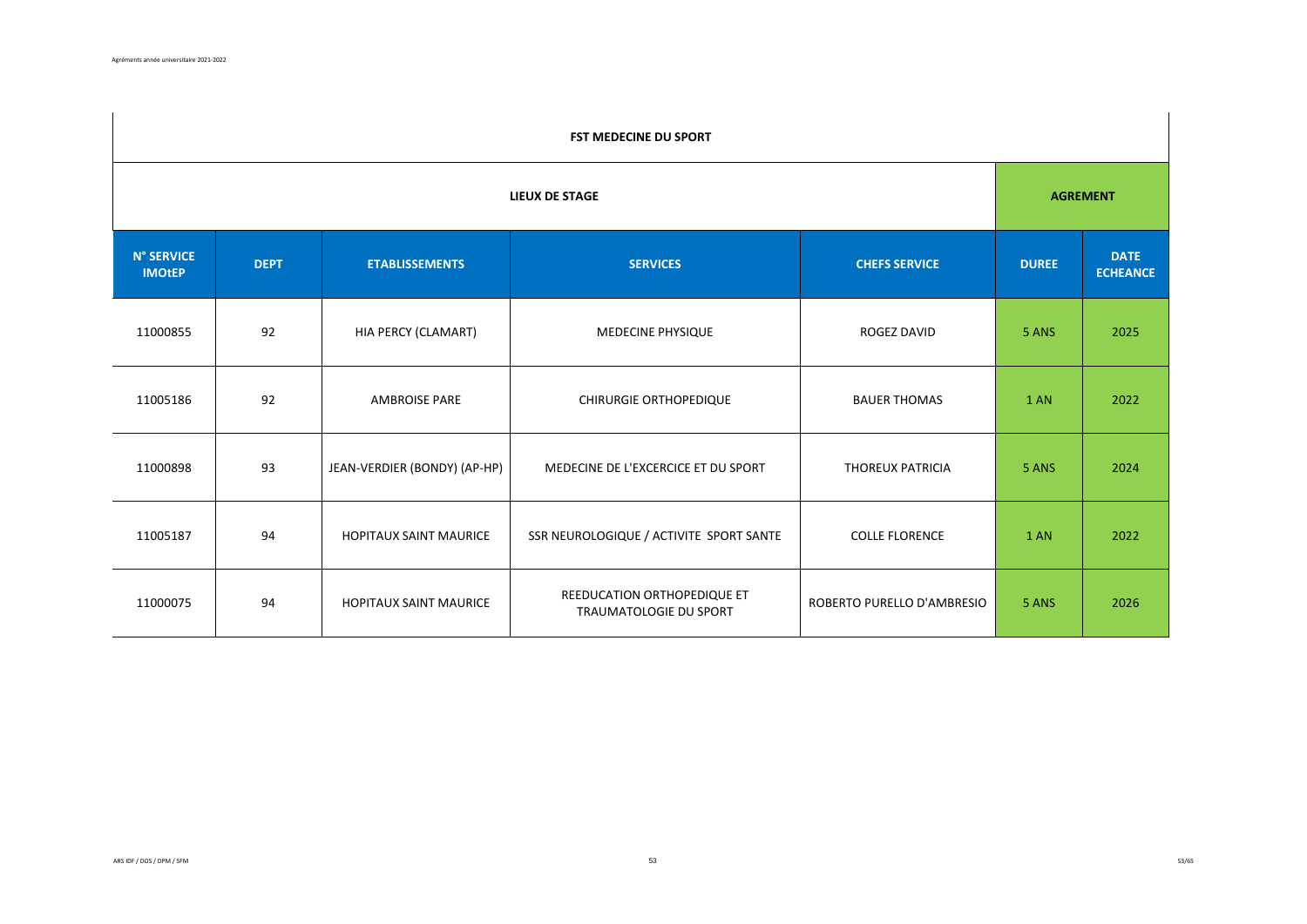|                                    | <b>FST MEDECINE DU SPORT</b> |                               |                                                              |                            |              |                                |  |  |  |
|------------------------------------|------------------------------|-------------------------------|--------------------------------------------------------------|----------------------------|--------------|--------------------------------|--|--|--|
|                                    | <b>LIEUX DE STAGE</b>        |                               |                                                              |                            |              |                                |  |  |  |
| <b>N° SERVICE</b><br><b>IMOtEP</b> | <b>DEPT</b>                  | <b>ETABLISSEMENTS</b>         | <b>SERVICES</b>                                              | <b>CHEFS SERVICE</b>       | <b>DUREE</b> | <b>DATE</b><br><b>ECHEANCE</b> |  |  |  |
| 11000855                           | 92                           | HIA PERCY (CLAMART)           | MEDECINE PHYSIQUE                                            | ROGEZ DAVID                | 5 ANS        | 2025                           |  |  |  |
| 11005186                           | 92                           | <b>AMBROISE PARE</b>          | <b>CHIRURGIE ORTHOPEDIQUE</b>                                | <b>BAUER THOMAS</b>        | 1 AN         | 2022                           |  |  |  |
| 11000898                           | 93                           | JEAN-VERDIER (BONDY) (AP-HP)  | MEDECINE DE L'EXCERCICE ET DU SPORT                          | THOREUX PATRICIA           | 5 ANS        | 2024                           |  |  |  |
| 11005187                           | 94                           | <b>HOPITAUX SAINT MAURICE</b> | SSR NEUROLOGIQUE / ACTIVITE SPORT SANTE                      | <b>COLLE FLORENCE</b>      | 1 AN         | 2022                           |  |  |  |
| 11000075                           | 94                           | <b>HOPITAUX SAINT MAURICE</b> | REEDUCATION ORTHOPEDIQUE ET<br><b>TRAUMATOLOGIE DU SPORT</b> | ROBERTO PURELLO D'AMBRESIO | 5 ANS        | 2026                           |  |  |  |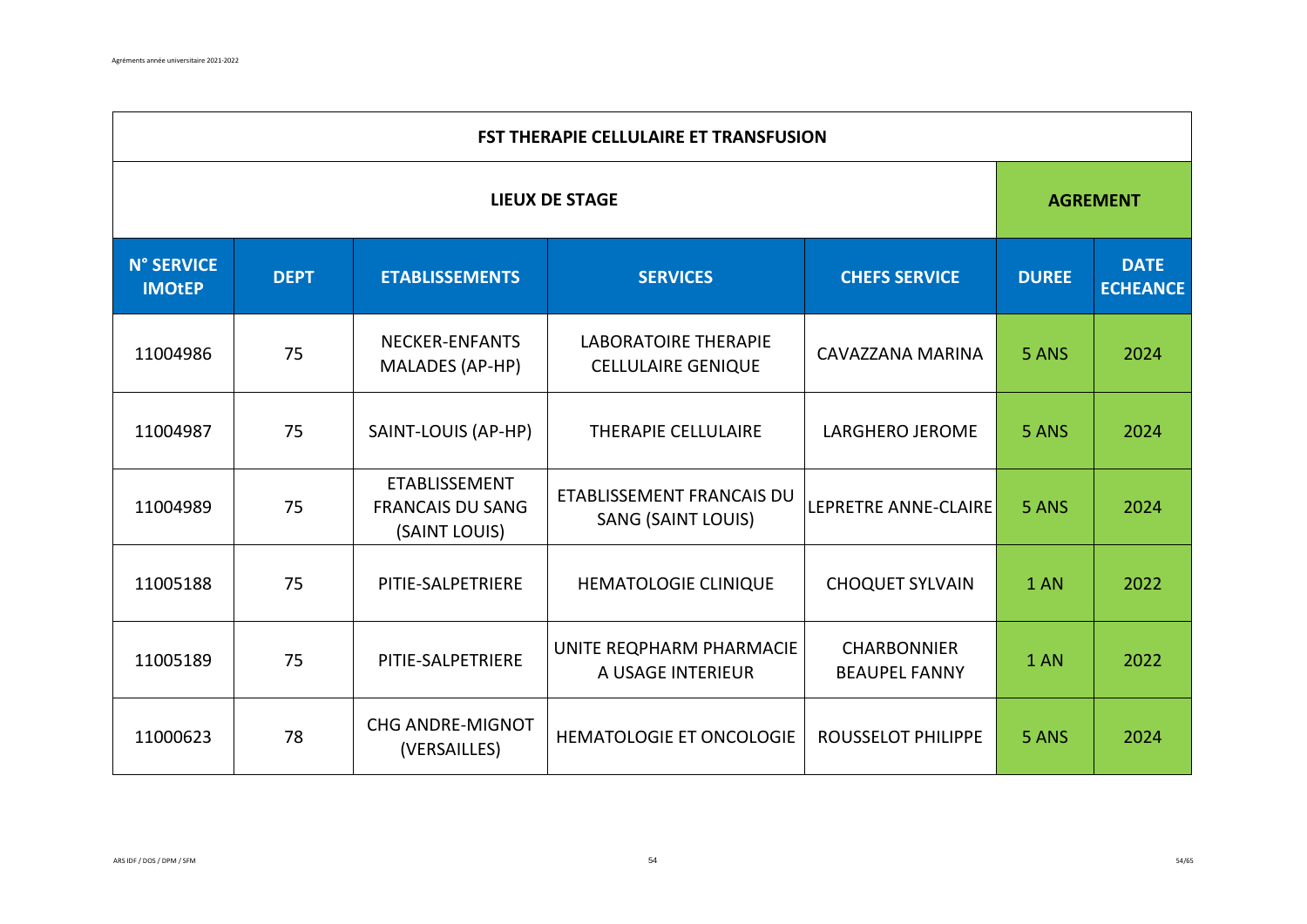|                                    | <b>FST THERAPIE CELLULAIRE ET TRANSFUSION</b> |                                                                  |                                                          |                                            |              |                                |  |  |  |
|------------------------------------|-----------------------------------------------|------------------------------------------------------------------|----------------------------------------------------------|--------------------------------------------|--------------|--------------------------------|--|--|--|
|                                    | <b>LIEUX DE STAGE</b>                         |                                                                  |                                                          |                                            |              |                                |  |  |  |
| <b>N° SERVICE</b><br><b>IMOtEP</b> | <b>DEPT</b>                                   | <b>ETABLISSEMENTS</b>                                            | <b>SERVICES</b>                                          | <b>CHEFS SERVICE</b>                       | <b>DUREE</b> | <b>DATE</b><br><b>ECHEANCE</b> |  |  |  |
| 11004986                           | 75                                            | <b>NECKER-ENFANTS</b><br>MALADES (AP-HP)                         | <b>LABORATOIRE THERAPIE</b><br><b>CELLULAIRE GENIQUE</b> | CAVAZZANA MARINA                           | 5 ANS        | 2024                           |  |  |  |
| 11004987                           | 75                                            | SAINT-LOUIS (AP-HP)                                              | <b>THERAPIE CELLULAIRE</b>                               | <b>LARGHERO JEROME</b>                     | 5 ANS        | 2024                           |  |  |  |
| 11004989                           | 75                                            | <b>ETABLISSEMENT</b><br><b>FRANCAIS DU SANG</b><br>(SAINT LOUIS) | ETABLISSEMENT FRANCAIS DU<br><b>SANG (SAINT LOUIS)</b>   | LEPRETRE ANNE-CLAIRE                       | 5 ANS        | 2024                           |  |  |  |
| 11005188                           | 75                                            | PITIE-SALPETRIERE                                                | HEMATOLOGIE CLINIQUE                                     | <b>CHOQUET SYLVAIN</b>                     | 1 AN         | 2022                           |  |  |  |
| 11005189                           | 75                                            | PITIE-SALPETRIERE                                                | UNITE REQPHARM PHARMACIE<br>A USAGE INTERIEUR            | <b>CHARBONNIER</b><br><b>BEAUPEL FANNY</b> | 1 AN         | 2022                           |  |  |  |
| 11000623                           | 78                                            | <b>CHG ANDRE-MIGNOT</b><br>(VERSAILLES)                          | HEMATOLOGIE ET ONCOLOGIE                                 | <b>ROUSSELOT PHILIPPE</b>                  | 5 ANS        | 2024                           |  |  |  |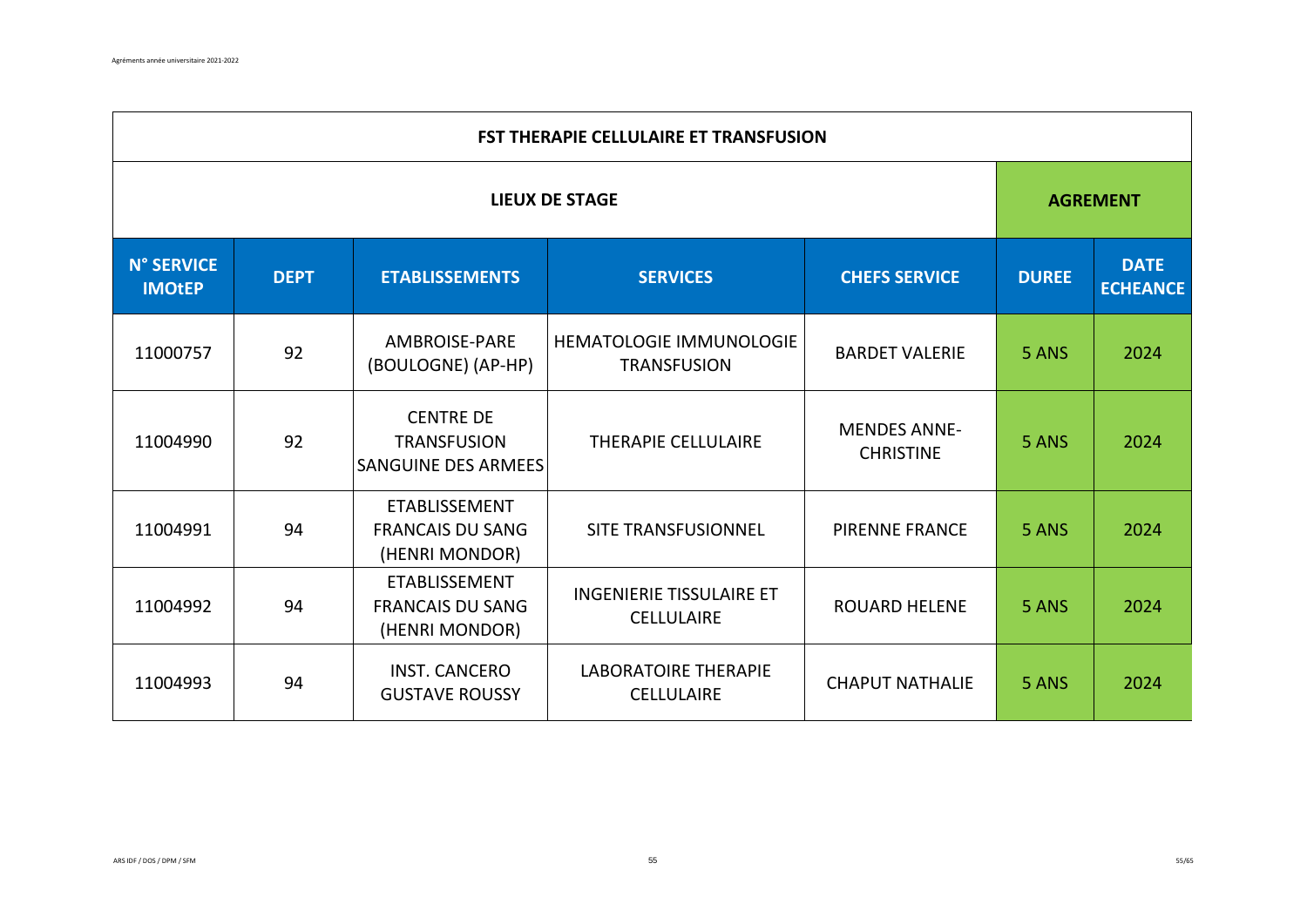|                                    | <b>FST THERAPIE CELLULAIRE ET TRANSFUSION</b> |                                                                      |                                                      |                                         |              |                                |  |  |  |
|------------------------------------|-----------------------------------------------|----------------------------------------------------------------------|------------------------------------------------------|-----------------------------------------|--------------|--------------------------------|--|--|--|
| <b>LIEUX DE STAGE</b>              |                                               |                                                                      |                                                      |                                         |              | <b>AGREMENT</b>                |  |  |  |
| <b>N° SERVICE</b><br><b>IMOtEP</b> | <b>DEPT</b>                                   | <b>ETABLISSEMENTS</b>                                                | <b>SERVICES</b>                                      | <b>CHEFS SERVICE</b>                    | <b>DUREE</b> | <b>DATE</b><br><b>ECHEANCE</b> |  |  |  |
| 11000757                           | 92                                            | <b>AMBROISE-PARE</b><br>(BOULOGNE) (AP-HP)                           | HEMATOLOGIE IMMUNOLOGIE<br><b>TRANSFUSION</b>        | <b>BARDET VALERIE</b>                   | 5 ANS        | 2024                           |  |  |  |
| 11004990                           | 92                                            | <b>CENTRE DE</b><br><b>TRANSFUSION</b><br><b>SANGUINE DES ARMEES</b> | <b>THERAPIE CELLULAIRE</b>                           | <b>MENDES ANNE-</b><br><b>CHRISTINE</b> | 5 ANS        | 2024                           |  |  |  |
| 11004991                           | 94                                            | <b>ETABLISSEMENT</b><br><b>FRANCAIS DU SANG</b><br>(HENRI MONDOR)    | <b>SITE TRANSFUSIONNEL</b>                           | <b>PIRENNE FRANCE</b>                   | 5 ANS        | 2024                           |  |  |  |
| 11004992                           | 94                                            | ETABLISSEMENT<br><b>FRANCAIS DU SANG</b><br>(HENRI MONDOR)           | <b>INGENIERIE TISSULAIRE ET</b><br><b>CELLULAIRE</b> | <b>ROUARD HELENE</b>                    | 5 ANS        | 2024                           |  |  |  |
| 11004993                           | 94                                            | <b>INST. CANCERO</b><br><b>GUSTAVE ROUSSY</b>                        | <b>LABORATOIRE THERAPIE</b><br><b>CELLULAIRE</b>     | <b>CHAPUT NATHALIE</b>                  | 5 ANS        | 2024                           |  |  |  |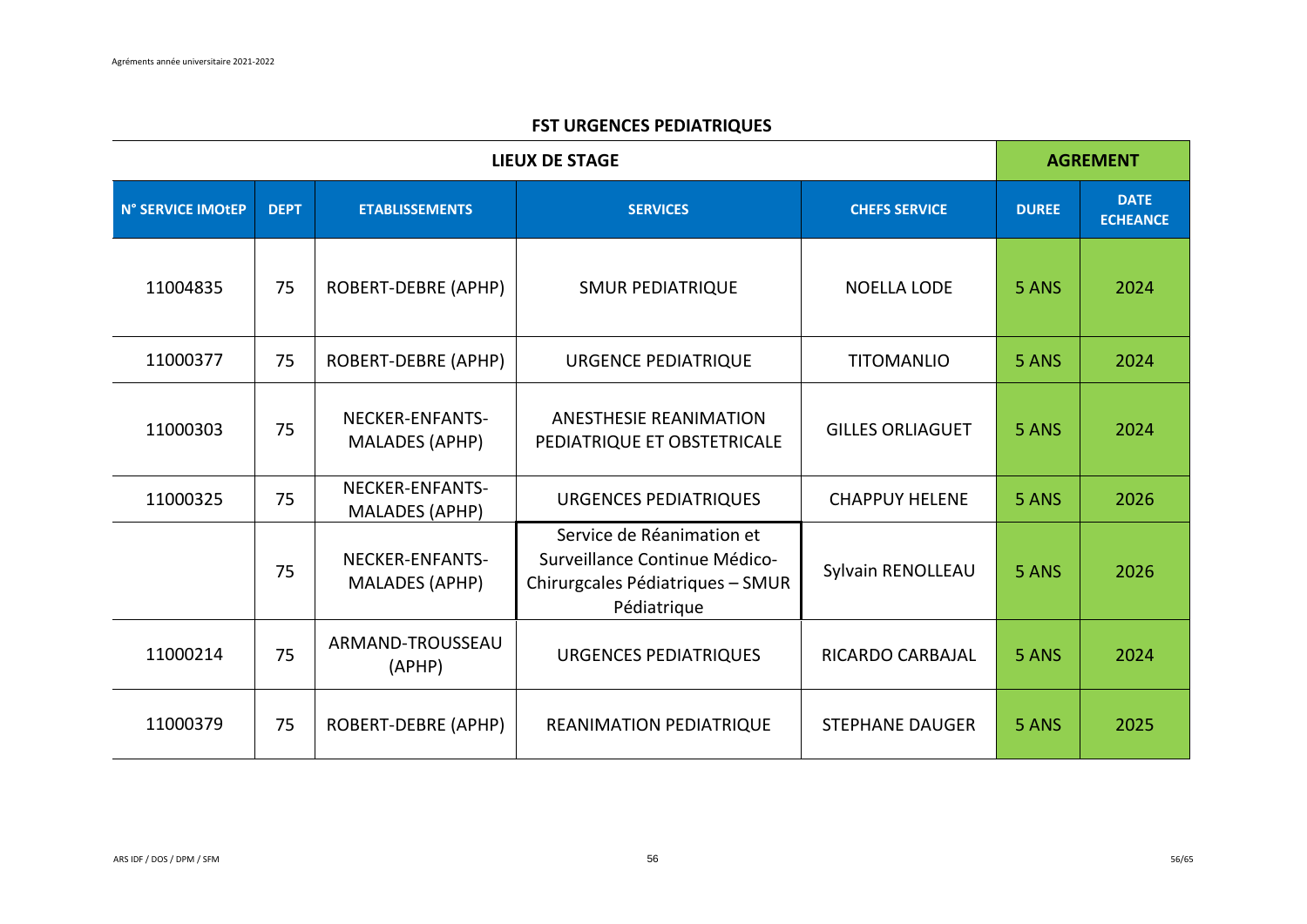## **FST URGENCES PEDIATRIQUES**

|                   | <b>AGREMENT</b> |                                          |                                                                                                               |                         |              |                                |
|-------------------|-----------------|------------------------------------------|---------------------------------------------------------------------------------------------------------------|-------------------------|--------------|--------------------------------|
| N° SERVICE IMOtEP | <b>DEPT</b>     | <b>ETABLISSEMENTS</b>                    | <b>SERVICES</b>                                                                                               | <b>CHEFS SERVICE</b>    | <b>DUREE</b> | <b>DATE</b><br><b>ECHEANCE</b> |
| 11004835          | 75              | ROBERT-DEBRE (APHP)                      | <b>SMUR PEDIATRIQUE</b>                                                                                       | <b>NOELLA LODE</b>      | 5 ANS        | 2024                           |
| 11000377          | 75              | ROBERT-DEBRE (APHP)                      | <b>URGENCE PEDIATRIQUE</b>                                                                                    | <b>TITOMANLIO</b>       | 5 ANS        | 2024                           |
| 11000303          | 75              | NECKER-ENFANTS-<br><b>MALADES (APHP)</b> | <b>ANESTHESIE REANIMATION</b><br>PEDIATRIQUE ET OBSTETRICALE                                                  | <b>GILLES ORLIAGUET</b> | 5 ANS        | 2024                           |
| 11000325          | 75              | NECKER-ENFANTS-<br><b>MALADES (APHP)</b> | <b>URGENCES PEDIATRIQUES</b>                                                                                  | <b>CHAPPUY HELENE</b>   | 5 ANS        | 2026                           |
|                   | 75              | NECKER-ENFANTS-<br>MALADES (APHP)        | Service de Réanimation et<br>Surveillance Continue Médico-<br>Chirurgcales Pédiatriques - SMUR<br>Pédiatrique | Sylvain RENOLLEAU       | 5 ANS        | 2026                           |
| 11000214          | 75              | ARMAND-TROUSSEAU<br>(APHP)               | <b>URGENCES PEDIATRIQUES</b>                                                                                  | <b>RICARDO CARBAJAL</b> | 5 ANS        | 2024                           |
| 11000379          | 75              | ROBERT-DEBRE (APHP)                      | <b>REANIMATION PEDIATRIQUE</b>                                                                                | <b>STEPHANE DAUGER</b>  | 5 ANS        | 2025                           |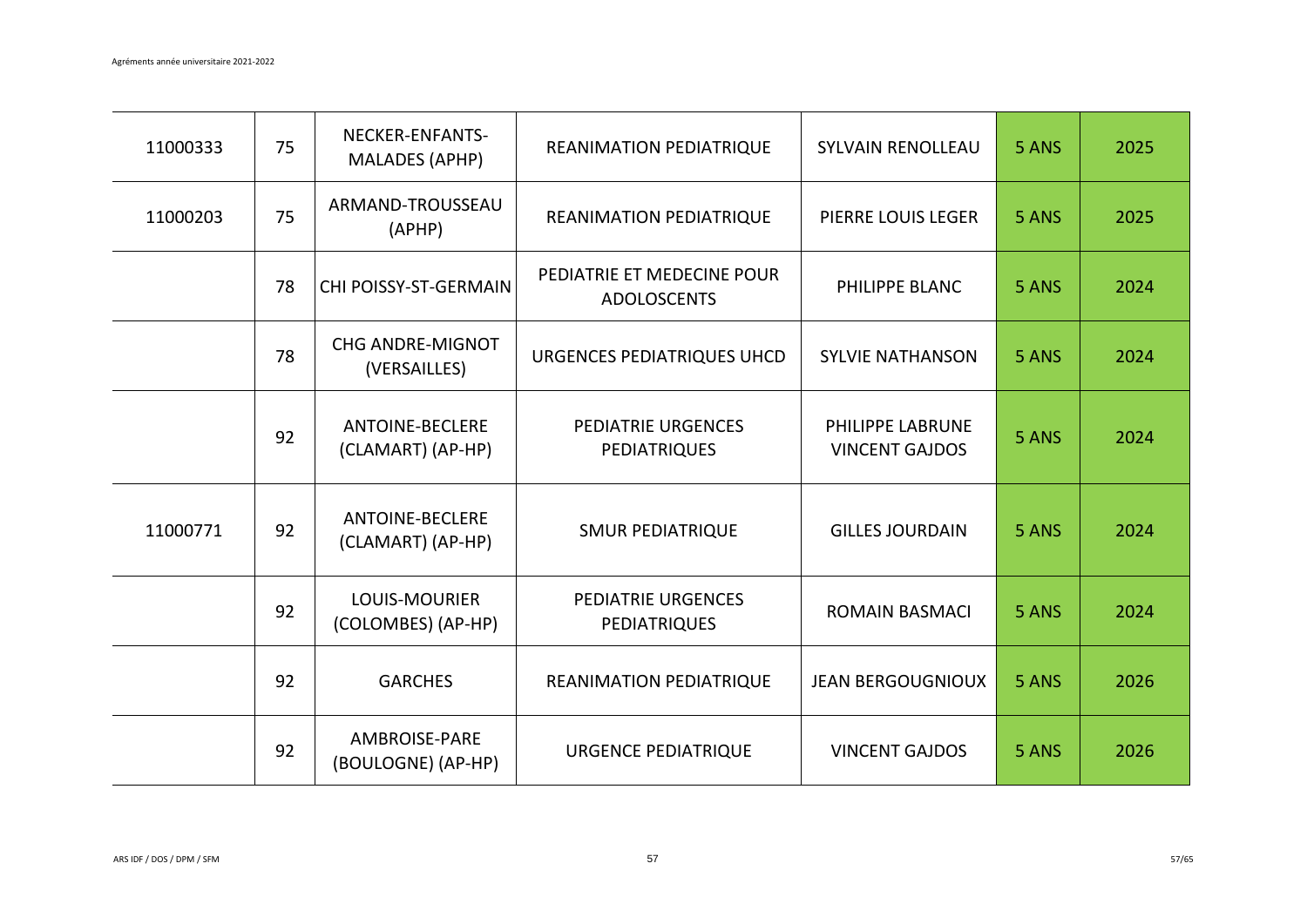| 11000333 | 75 | NECKER-ENFANTS-<br><b>MALADES (APHP)</b>    | REANIMATION PEDIATRIQUE                          | <b>SYLVAIN RENOLLEAU</b>                         | 5 ANS | 2025 |
|----------|----|---------------------------------------------|--------------------------------------------------|--------------------------------------------------|-------|------|
| 11000203 | 75 | ARMAND-TROUSSEAU<br>(APHP)                  | REANIMATION PEDIATRIQUE                          | PIERRE LOUIS LEGER                               | 5 ANS | 2025 |
|          | 78 | CHI POISSY-ST-GERMAIN                       | PEDIATRIE ET MEDECINE POUR<br><b>ADOLOSCENTS</b> | PHILIPPE BLANC                                   | 5 ANS | 2024 |
|          | 78 | <b>CHG ANDRE-MIGNOT</b><br>(VERSAILLES)     | URGENCES PEDIATRIQUES UHCD                       | <b>SYLVIE NATHANSON</b>                          | 5 ANS | 2024 |
|          | 92 | <b>ANTOINE-BECLERE</b><br>(CLAMART) (AP-HP) | <b>PEDIATRIE URGENCES</b><br><b>PEDIATRIQUES</b> | <b>PHILIPPE LABRUNE</b><br><b>VINCENT GAJDOS</b> | 5 ANS | 2024 |
| 11000771 | 92 | <b>ANTOINE-BECLERE</b><br>(CLAMART) (AP-HP) | <b>SMUR PEDIATRIQUE</b>                          | <b>GILLES JOURDAIN</b>                           | 5 ANS | 2024 |
|          | 92 | LOUIS-MOURIER<br>(COLOMBES) (AP-HP)         | <b>PEDIATRIE URGENCES</b><br>PEDIATRIQUES        | <b>ROMAIN BASMACI</b>                            | 5 ANS | 2024 |
|          | 92 | <b>GARCHES</b>                              | REANIMATION PEDIATRIQUE                          | <b>JEAN BERGOUGNIOUX</b>                         | 5 ANS | 2026 |
|          | 92 | <b>AMBROISE-PARE</b><br>(BOULOGNE) (AP-HP)  | <b>URGENCE PEDIATRIQUE</b>                       | <b>VINCENT GAJDOS</b>                            | 5 ANS | 2026 |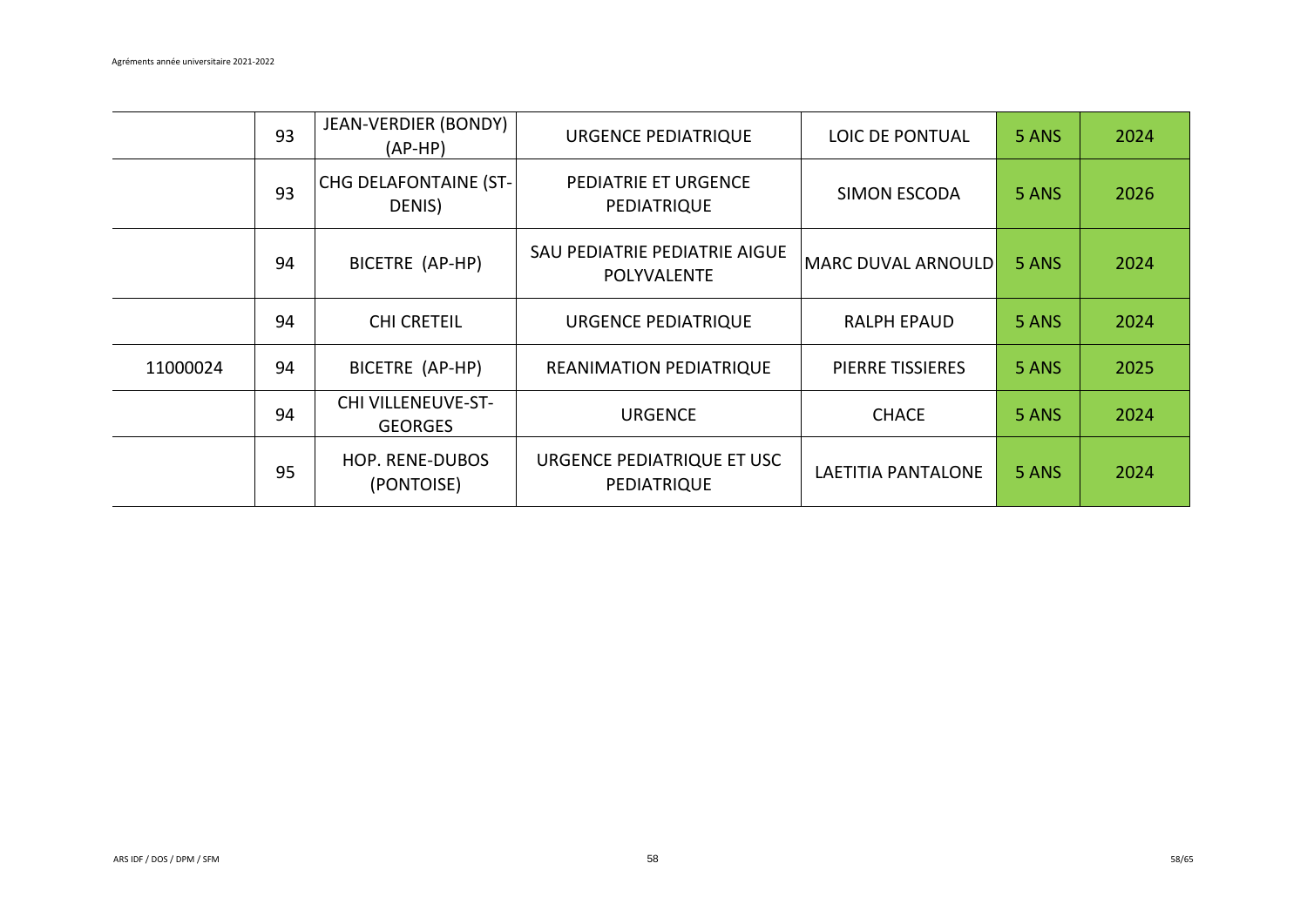|          | 93 | JEAN-VERDIER (BONDY)<br>$(AP-HP)$           | URGENCE PEDIATRIQUE                          | LOIC DE PONTUAL         | 5 ANS | 2024 |
|----------|----|---------------------------------------------|----------------------------------------------|-------------------------|-------|------|
|          | 93 | <b>CHG DELAFONTAINE (ST-</b><br>DENIS)      | PEDIATRIE ET URGENCE<br>PEDIATRIQUE          | <b>SIMON ESCODA</b>     | 5 ANS | 2026 |
|          | 94 | BICETRE (AP-HP)                             | SAU PEDIATRIE PEDIATRIE AIGUE<br>POLYVALENTE | MARC DUVAL ARNOULD      | 5 ANS | 2024 |
|          | 94 | <b>CHI CRETEIL</b>                          | <b>URGENCE PEDIATRIQUE</b>                   | <b>RALPH EPAUD</b>      | 5 ANS | 2024 |
| 11000024 | 94 | BICETRE (AP-HP)                             | <b>REANIMATION PEDIATRIQUE</b>               | <b>PIERRE TISSIERES</b> | 5 ANS | 2025 |
|          | 94 | <b>CHI VILLENEUVE-ST-</b><br><b>GEORGES</b> | <b>URGENCE</b>                               | <b>CHACE</b>            | 5 ANS | 2024 |
|          | 95 | <b>HOP. RENE-DUBOS</b><br>(PONTOISE)        | URGENCE PEDIATRIQUE ET USC<br>PEDIATRIQUE    | LAETITIA PANTALONE      | 5 ANS | 2024 |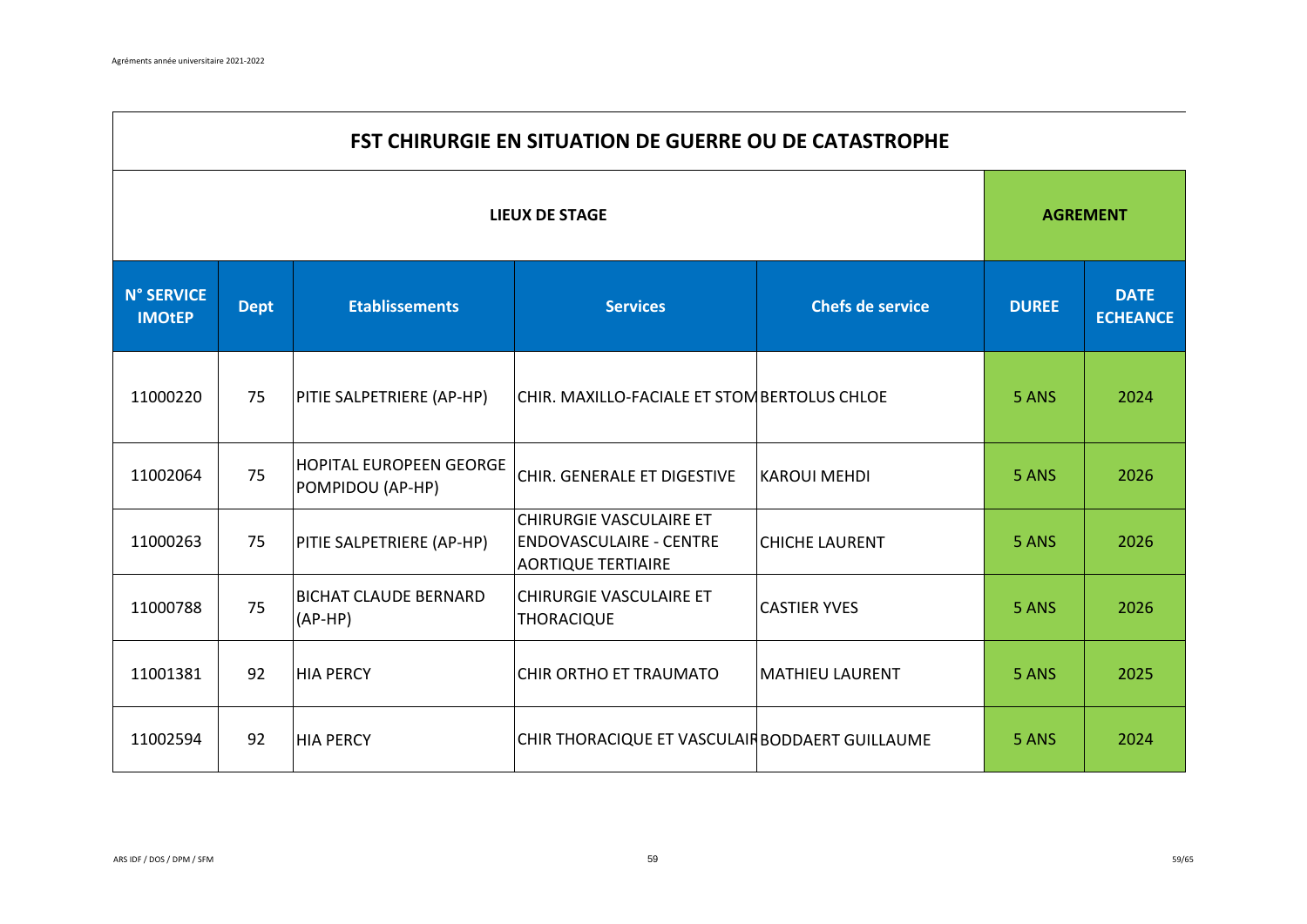$\overline{\phantom{a}}$ 

|                                    | <b>FST CHIRURGIE EN SITUATION DE GUERRE OU DE CATASTROPHE</b> |                                                    |                                                                                        |                         |              |                                |  |  |  |
|------------------------------------|---------------------------------------------------------------|----------------------------------------------------|----------------------------------------------------------------------------------------|-------------------------|--------------|--------------------------------|--|--|--|
| <b>LIEUX DE STAGE</b>              |                                                               |                                                    |                                                                                        |                         |              | <b>AGREMENT</b>                |  |  |  |
| <b>N° SERVICE</b><br><b>IMOtEP</b> | <b>Dept</b>                                                   | <b>Etablissements</b>                              | <b>Services</b>                                                                        | <b>Chefs de service</b> | <b>DUREE</b> | <b>DATE</b><br><b>ECHEANCE</b> |  |  |  |
| 11000220                           | 75                                                            | PITIE SALPETRIERE (AP-HP)                          | CHIR. MAXILLO-FACIALE ET STOM BERTOLUS CHLOE                                           |                         | 5 ANS        | 2024                           |  |  |  |
| 11002064                           | 75                                                            | <b>HOPITAL EUROPEEN GEORGE</b><br>POMPIDOU (AP-HP) | CHIR. GENERALE ET DIGESTIVE                                                            | <b>KAROUI MEHDI</b>     | 5 ANS        | 2026                           |  |  |  |
| 11000263                           | 75                                                            | PITIE SALPETRIERE (AP-HP)                          | CHIRURGIE VASCULAIRE ET<br><b>ENDOVASCULAIRE - CENTRE</b><br><b>AORTIQUE TERTIAIRE</b> | <b>CHICHE LAURENT</b>   | 5 ANS        | 2026                           |  |  |  |
| 11000788                           | 75                                                            | <b>BICHAT CLAUDE BERNARD</b><br>$(AP-HP)$          | CHIRURGIE VASCULAIRE ET<br>THORACIQUE                                                  | <b>CASTIER YVES</b>     | 5 ANS        | 2026                           |  |  |  |
| 11001381                           | 92                                                            | <b>HIA PERCY</b>                                   | CHIR ORTHO ET TRAUMATO                                                                 | MATHIEU LAURENT         | 5 ANS        | 2025                           |  |  |  |
| 11002594                           | 92                                                            | <b>HIA PERCY</b>                                   | CHIR THORACIQUE ET VASCULAIR BODDAERT GUILLAUME                                        |                         | 5 ANS        | 2024                           |  |  |  |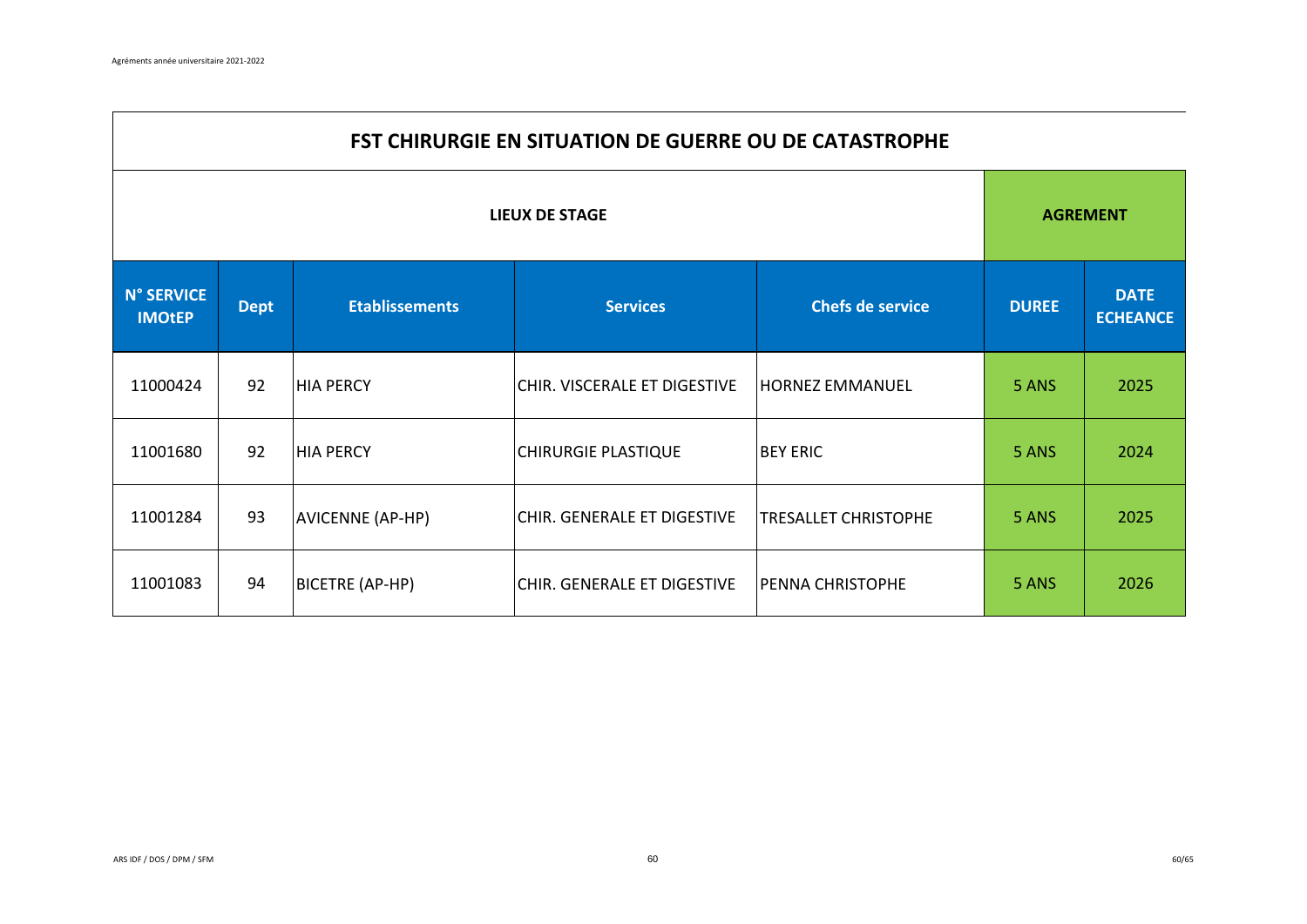$\Gamma$ 

|                                    | <b>FST CHIRURGIE EN SITUATION DE GUERRE OU DE CATASTROPHE</b> |                       |                              |                             |              |                                |  |  |  |  |
|------------------------------------|---------------------------------------------------------------|-----------------------|------------------------------|-----------------------------|--------------|--------------------------------|--|--|--|--|
| <b>LIEUX DE STAGE</b>              |                                                               |                       |                              |                             |              | <b>AGREMENT</b>                |  |  |  |  |
| <b>N° SERVICE</b><br><b>IMOtEP</b> | <b>Dept</b>                                                   | <b>Etablissements</b> | <b>Services</b>              | <b>Chefs de service</b>     | <b>DUREE</b> | <b>DATE</b><br><b>ECHEANCE</b> |  |  |  |  |
| 11000424                           | 92                                                            | <b>HIA PERCY</b>      | CHIR. VISCERALE ET DIGESTIVE | <b>HORNEZ EMMANUEL</b>      | 5 ANS        | 2025                           |  |  |  |  |
| 11001680                           | 92                                                            | <b>HIA PERCY</b>      | <b>CHIRURGIE PLASTIQUE</b>   | <b>BEY ERIC</b>             | 5 ANS        | 2024                           |  |  |  |  |
| 11001284                           | 93                                                            | AVICENNE (AP-HP)      | CHIR. GENERALE ET DIGESTIVE  | <b>TRESALLET CHRISTOPHE</b> | 5 ANS        | 2025                           |  |  |  |  |
| 11001083                           | 94                                                            | BICETRE (AP-HP)       | CHIR. GENERALE ET DIGESTIVE  | <b>PENNA CHRISTOPHE</b>     | 5 ANS        | 2026                           |  |  |  |  |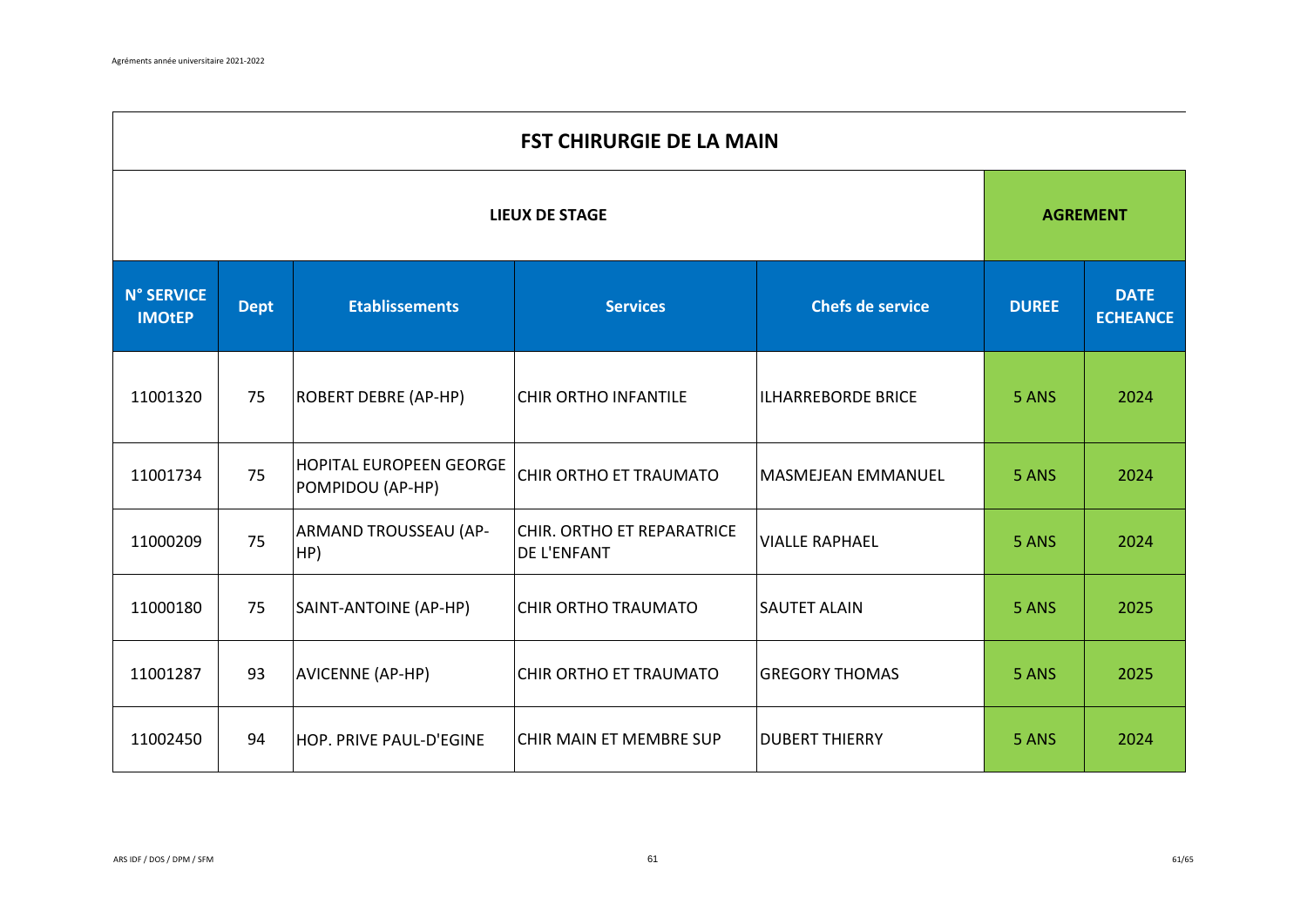$\mathbf{r}$ 

| <b>FST CHIRURGIE DE LA MAIN</b>    |             |                                                    |                                                  |                           |                 |                                |
|------------------------------------|-------------|----------------------------------------------------|--------------------------------------------------|---------------------------|-----------------|--------------------------------|
| <b>LIEUX DE STAGE</b>              |             |                                                    |                                                  |                           | <b>AGREMENT</b> |                                |
| <b>N° SERVICE</b><br><b>IMOtEP</b> | <b>Dept</b> | <b>Etablissements</b>                              | <b>Services</b>                                  | <b>Chefs de service</b>   | <b>DUREE</b>    | <b>DATE</b><br><b>ECHEANCE</b> |
| 11001320                           | 75          | <b>ROBERT DEBRE (AP-HP)</b>                        | <b>CHIR ORTHO INFANTILE</b>                      | <b>ILHARREBORDE BRICE</b> | 5 ANS           | 2024                           |
| 11001734                           | 75          | <b>HOPITAL EUROPEEN GEORGE</b><br>POMPIDOU (AP-HP) | CHIR ORTHO ET TRAUMATO                           | <b>MASMEJEAN EMMANUEL</b> | 5 ANS           | 2024                           |
| 11000209                           | 75          | ARMAND TROUSSEAU (AP-<br>HP)                       | CHIR. ORTHO ET REPARATRICE<br><b>DE L'ENFANT</b> | <b>VIALLE RAPHAEL</b>     | 5 ANS           | 2024                           |
| 11000180                           | 75          | SAINT-ANTOINE (AP-HP)                              | <b>CHIR ORTHO TRAUMATO</b>                       | <b>SAUTET ALAIN</b>       | 5 ANS           | 2025                           |
| 11001287                           | 93          | AVICENNE (AP-HP)                                   | CHIR ORTHO ET TRAUMATO                           | <b>GREGORY THOMAS</b>     | 5 ANS           | 2025                           |
| 11002450                           | 94          | HOP. PRIVE PAUL-D'EGINE                            | CHIR MAIN ET MEMBRE SUP                          | <b>DUBERT THIERRY</b>     | 5 ANS           | 2024                           |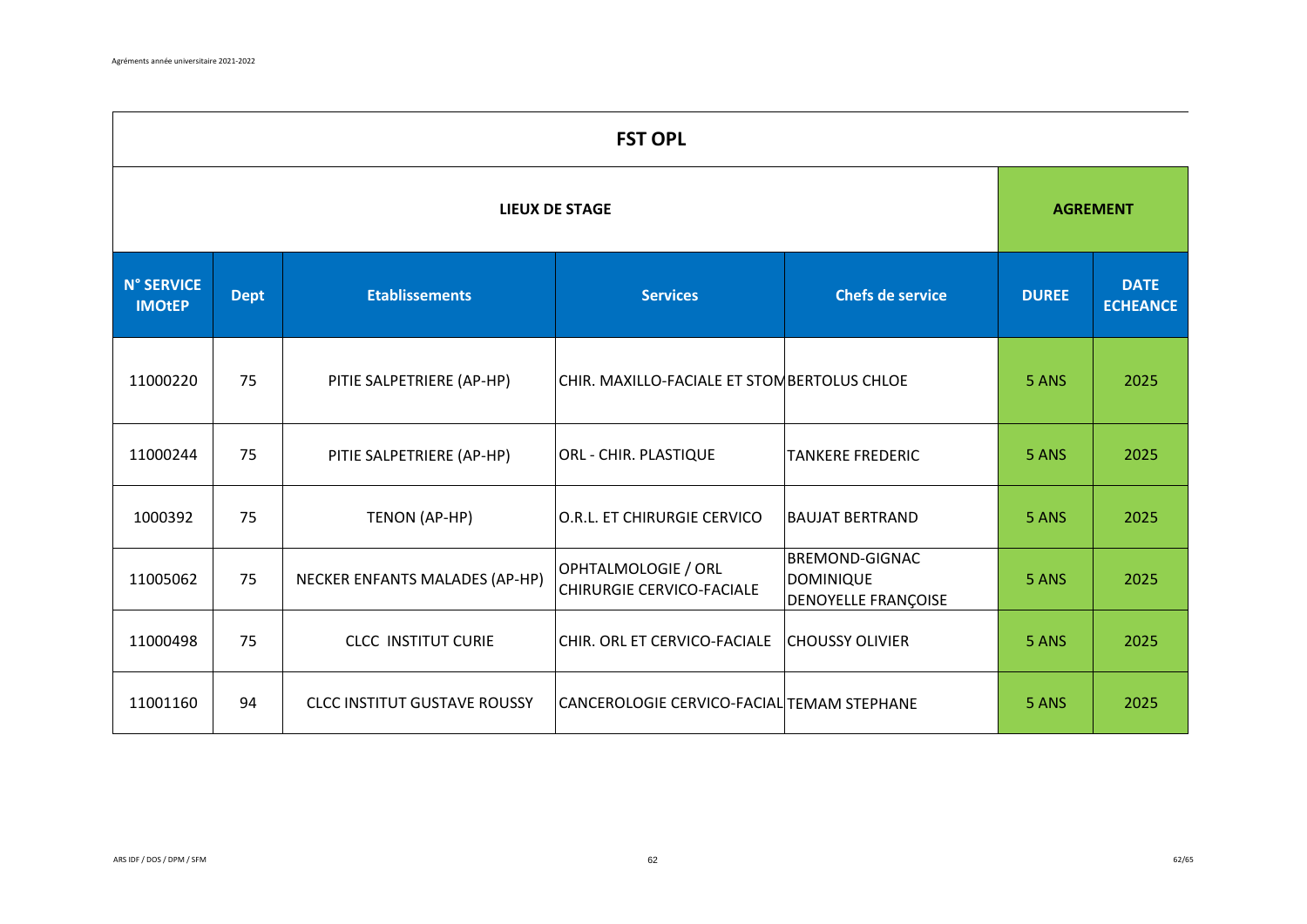$\blacksquare$ 

| <b>FST OPL</b>                     |             |                                     |                                                         |                                                                  |                 |                                |  |  |
|------------------------------------|-------------|-------------------------------------|---------------------------------------------------------|------------------------------------------------------------------|-----------------|--------------------------------|--|--|
| <b>LIEUX DE STAGE</b>              |             |                                     |                                                         |                                                                  | <b>AGREMENT</b> |                                |  |  |
| <b>N° SERVICE</b><br><b>IMOtEP</b> | <b>Dept</b> | <b>Etablissements</b>               | <b>Services</b>                                         | <b>Chefs de service</b>                                          | <b>DUREE</b>    | <b>DATE</b><br><b>ECHEANCE</b> |  |  |
| 11000220                           | 75          | PITIE SALPETRIERE (AP-HP)           | CHIR. MAXILLO-FACIALE ET STOMBERTOLUS CHLOE             |                                                                  | 5 ANS           | 2025                           |  |  |
| 11000244                           | 75          | PITIE SALPETRIERE (AP-HP)           | <b>ORL - CHIR. PLASTIQUE</b>                            | <b>TANKERE FREDERIC</b>                                          | 5 ANS           | 2025                           |  |  |
| 1000392                            | 75          | TENON (AP-HP)                       | O.R.L. ET CHIRURGIE CERVICO                             | <b>BAUJAT BERTRAND</b>                                           | 5 ANS           | 2025                           |  |  |
| 11005062                           | 75          | NECKER ENFANTS MALADES (AP-HP)      | OPHTALMOLOGIE / ORL<br><b>CHIRURGIE CERVICO-FACIALE</b> | <b>BREMOND-GIGNAC</b><br><b>DOMINIQUE</b><br>DENOYELLE FRANÇOISE | 5 ANS           | 2025                           |  |  |
| 11000498                           | 75          | <b>CLCC INSTITUT CURIE</b>          | CHIR. ORL ET CERVICO-FACIALE                            | <b>CHOUSSY OLIVIER</b>                                           | 5 ANS           | 2025                           |  |  |
| 11001160                           | 94          | <b>CLCC INSTITUT GUSTAVE ROUSSY</b> | CANCEROLOGIE CERVICO-FACIAL TEMAM STEPHANE              |                                                                  | 5 ANS           | 2025                           |  |  |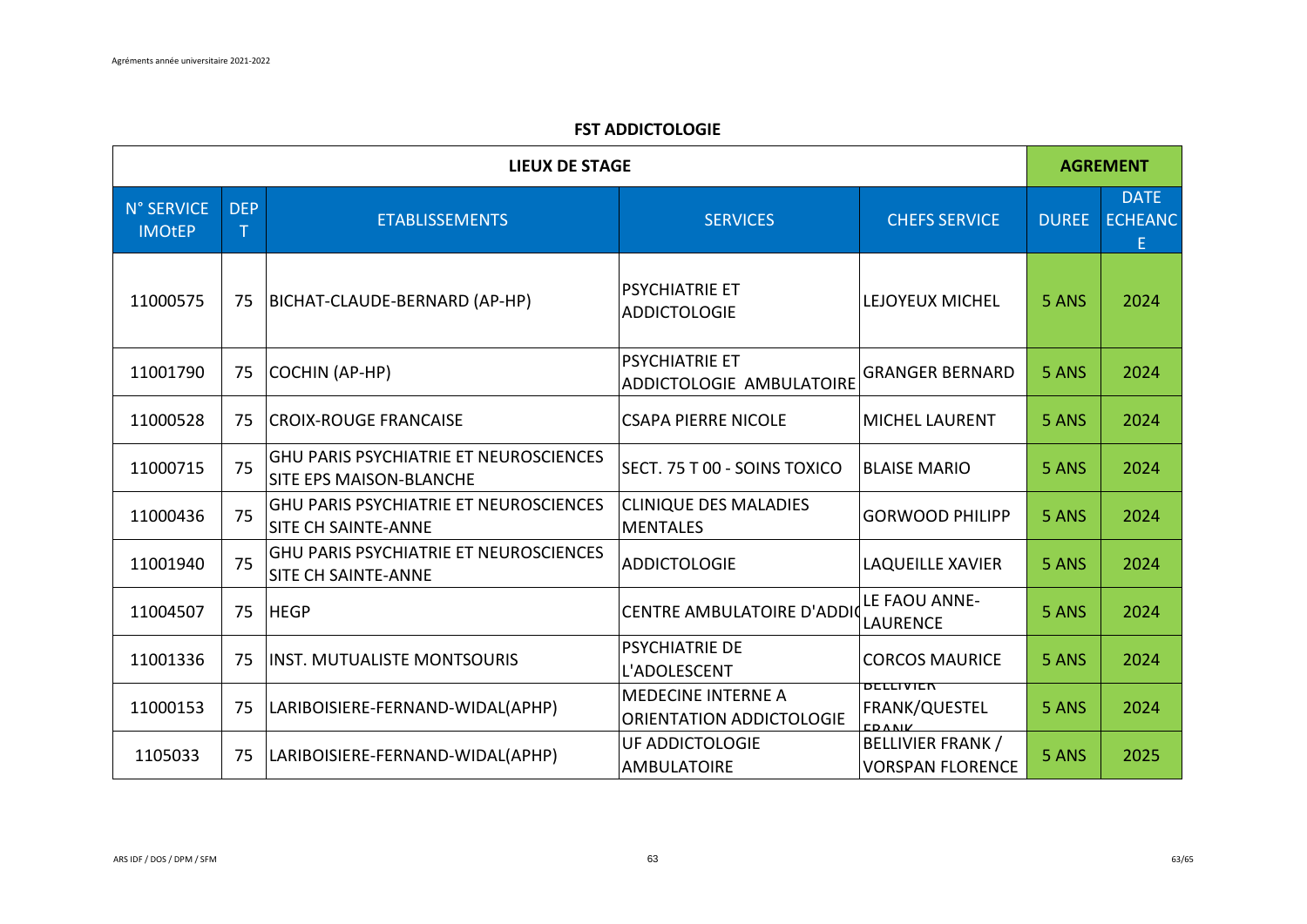## **FST ADDICTOLOGIE**

| <b>LIEUX DE STAGE</b>       |                 |                                                                                 |                                                   |                                                     | <b>AGREMENT</b> |                                     |
|-----------------------------|-----------------|---------------------------------------------------------------------------------|---------------------------------------------------|-----------------------------------------------------|-----------------|-------------------------------------|
| N° SERVICE<br><b>IMOtEP</b> | <b>DEP</b><br>Τ | <b>ETABLISSEMENTS</b>                                                           | <b>SERVICES</b>                                   | <b>CHEFS SERVICE</b>                                | <b>DUREE</b>    | <b>DATE</b><br><b>ECHEANC</b><br>E. |
| 11000575                    | 75              | BICHAT-CLAUDE-BERNARD (AP-HP)                                                   | <b>PSYCHIATRIE ET</b><br><b>ADDICTOLOGIE</b>      | LEJOYEUX MICHEL                                     | 5 ANS           | 2024                                |
| 11001790                    | 75              | COCHIN (AP-HP)                                                                  | <b>PSYCHIATRIE ET</b><br>ADDICTOLOGIE AMBULATOIRE | <b>GRANGER BERNARD</b>                              | 5 ANS           | 2024                                |
| 11000528                    | 75              | <b>CROIX-ROUGE FRANCAISE</b>                                                    | <b>CSAPA PIERRE NICOLE</b>                        | <b>MICHEL LAURENT</b>                               | 5 ANS           | 2024                                |
| 11000715                    | 75              | <b>GHU PARIS PSYCHIATRIE ET NEUROSCIENCES</b><br><b>SITE EPS MAISON-BLANCHE</b> | SECT. 75 T 00 - SOINS TOXICO                      | <b>BLAISE MARIO</b>                                 | 5 ANS           | 2024                                |
| 11000436                    | 75              | <b>GHU PARIS PSYCHIATRIE ET NEUROSCIENCES</b><br>SITE CH SAINTE-ANNE            | <b>CLINIQUE DES MALADIES</b><br><b>MENTALES</b>   | <b>GORWOOD PHILIPP</b>                              | 5 ANS           | 2024                                |
| 11001940                    | 75              | <b>GHU PARIS PSYCHIATRIE ET NEUROSCIENCES</b><br>SITE CH SAINTE-ANNE            | <b>ADDICTOLOGIE</b>                               | <b>LAQUEILLE XAVIER</b>                             | 5 ANS           | 2024                                |
| 11004507                    | 75              | <b>HEGP</b>                                                                     | <b>CENTRE AMBULATOIRE D'ADDIO</b>                 | LE FAOU ANNE-<br><b>LAURENCE</b>                    | 5 ANS           | 2024                                |
| 11001336                    | 75              | INST. MUTUALISTE MONTSOURIS                                                     | <b>PSYCHIATRIE DE</b><br>L'ADOLESCENT             | <b>CORCOS MAURICE</b>                               | 5 ANS           | 2024                                |
| 11000153                    | 75              | LARIBOISIERE-FERNAND-WIDAL(APHP)                                                | MEDECINE INTERNE A<br>ORIENTATION ADDICTOLOGIE    | <b>BELLIVIEK</b><br>FRANK/QUESTEL                   | 5 ANS           | 2024                                |
| 1105033                     | 75              | LARIBOISIERE-FERNAND-WIDAL(APHP)                                                | UF ADDICTOLOGIE<br><b>AMBULATOIRE</b>             | <b>BELLIVIER FRANK /</b><br><b>VORSPAN FLORENCE</b> | 5 ANS           | 2025                                |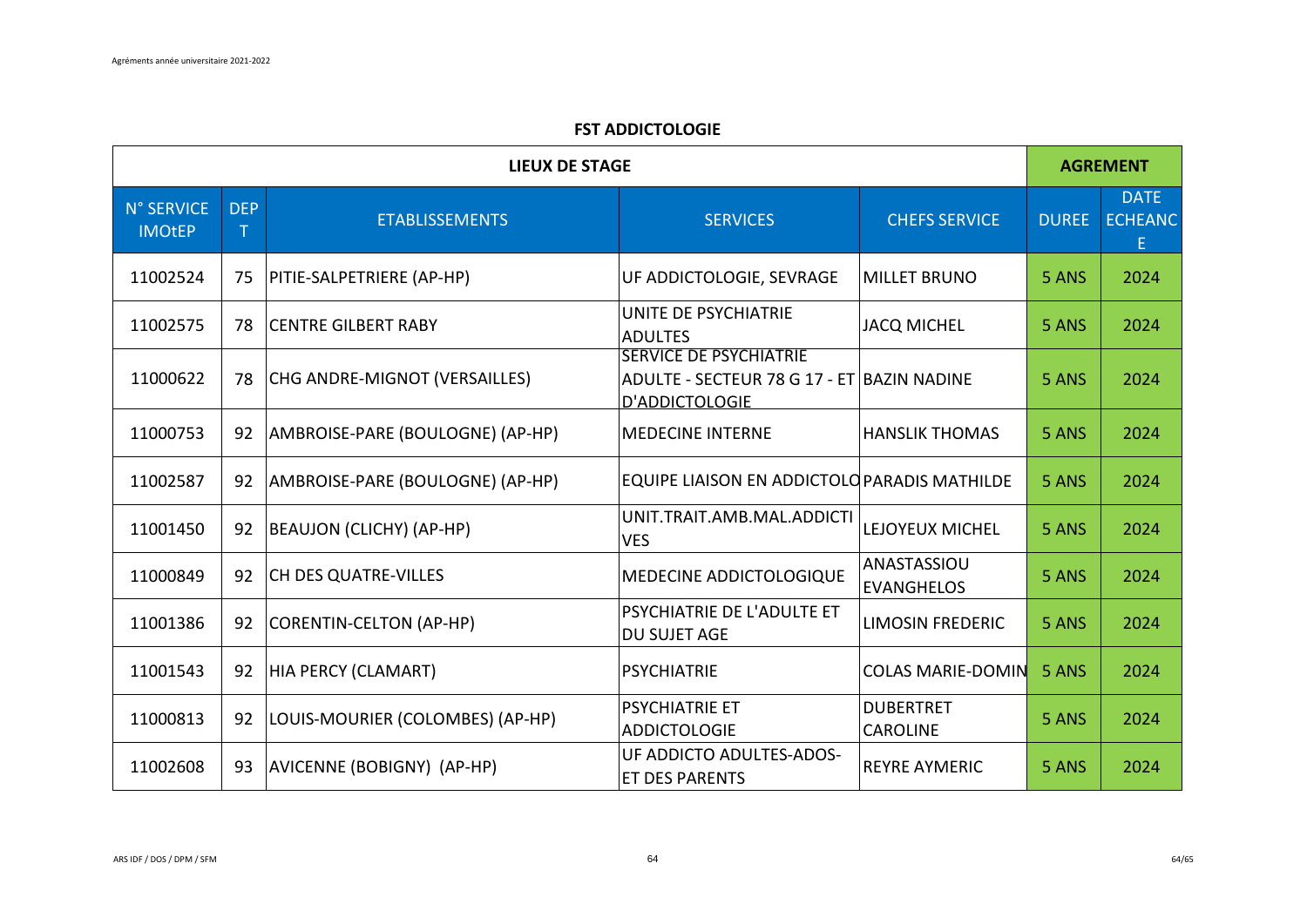## **FST ADDICTOLOGIE**

| <b>LIEUX DE STAGE</b>       |                      |                                  |                                                                                               |                                     | <b>AGREMENT</b> |                                     |
|-----------------------------|----------------------|----------------------------------|-----------------------------------------------------------------------------------------------|-------------------------------------|-----------------|-------------------------------------|
| N° SERVICE<br><b>IMOtEP</b> | <b>DEP</b><br>$\top$ | <b>ETABLISSEMENTS</b>            | <b>SERVICES</b>                                                                               | <b>CHEFS SERVICE</b>                | <b>DUREE</b>    | <b>DATE</b><br><b>ECHEANC</b><br>E. |
| 11002524                    | 75                   | PITIE-SALPETRIERE (AP-HP)        | UF ADDICTOLOGIE, SEVRAGE                                                                      | <b>MILLET BRUNO</b>                 | 5 ANS           | 2024                                |
| 11002575                    | 78                   | <b>CENTRE GILBERT RABY</b>       | UNITE DE PSYCHIATRIE<br><b>ADULTES</b>                                                        | <b>JACQ MICHEL</b>                  | 5 ANS           | 2024                                |
| 11000622                    | 78                   | CHG ANDRE-MIGNOT (VERSAILLES)    | <b>SERVICE DE PSYCHIATRIE</b><br>ADULTE - SECTEUR 78 G 17 - ET BAZIN NADINE<br>D'ADDICTOLOGIE |                                     | 5 ANS           | 2024                                |
| 11000753                    | 92                   | AMBROISE-PARE (BOULOGNE) (AP-HP) | <b>MEDECINE INTERNE</b>                                                                       | <b>HANSLIK THOMAS</b>               | 5 ANS           | 2024                                |
| 11002587                    | 92                   | AMBROISE-PARE (BOULOGNE) (AP-HP) | EQUIPE LIAISON EN ADDICTOLO PARADIS MATHILDE                                                  |                                     | 5 ANS           | 2024                                |
| 11001450                    | 92                   | <b>BEAUJON (CLICHY) (AP-HP)</b>  | UNIT.TRAIT.AMB.MAL.ADDICTI<br><b>VES</b>                                                      | LEJOYEUX MICHEL                     | 5 ANS           | 2024                                |
| 11000849                    | 92                   | <b>CH DES QUATRE-VILLES</b>      | MEDECINE ADDICTOLOGIQUE                                                                       | ANASTASSIOU<br><b>EVANGHELOS</b>    | 5 ANS           | 2024                                |
| 11001386                    | 92                   | CORENTIN-CELTON (AP-HP)          | PSYCHIATRIE DE L'ADULTE ET<br><b>DU SUJET AGE</b>                                             | <b>LIMOSIN FREDERIC</b>             | 5 ANS           | 2024                                |
| 11001543                    | 92                   | HIA PERCY (CLAMART)              | <b>PSYCHIATRIE</b>                                                                            | <b>COLAS MARIE-DOMIN</b>            | 5 ANS           | 2024                                |
| 11000813                    | 92                   | LOUIS-MOURIER (COLOMBES) (AP-HP) | <b>PSYCHIATRIE ET</b><br><b>ADDICTOLOGIE</b>                                                  | <b>DUBERTRET</b><br><b>CAROLINE</b> | 5 ANS           | 2024                                |
| 11002608                    | 93                   | AVICENNE (BOBIGNY) (AP-HP)       | UF ADDICTO ADULTES-ADOS-<br>ET DES PARENTS                                                    | <b>REYRE AYMERIC</b>                | 5 ANS           | 2024                                |